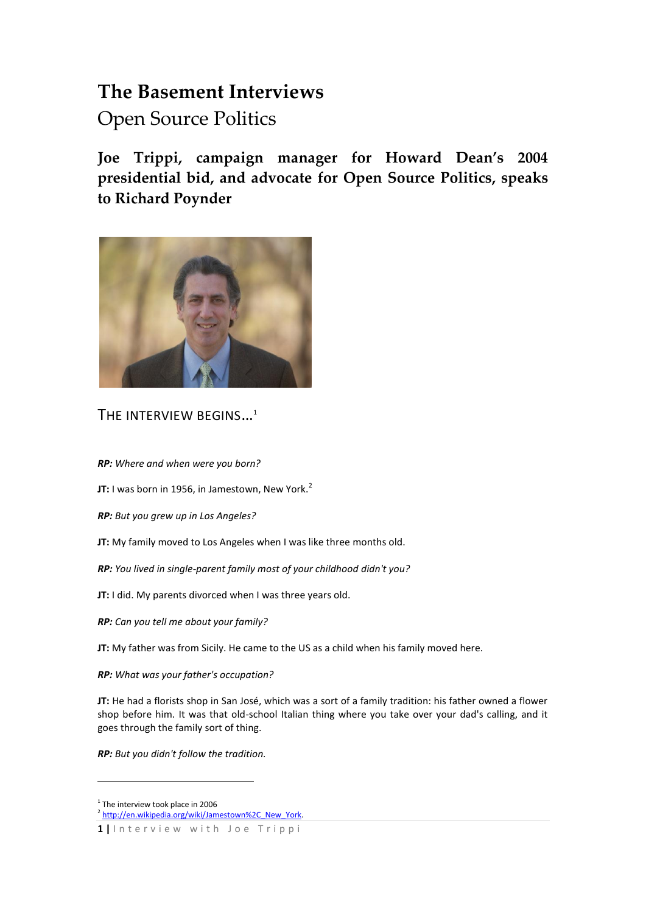# **The Basement Interviews**

Open Source Politics

**Joe Trippi, campaign manager for Howard Dean's 2004 presidential bid, and advocate for Open Source Politics, speaks to Richard Poynder**



THE INTERVIEW BEGINS...<sup>1</sup>

*RP: Where and when were you born?*

**JT:** I was born in 1956, in Jamestown, New York.<sup>2</sup>

*RP: But you grew up in Los Angeles?*

- **JT:** My family moved to Los Angeles when I was like three months old.
- *RP: You lived in single-parent family most of your childhood didn't you?*

**JT:** I did. My parents divorced when I was three years old.

*RP: Can you tell me about your family?*

**JT:** My father was from Sicily. He came to the US as a child when his family moved here.

*RP: What was your father's occupation?*

**JT:** He had a florists shop in San José, which was a sort of a family tradition: his father owned a flower shop before him. It was that old-school Italian thing where you take over your dad's calling, and it goes through the family sort of thing.

*RP: But you didn't follow the tradition.*

<u>.</u>

<sup>&</sup>lt;sup>1</sup> The interview took place in 2006

<sup>&</sup>lt;sup>2</sup> [http://en.wikipedia.org/wiki/Jamestown%2C\\_New\\_York.](http://en.wikipedia.org/wiki/Jamestown%2C_New_York)

**<sup>1</sup> |** I n t e r v i e w w i t h J o e T r i p p i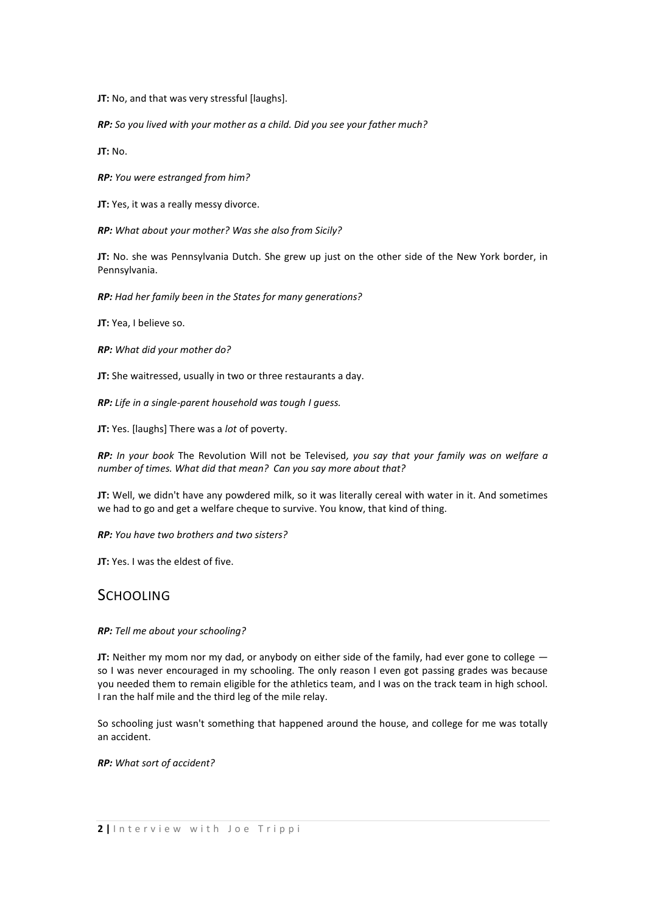**JT:** No, and that was very stressful [laughs].

*RP: So you lived with your mother as a child. Did you see your father much?* 

**JT:** No.

*RP: You were estranged from him?* 

**JT:** Yes, it was a really messy divorce.

*RP: What about your mother? Was she also from Sicily?*

**JT:** No. she was Pennsylvania Dutch. She grew up just on the other side of the New York border, in Pennsylvania.

*RP: Had her family been in the States for many generations?* 

**JT:** Yea, I believe so.

*RP: What did your mother do?* 

**JT:** She waitressed, usually in two or three restaurants a day.

*RP: Life in a single-parent household was tough I guess.*

**JT:** Yes. [laughs] There was a *lot* of poverty.

*RP: In your book* The Revolution Will not be Televised*, you say that your family was on welfare a number of times. What did that mean? Can you say more about that?*

**JT:** Well, we didn't have any powdered milk, so it was literally cereal with water in it. And sometimes we had to go and get a welfare cheque to survive. You know, that kind of thing.

*RP: You have two brothers and two sisters?* 

**JT:** Yes. I was the eldest of five.

## **SCHOOLING**

*RP: Tell me about your schooling?* 

**JT:** Neither my mom nor my dad, or anybody on either side of the family, had ever gone to college  $$ so I was never encouraged in my schooling. The only reason I even got passing grades was because you needed them to remain eligible for the athletics team, and I was on the track team in high school. I ran the half mile and the third leg of the mile relay.

So schooling just wasn't something that happened around the house, and college for me was totally an accident.

*RP: What sort of accident?*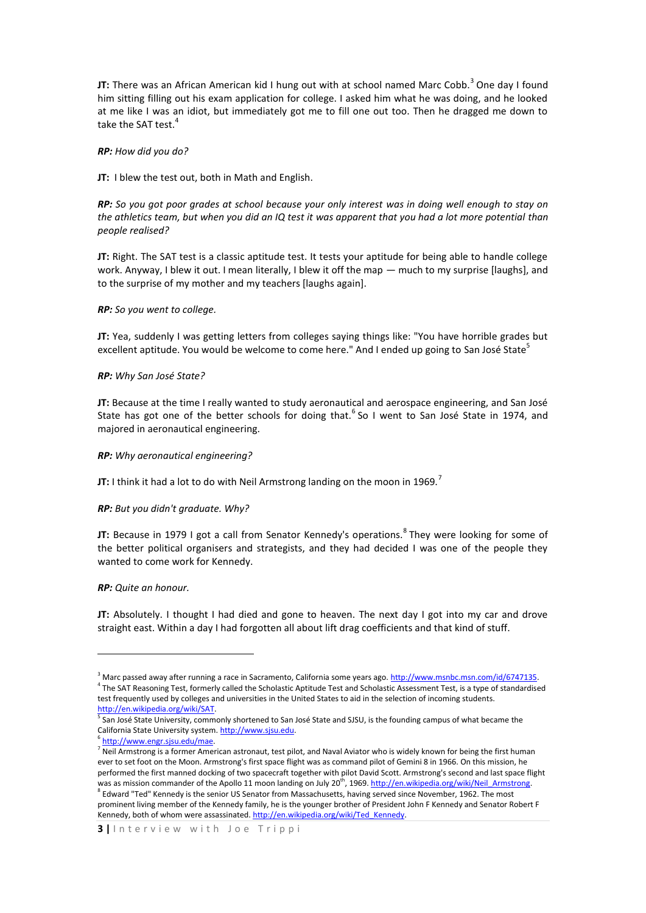**JT:** There was an African American kid I hung out with at school named Marc Cobb.<sup>3</sup> One day I found him sitting filling out his exam application for college. I asked him what he was doing, and he looked at me like I was an idiot, but immediately got me to fill one out too. Then he dragged me down to take the SAT test.<sup>4</sup>

#### *RP: How did you do?*

**JT:** I blew the test out, both in Math and English.

*RP: So you got poor grades at school because your only interest was in doing well enough to stay on the athletics team, but when you did an IQ test it was apparent that you had a lot more potential than people realised?* 

**JT:** Right. The SAT test is a classic aptitude test. It tests your aptitude for being able to handle college work. Anyway, I blew it out. I mean literally, I blew it off the map — much to my surprise [laughs], and to the surprise of my mother and my teachers [laughs again].

#### *RP: So you went to college.*

**JT:** Yea, suddenly I was getting letters from colleges saying things like: "You have horrible grades but excellent aptitude. You would be welcome to come here." And I ended up going to San José State<sup>5</sup>

#### *RP: Why San José State?*

**JT:** Because at the time I really wanted to study aeronautical and aerospace engineering, and San José State has got one of the better schools for doing that.<sup>6</sup> So I went to San José State in 1974, and majored in aeronautical engineering.

#### *RP: Why aeronautical engineering?*

**JT:** I think it had a lot to do with Neil Armstrong landing on the moon in 1969.<sup>7</sup>

#### *RP: But you didn't graduate. Why?*

**JT:** Because in 1979 I got a call from Senator Kennedy's operations.<sup>8</sup> They were looking for some of the better political organisers and strategists, and they had decided I was one of the people they wanted to come work for Kennedy.

#### *RP: Quite an honour.*

**.** 

**JT:** Absolutely. I thought I had died and gone to heaven. The next day I got into my car and drove straight east. Within a day I had forgotten all about lift drag coefficients and that kind of stuff.

<sup>&</sup>lt;sup>3</sup> Marc passed away after running a race in Sacramento, California some years ago. [http://www.msnbc.msn.com/id/6747135.](http://www.msnbc.msn.com/id/6747135) 4 The SAT Reasoning Test, formerly called the Scholastic Aptitude Test and Scholastic Assessment Test, is a type of standardised test frequently used by colleges and universities in the United States to aid in the selection of incoming students. [http://en.wikipedia.org/wiki/SAT.](http://en.wikipedia.org/wiki/SAT) 

<sup>&</sup>lt;sup>5</sup> San José State University, commonly shortened to San José State and SJSU, is the founding campus of what became the California State University system. [http://www.sjsu.edu.](http://www.sjsu.edu/)

<sup>6</sup> [http://www.engr.sjsu.edu/mae.](http://www.engr.sjsu.edu/mae) 

<sup>&</sup>lt;sup>7</sup> Neil Armstrong is a former American astronaut, test pilot, and Naval Aviator who is widely known for being the first human ever to set foot on the Moon. Armstrong's first space flight was as command pilot of Gemini 8 in 1966. On this mission, he performed the first manned docking of two spacecraft together with pilot David Scott. Armstrong's second and last space flight was as mission commander of the Apollo 11 moon landing on July 20<sup>th</sup>, 1969. http://en.wikipedia.org/wiki/Neil\_Armstrong. 8 Edward "Ted" Kennedy is the senior US Senator from Massachusetts, having served since November, 1962. The most prominent living member of the Kennedy family, he is the younger brother of President John F Kennedy and Senator Robert F Kennedy, both of whom were assassinated. http://en.wikipedia.org/wiki/Ted Kennedy.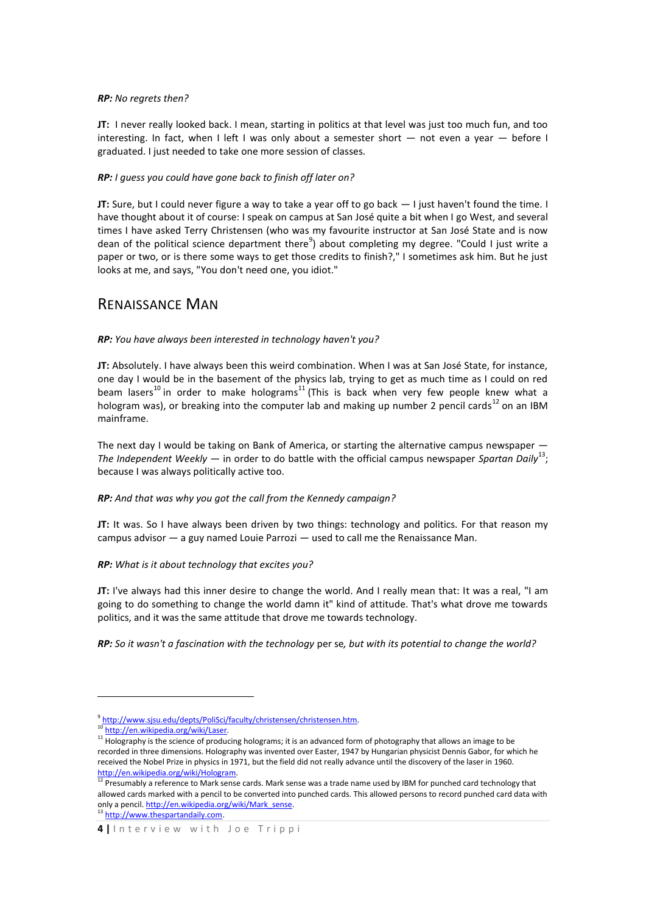### *RP: No regrets then?*

**JT:** I never really looked back. I mean, starting in politics at that level was just too much fun, and too interesting. In fact, when I left I was only about a semester short — not even a year — before I graduated. I just needed to take one more session of classes.

## *RP: I guess you could have gone back to finish off later on?*

**JT:** Sure, but I could never figure a way to take a year off to go back  $-1$  just haven't found the time. I have thought about it of course: I speak on campus at San José quite a bit when I go West, and several times I have asked Terry Christensen (who was my favourite instructor at San José State and is now dean of the political science department there<sup>9</sup>) about completing my degree. "Could I just write a paper or two, or is there some ways to get those credits to finish?," I sometimes ask him. But he just looks at me, and says, "You don't need one, you idiot."

## RENAISSANCE MAN

## *RP: You have always been interested in technology haven't you?*

**JT:** Absolutely. I have always been this weird combination. When I was at San José State, for instance, one day I would be in the basement of the physics lab, trying to get as much time as I could on red beam lasers<sup>10</sup> in order to make holograms<sup>11</sup> (This is back when very few people knew what a hologram was), or breaking into the computer lab and making up number 2 pencil cards<sup>12</sup> on an IBM mainframe.

The next day I would be taking on Bank of America, or starting the alternative campus newspaper  $-$ The Independent Weekly — in order to do battle with the official campus newspaper Spartan Daily<sup>13</sup>; because I was always politically active too.

## *RP: And that was why you got the call from the Kennedy campaign?*

**JT:** It was. So I have always been driven by two things: technology and politics. For that reason my campus advisor — a guy named Louie Parrozi — used to call me the Renaissance Man.

## *RP: What is it about technology that excites you?*

**JT:** I've always had this inner desire to change the world. And I really mean that: It was a real, "I am going to do something to change the world damn it" kind of attitude. That's what drove me towards politics, and it was the same attitude that drove me towards technology.

*RP: So it wasn't a fascination with the technology* per se*, but with its potential to change the world?*

1

<sup>&</sup>lt;sup>9</sup> http://www.sjsu.edu/depts/PoliSci/faculty/christensen/christensen.htm.

http://en.wikipedia.org/wiki/Laser.

<sup>&</sup>lt;sup>11</sup> Holography is the science of producing holograms; it is an advanced form of photography that allows an image to be recorded in three dimensions. Holography was invented over Easter, 1947 by Hungarian physicist Dennis Gabor, for which he received the Nobel Prize in physics in 1971, but the field did not really advance until the discovery of the laser in 1960. [http://en.wikipedia.org/wiki/Hologram.](http://en.wikipedia.org/wiki/Hologram) 

 $12$  Presumably a reference to Mark sense cards. Mark sense was a trade name used by IBM for punched card technology that allowed cards marked with a pencil to be converted into punched cards. This allowed persons to record punched card data with only a pencil. http://en.wikipedia.org/wiki/Mark\_sense. 13 [http://www.thespartandaily.com.](http://www.thespartandaily.com/)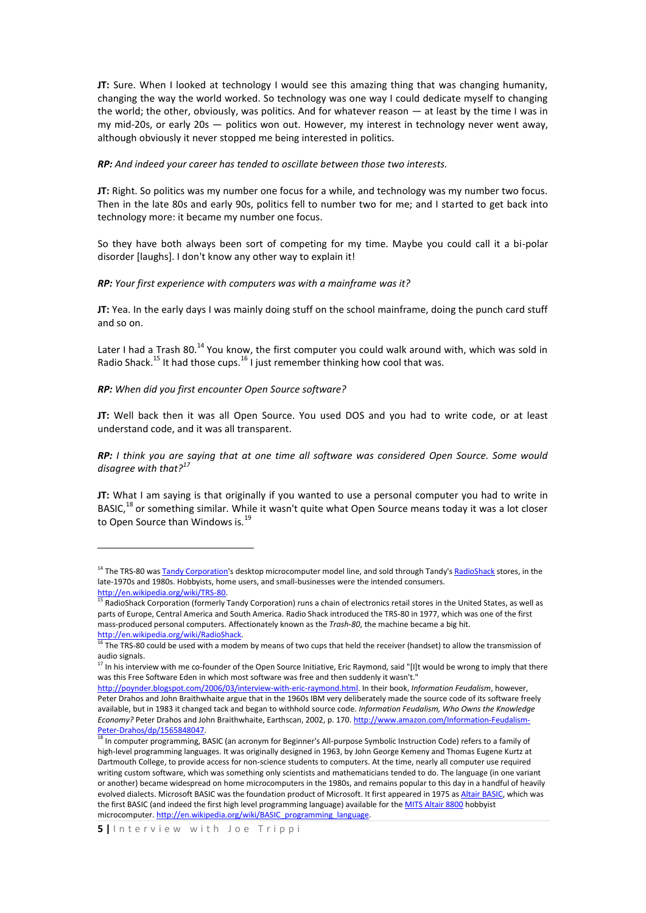**JT:** Sure. When I looked at technology I would see this amazing thing that was changing humanity, changing the way the world worked. So technology was one way I could dedicate myself to changing the world; the other, obviously, was politics. And for whatever reason — at least by the time I was in my mid-20s, or early 20s — politics won out. However, my interest in technology never went away, although obviously it never stopped me being interested in politics.

*RP: And indeed your career has tended to oscillate between those two interests.*

**JT:** Right. So politics was my number one focus for a while, and technology was my number two focus. Then in the late 80s and early 90s, politics fell to number two for me; and I started to get back into technology more: it became my number one focus.

So they have both always been sort of competing for my time. Maybe you could call it a bi-polar disorder [laughs]. I don't know any other way to explain it!

*RP: Your first experience with computers was with a mainframe was it?* 

**JT:** Yea. In the early days I was mainly doing stuff on the school mainframe, doing the punch card stuff and so on.

Later I had a Trash 80.<sup>14</sup> You know, the first computer you could walk around with, which was sold in Radio Shack.<sup>15</sup> It had those cups.<sup>16</sup> I just remember thinking how cool that was.

*RP: When did you first encounter Open Source software?*

1

**JT:** Well back then it was all Open Source. You used DOS and you had to write code, or at least understand code, and it was all transparent.

*RP: I think you are saying that at one time all software was considered Open Source. Some would disagree with that?<sup>17</sup>*

**JT:** What I am saying is that originally if you wanted to use a personal computer you had to write in BASIC,<sup>18</sup> or something similar. While it wasn't quite what Open Source means today it was a lot closer to Open Source than Windows is.<sup>19</sup>

<sup>&</sup>lt;sup>14</sup> The TRS-80 was **Tandy Corporation**'s desktop microcomputer model line, and sold through Tandy'[s RadioShack](http://en.wikipedia.org/wiki/RadioShack) stores, in the late-1970s and 1980s. Hobbyists, home users, and small-businesses were the intended consumers. [http://en.wikipedia.org/wiki/TRS-80.](http://en.wikipedia.org/wiki/TRS-80)<br>
<sup>15</sup> PodiaShart C

<sup>15</sup> RadioShack Corporation (formerly Tandy Corporation) runs a chain of electronics retail stores in the United States, as well as parts of Europe, Central America and South America. Radio Shack introduced the TRS-80 in 1977, which was one of the first mass-produced personal computers. Affectionately known as the *Trash-80*, the machine became a big hit. [http://en.wikipedia.org/wiki/RadioShack.](http://en.wikipedia.org/wiki/RadioShack) 

The TRS-80 could be used with a modem by means of two cups that held the receiver (handset) to allow the transmission of audio signals.

 $17$  In his interview with me co-founder of the Open Source Initiative, Eric Raymond, said "[I]t would be wrong to imply that there was this Free Software Eden in which most software was free and then suddenly it wasn't."

[http://poynder.blogspot.com/2006/03/interview-with-eric-raymond.html.](http://poynder.blogspot.com/2006/03/interview-with-eric-raymond.html) In their book, *Information Feudalism*, however, Peter Drahos and John Braithwhaite argue that in the 1960s IBM very deliberately made the source code of its software freely available, but in 1983 it changed tack and began to withhold source code. *Information Feudalism, Who Owns the Knowledge Economy?* Peter Drahos and John Braithwhaite, Earthscan, 2002, p. 170[. http://www.amazon.com/Information-Feudalism-](http://www.amazon.com/Information-Feudalism-Peter-Drahos/dp/1565848047)[Peter-Drahos/dp/1565848047.](http://www.amazon.com/Information-Feudalism-Peter-Drahos/dp/1565848047)

<sup>&</sup>lt;sup>18</sup> In computer programming, BASIC (an acronym for Beginner's All-purpose Symbolic Instruction Code) refers to a family of high-level programming languages. It was originally designed in 1963, by John George Kemeny and Thomas Eugene Kurtz at Dartmouth College, to provide access for non-science students to computers. At the time, nearly all computer use required writing custom software, which was something only scientists and mathematicians tended to do. The language (in one variant or another) became widespread on home microcomputers in the 1980s, and remains popular to this day in a handful of heavily evolved dialects. Microsoft BASIC was the foundation product of Microsoft. It first appeared in 1975 a[s Altair BASIC,](http://en.wikipedia.org/wiki/Altair_BASIC_programming_language) which was the first BASIC (and indeed the first high level programming language) available for th[e MITS Altair 8800](http://en.wikipedia.org/wiki/Altair_8800) hobbyist microcomputer[. http://en.wikipedia.org/wiki/BASIC\\_programming\\_language.](http://en.wikipedia.org/wiki/BASIC_programming_language)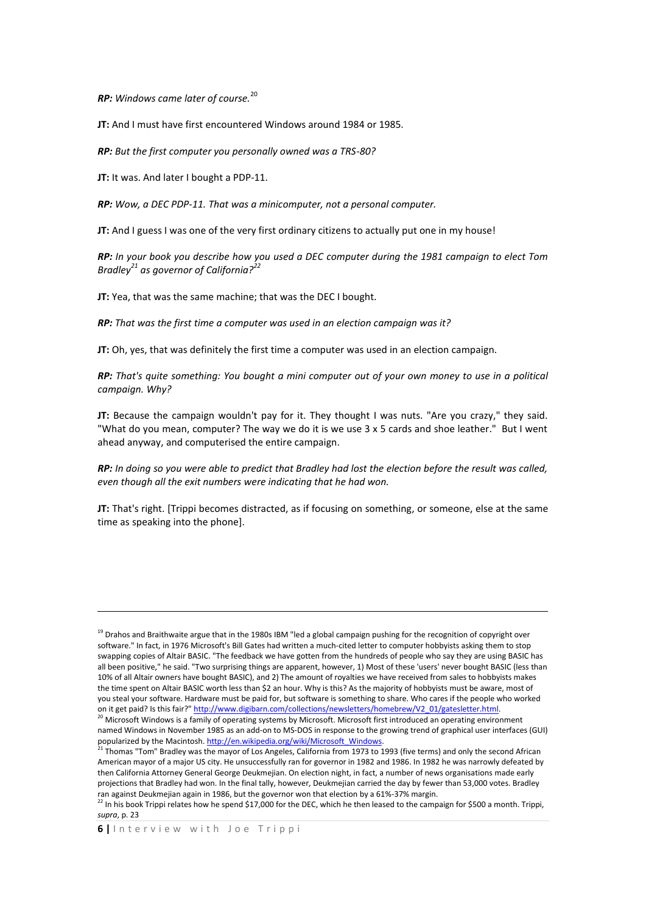*RP: Windows came later of course.*<sup>20</sup>

**JT:** And I must have first encountered Windows around 1984 or 1985.

*RP: But the first computer you personally owned was a TRS-80?*

**JT:** It was. And later I bought a PDP-11.

*RP: Wow, a DEC PDP-11. That was a minicomputer, not a personal computer.* 

**JT:** And I guess I was one of the very first ordinary citizens to actually put one in my house!

*RP: In your book you describe how you used a DEC computer during the 1981 campaign to elect Tom Bradley<sup>21</sup> as governor of California?<sup>22</sup>*

**JT:** Yea, that was the same machine; that was the DEC I bought.

*RP: That was the first time a computer was used in an election campaign was it?* 

**JT:** Oh, yes, that was definitely the first time a computer was used in an election campaign.

*RP: That's quite something: You bought a mini computer out of your own money to use in a political campaign. Why?*

**JT:** Because the campaign wouldn't pay for it. They thought I was nuts. "Are you crazy," they said. "What do you mean, computer? The way we do it is we use 3 x 5 cards and shoe leather." But I went ahead anyway, and computerised the entire campaign.

*RP: In doing so you were able to predict that Bradley had lost the election before the result was called, even though all the exit numbers were indicating that he had won.*

**JT:** That's right. [Trippi becomes distracted, as if focusing on something, or someone, else at the same time as speaking into the phone].

**.** 

<sup>&</sup>lt;sup>19</sup> Drahos and Braithwaite argue that in the 1980s IBM "led a global campaign pushing for the recognition of copyright over software." In fact, in 1976 Microsoft's Bill Gates had written a much-cited letter to computer hobbyists asking them to stop swapping copies of Altair BASIC. "The feedback we have gotten from the hundreds of people who say they are using BASIC has all been positive," he said. "Two surprising things are apparent, however, 1) Most of these 'users' never bought BASIC (less than 10% of all Altair owners have bought BASIC), and 2) The amount of royalties we have received from sales to hobbyists makes the time spent on Altair BASIC worth less than \$2 an hour. Why is this? As the majority of hobbyists must be aware, most of you steal your software. Hardware must be paid for, but software is something to share. Who cares if the people who worked on it get paid? Is this fair?[" http://www.digibarn.com/collections/newsletters/homebrew/V2\\_01/gatesletter.html.](http://www.digibarn.com/collections/newsletters/homebrew/V2_01/gatesletter.html) 

 $20$  Microsoft Windows is a family of operating systems by Microsoft. Microsoft first introduced an operating environment named Windows in November 1985 as an add-on to MS-DOS in response to the growing trend of graphical user interfaces (GUI) popularized by the Macintosh. [http://en.wikipedia.org/wiki/Microsoft\\_Windows.](http://en.wikipedia.org/wiki/Microsoft_Windows)

 $^{21}$  Thomas "Tom" Bradley was the mayor of Los Angeles, California from 1973 to 1993 (five terms) and only the second African American mayor of a major US city. He unsuccessfully ran for governor in 1982 and 1986. In 1982 he was narrowly defeated by then California Attorney General George Deukmejian. On election night, in fact, a number of news organisations made early projections that Bradley had won. In the final tally, however, Deukmejian carried the day by fewer than 53,000 votes. Bradley ran against Deukmejian again in 1986, but the governor won that election by a 61%-37% margin.

 $^{22}$  In his book Trippi relates how he spend \$17,000 for the DEC, which he then leased to the campaign for \$500 a month. Trippi, *supra*, p. 23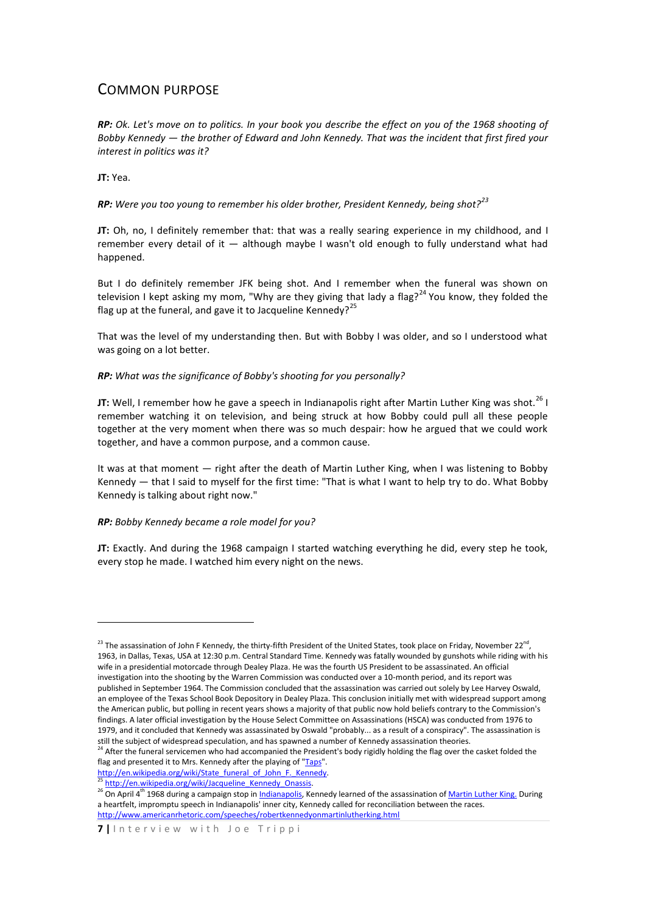## COMMON PURPOSE

*RP: Ok. Let's move on to politics. In your book you describe the effect on you of the 1968 shooting of Bobby Kennedy — the brother of Edward and John Kennedy. That was the incident that first fired your interest in politics was it?*

**JT:** Yea.

**.** 

*RP: Were you too young to remember his older brother, President Kennedy, being shot?<sup>23</sup>*

**JT:** Oh, no, I definitely remember that: that was a really searing experience in my childhood, and I remember every detail of it — although maybe I wasn't old enough to fully understand what had happened.

But I do definitely remember JFK being shot. And I remember when the funeral was shown on television I kept asking my mom, "Why are they giving that lady a flag?<sup>24</sup> You know, they folded the flag up at the funeral, and gave it to Jacqueline Kennedy?<sup>25</sup>

That was the level of my understanding then. But with Bobby I was older, and so I understood what was going on a lot better.

## *RP: What was the significance of Bobby's shooting for you personally?*

**JT:** Well, I remember how he gave a speech in Indianapolis right after Martin Luther King was shot.<sup>26</sup> I remember watching it on television, and being struck at how Bobby could pull all these people together at the very moment when there was so much despair: how he argued that we could work together, and have a common purpose, and a common cause.

It was at that moment — right after the death of Martin Luther King, when I was listening to Bobby Kennedy — that I said to myself for the first time: "That is what I want to help try to do. What Bobby Kennedy is talking about right now."

## *RP: Bobby Kennedy became a role model for you?*

**JT:** Exactly. And during the 1968 campaign I started watching everything he did, every step he took, every stop he made. I watched him every night on the news.

http://en.wikipedia.org/wiki/State\_funeral\_of\_John\_F.\_Kennedy.

[http://en.wikipedia.org/wiki/Jacqueline\\_Kennedy\\_Onassis.](http://en.wikipedia.org/wiki/Jacqueline_Kennedy_Onassis)

<sup>&</sup>lt;sup>23</sup> The assassination of John F Kennedy, the thirty-fifth President of the United States, took place on Friday, November 22<sup>nd</sup>, 1963, in Dallas, Texas, USA at 12:30 p.m. Central Standard Time. Kennedy was fatally wounded by gunshots while riding with his wife in a presidential motorcade through Dealey Plaza. He was the fourth US President to be assassinated. An official investigation into the shooting by the Warren Commission was conducted over a 10-month period, and its report was published in September 1964. The Commission concluded that the assassination was carried out solely by Lee Harvey Oswald, an employee of the Texas School Book Depository in Dealey Plaza. This conclusion initially met with widespread support among the American public, but polling in recent years shows a majority of that public now hold beliefs contrary to the Commission's findings. A later official investigation by the House Select Committee on Assassinations (HSCA) was conducted from 1976 to 1979, and it concluded that Kennedy was assassinated by Oswald "probably... as a result of a conspiracy". The assassination is still the subject of widespread speculation, and has spawned a number of Kennedy assassination theories.

<sup>&</sup>lt;sup>24</sup> After the funeral servicemen who had accompanied the President's body rigidly holding the flag over the casket folded the flag and presented it to Mrs. Kennedy after the playing of ["Taps"](http://www.arlingtoncemetery.net/taps.htm).

<sup>&</sup>lt;sup>26</sup> On April 4<sup>th</sup> 1968 during a campaign stop in <u>Indianapolis</u>, Kennedy learned of the assassination of <u>Martin Luther King.</u> During a heartfelt, impromptu speech in Indianapolis' inner city, Kennedy called for reconciliation between the races. <http://www.americanrhetoric.com/speeches/robertkennedyonmartinlutherking.html>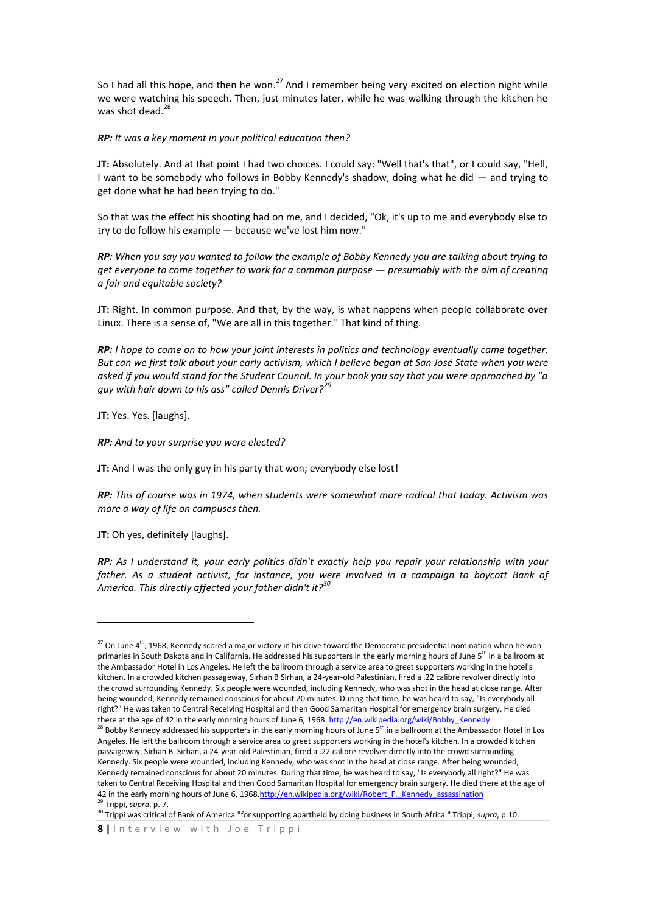So I had all this hope, and then he won.<sup>27</sup> And I remember being very excited on election night while we were watching his speech. Then, just minutes later, while he was walking through the kitchen he was shot dead.<sup>28</sup>

*RP: It was a key moment in your political education then?*

**JT:** Absolutely. And at that point I had two choices. I could say: "Well that's that", or I could say, "Hell, I want to be somebody who follows in Bobby Kennedy's shadow, doing what he did — and trying to get done what he had been trying to do."

So that was the effect his shooting had on me, and I decided, "Ok, it's up to me and everybody else to try to do follow his example — because we've lost him now."

*RP: When you say you wanted to follow the example of Bobby Kennedy you are talking about trying to get everyone to come together to work for a common purpose — presumably with the aim of creating a fair and equitable society?*

**JT:** Right. In common purpose. And that, by the way, is what happens when people collaborate over Linux. There is a sense of, "We are all in this together." That kind of thing.

*RP: I hope to come on to how your joint interests in politics and technology eventually came together. But can we first talk about your early activism, which I believe began at San José State when you were asked if you would stand for the Student Council. In your book you say that you were approached by "a guy with hair down to his ass" called Dennis Driver?<sup>29</sup>*

**JT:** Yes. Yes. [laughs].

*RP: And to your surprise you were elected?* 

**JT:** And I was the only guy in his party that won; everybody else lost!

*RP: This of course was in 1974, when students were somewhat more radical that today. Activism was more a way of life on campuses then.*

**JT:** Oh yes, definitely [laughs].

**.** 

*RP: As I understand it, your early politics didn't exactly help you repair your relationship with your father. As a student activist, for instance, you were involved in a campaign to boycott Bank of America. This directly affected your father didn't it?<sup>30</sup>*

<sup>&</sup>lt;sup>27</sup> On June 4<sup>th</sup>, 1968, Kennedy scored a major victory in his drive toward the Democratic presidential nomination when he won primaries in South Dakota and in California. He addressed his supporters in the early morning hours of June 5<sup>th</sup> in a ballroom at the Ambassador Hotel in Los Angeles. He left the ballroom through a service area to greet supporters working in the hotel's kitchen. In a crowded kitchen passageway, Sirhan B Sirhan, a 24-year-old Palestinian, fired a .22 calibre revolver directly into the crowd surrounding Kennedy. Six people were wounded, including Kennedy, who was shot in the head at close range. After being wounded, Kennedy remained conscious for about 20 minutes. During that time, he was heard to say, "Is everybody all right?" He was taken to Central Receiving Hospital and then Good Samaritan Hospital for emergency brain surgery. He died there at the age of 42 in the early morning hours of June 6, 1968. http://en.wikipedia.org/wiki/Bobby\_Kennedy.

<sup>&</sup>lt;sup>28</sup> Bobby Kennedy addressed his supporters in the early morning hours of June 5<sup>th</sup> in a ballroom at the Ambassador Hotel in Los Angeles. He left the ballroom through a service area to greet supporters working in the hotel's kitchen. In a crowded kitchen passageway, Sirhan B Sirhan, a 24-year-old Palestinian, fired a .22 calibre revolver directly into the crowd surrounding Kennedy. Six people were wounded, including Kennedy, who was shot in the head at close range. After being wounded, Kennedy remained conscious for about 20 minutes. During that time, he was heard to say, "Is everybody all right?" He was taken to Central Receiving Hospital and then Good Samaritan Hospital for emergency brain surgery. He died there at the age of 42 in the early morning hours of June 6, 196[8.http://en.wikipedia.org/wiki/Robert\\_F.\\_Kennedy\\_assassination](http://en.wikipedia.org/wiki/Robert_F._Kennedy_assassination) <sup>29</sup> Trippi, *supra*, p. 7.

<sup>&</sup>lt;sup>30</sup> Trippi was critical of Bank of America "for supporting apartheid by doing business in South Africa." Trippi, *supra*, p.10.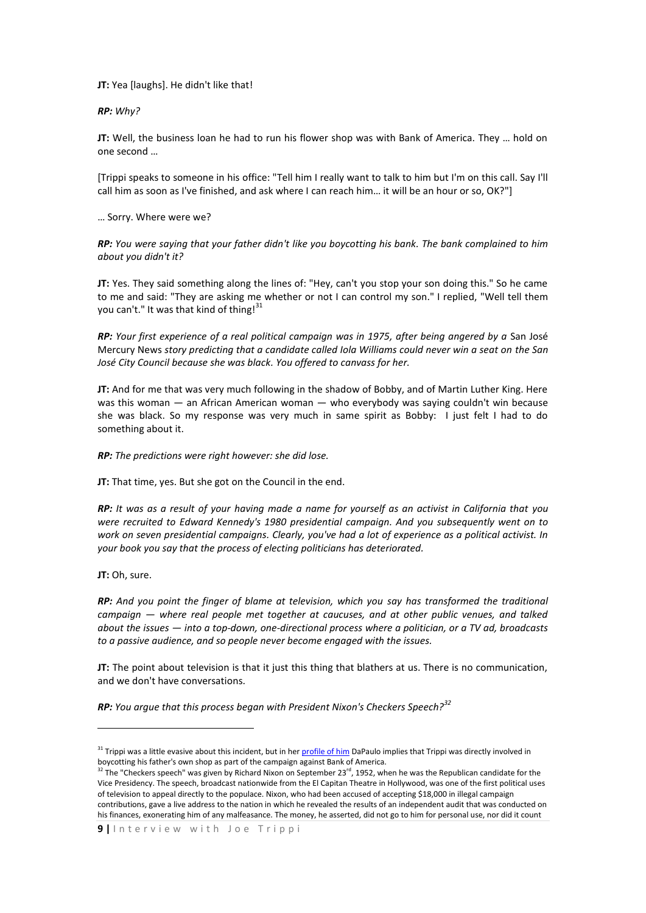**JT:** Yea [laughs]. He didn't like that!

*RP: Why?*

**JT:** Well, the business loan he had to run his flower shop was with Bank of America. They … hold on one second …

[Trippi speaks to someone in his office: "Tell him I really want to talk to him but I'm on this call. Say I'll call him as soon as I've finished, and ask where I can reach him… it will be an hour or so, OK?"]

… Sorry. Where were we?

*RP: You were saying that your father didn't like you boycotting his bank. The bank complained to him about you didn't it?* 

**JT:** Yes. They said something along the lines of: "Hey, can't you stop your son doing this." So he came to me and said: "They are asking me whether or not I can control my son." I replied, "Well tell them you can't." It was that kind of thing!<sup>31</sup>

*RP: Your first experience of a real political campaign was in 1975, after being angered by a* San José Mercury News *story predicting that a candidate called Iola Williams could never win a seat on the San José City Council because she was black. You offered to canvass for her.*

**JT:** And for me that was very much following in the shadow of Bobby, and of Martin Luther King. Here was this woman — an African American woman — who everybody was saying couldn't win because she was black. So my response was very much in same spirit as Bobby: I just felt I had to do something about it.

*RP: The predictions were right however: she did lose.*

**JT:** That time, yes. But she got on the Council in the end.

*RP: It was as a result of your having made a name for yourself as an activist in California that you were recruited to Edward Kennedy's 1980 presidential campaign. And you subsequently went on to work on seven presidential campaigns. Clearly, you've had a lot of experience as a political activist. In your book you say that the process of electing politicians has deteriorated.*

**JT:** Oh, sure.

1

*RP: And you point the finger of blame at television, which you say has transformed the traditional campaign — where real people met together at caucuses, and at other public venues, and talked about the issues — into a top-down, one-directional process where a politician, or a TV ad, broadcasts to a passive audience, and so people never become engaged with the issues.*

**JT:** The point about television is that it just this thing that blathers at us. There is no communication, and we don't have conversations.

*RP: You argue that this process began with President Nixon's Checkers Speech?<sup>32</sup>*

<sup>&</sup>lt;sup>31</sup> Trippi was a little evasive about this incident, but in he[r profile of him](http://men.style.com/gq/features/landing?id=content_5152) DaPaulo implies that Trippi was directly involved in boycotting his father's own shop as part of the campaign against Bank of America.

 $32$  The "Checkers speech" was given by Richard Nixon on September 23<sup>rd</sup>, 1952, when he was the Republican candidate for the Vice Presidency. The speech, broadcast nationwide from the El Capitan Theatre in Hollywood, was one of the first political uses of television to appeal directly to the populace. Nixon, who had been accused of accepting \$18,000 in illegal campaign contributions, gave a live address to the nation in which he revealed the results of an independent audit that was conducted on his finances, exonerating him of any malfeasance. The money, he asserted, did not go to him for personal use, nor did it count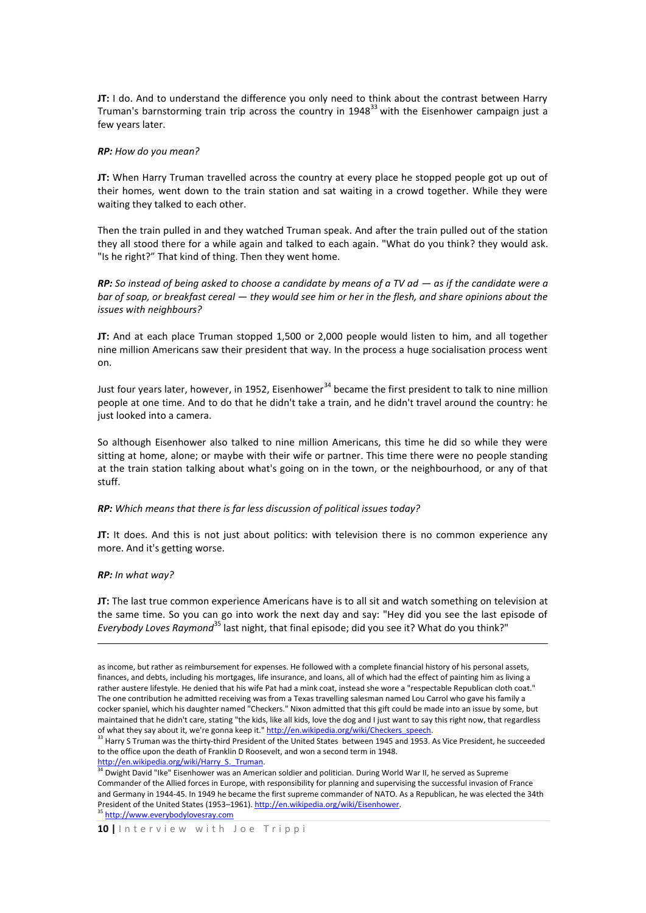**JT:** I do. And to understand the difference you only need to think about the contrast between Harry Truman's barnstorming train trip across the country in  $1948<sup>33</sup>$  with the Eisenhower campaign just a few years later.

#### *RP: How do you mean?*

**JT:** When Harry Truman travelled across the country at every place he stopped people got up out of their homes, went down to the train station and sat waiting in a crowd together. While they were waiting they talked to each other.

Then the train pulled in and they watched Truman speak. And after the train pulled out of the station they all stood there for a while again and talked to each again. "What do you think? they would ask. "Is he right?" That kind of thing. Then they went home.

*RP:* So instead of being asked to choose a candidate by means of a TV ad  $-$  as if the candidate were a *bar of soap, or breakfast cereal — they would see him or her in the flesh, and share opinions about the issues with neighbours?*

**JT:** And at each place Truman stopped 1,500 or 2,000 people would listen to him, and all together nine million Americans saw their president that way. In the process a huge socialisation process went on.

Just four years later, however, in 1952, Eisenhower<sup>34</sup> became the first president to talk to nine million people at one time. And to do that he didn't take a train, and he didn't travel around the country: he just looked into a camera.

So although Eisenhower also talked to nine million Americans, this time he did so while they were sitting at home, alone; or maybe with their wife or partner. This time there were no people standing at the train station talking about what's going on in the town, or the neighbourhood, or any of that stuff.

#### *RP: Which means that there is far less discussion of political issues today?*

**JT:** It does. And this is not just about politics: with television there is no common experience any more. And it's getting worse.

#### *RP: In what way?*

**.** 

**JT:** The last true common experience Americans have is to all sit and watch something on television at the same time. So you can go into work the next day and say: "Hey did you see the last episode of *Everybody Loves Raymond*<sup>35</sup> last night, that final episode; did you see it? What do you think?"

http://en.wikipedia.org/wiki/Harry S. Truman.

as income, but rather as reimbursement for expenses. He followed with a complete financial history of his personal assets, finances, and debts, including his mortgages, life insurance, and loans, all of which had the effect of painting him as living a rather austere lifestyle. He denied that his wife Pat had a mink coat, instead she wore a "respectable Republican cloth coat." The one contribution he admitted receiving was from a Texas travelling salesman named Lou Carrol who gave his family a cocker spaniel, which his daughter named "Checkers." Nixon admitted that this gift could be made into an issue by some, but maintained that he didn't care, stating "the kids, like all kids, love the dog and I just want to say this right now, that regardless of what they say about it, we're gonna keep it." http://en.wikipedia.org/wiki/Checkers\_speech.

 $33$  Harry S Truman was the thirty-third President of the United States between 1945 and 1953. As Vice President, he succeeded to the office upon the death of Franklin D Roosevelt, and won a second term in 1948.

 $34$  Dwight David "Ike" Eisenhower was an American soldier and politician. During World War II, he served as Supreme Commander of the Allied forces in Europe, with responsibility for planning and supervising the successful invasion of France and Germany in 1944-45. In 1949 he became the first supreme commander of NATO. As a Republican, he was elected the 34th President of the United States (1953-1961). [http://en.wikipedia.org/wiki/Eisenhower.](http://en.wikipedia.org/wiki/Eisenhower)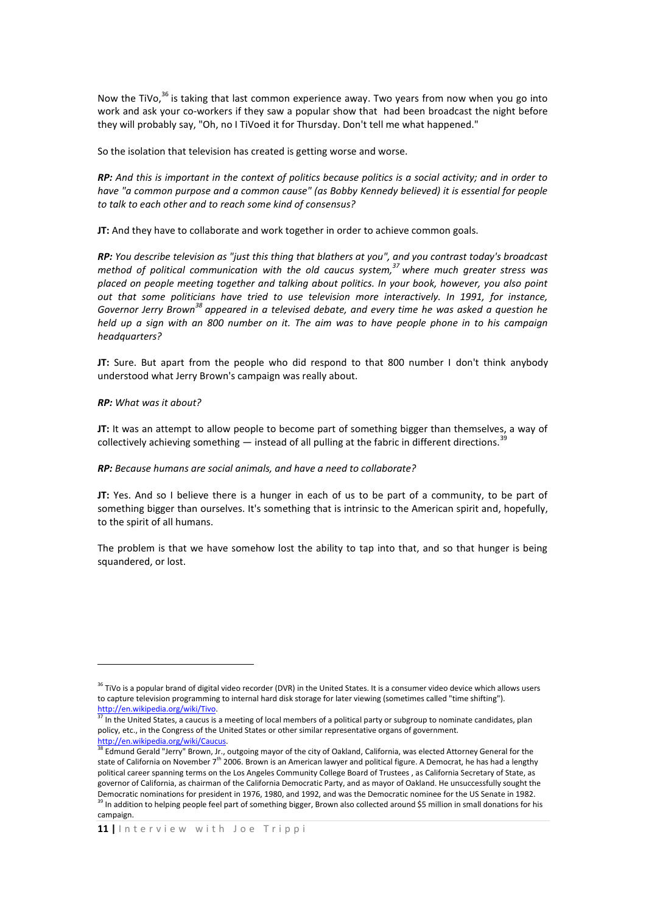Now the TiVo,<sup>36</sup> is taking that last common experience away. Two years from now when you go into work and ask your co-workers if they saw a popular show that had been broadcast the night before they will probably say, "Oh, no I TiVoed it for Thursday. Don't tell me what happened."

So the isolation that television has created is getting worse and worse.

*RP: And this is important in the context of politics because politics is a social activity; and in order to have "a common purpose and a common cause" (as Bobby Kennedy believed) it is essential for people to talk to each other and to reach some kind of consensus?* 

**JT:** And they have to collaborate and work together in order to achieve common goals.

*RP: You describe television as "just this thing that blathers at you", and you contrast today's broadcast method of political communication with the old caucus system,<sup>37</sup> where much greater stress was placed on people meeting together and talking about politics. In your book, however, you also point out that some politicians have tried to use television more interactively. In 1991, for instance, Governor Jerry Brown<sup>38</sup> appeared in a televised debate, and every time he was asked a question he held up a sign with an 800 number on it. The aim was to have people phone in to his campaign headquarters?*

**JT:** Sure. But apart from the people who did respond to that 800 number I don't think anybody understood what Jerry Brown's campaign was really about.

*RP: What was it about?*

**.** 

**JT:** It was an attempt to allow people to become part of something bigger than themselves, a way of collectively achieving something  $-$  instead of all pulling at the fabric in different directions.<sup>39</sup>

### *RP: Because humans are social animals, and have a need to collaborate?*

**JT:** Yes. And so I believe there is a hunger in each of us to be part of a community, to be part of something bigger than ourselves. It's something that is intrinsic to the American spirit and, hopefully, to the spirit of all humans.

The problem is that we have somehow lost the ability to tap into that, and so that hunger is being squandered, or lost.

<sup>&</sup>lt;sup>36</sup> TiVo is a popular brand of digital video recorder (DVR) in the United States. It is a consumer video device which allows users to capture television programming to internal hard disk storage for later viewing (sometimes called "time shifting"). [http://en.wikipedia.org/wiki/Tivo.](http://en.wikipedia.org/wiki/Tivo) 

<sup>&</sup>lt;sup>37</sup> In the United States, a caucus is a meeting of local members of a political party or subgroup to nominate candidates, plan policy, etc., in the Congress of the United States or other similar representative organs of government. [http://en.wikipedia.org/wiki/Caucus.](http://en.wikipedia.org/wiki/Caucus) 

<sup>&</sup>lt;sup>38</sup> Edmund Gerald "Jerry" Brown, Jr., outgoing mayor of the city of Oakland, California, was elected Attorney General for the state of California on November 7<sup>th</sup> 2006. Brown is an American lawyer and political figure. A Democrat, he has had a lengthy political career spanning terms on the Los Angeles Community College Board of Trustees , as California Secretary of State, as governor of California, as chairman of the California Democratic Party, and as mayor of Oakland. He unsuccessfully sought the Democratic nominations for president in 1976, 1980, and 1992, and was the Democratic nominee for the US Senate in 1982. <sup>39</sup> In addition to helping people feel part of something bigger, Brown also collected around \$5 million in small donations for his campaign.

**<sup>11</sup> |** I n t e r v i e w w i t h J o e T r i p p i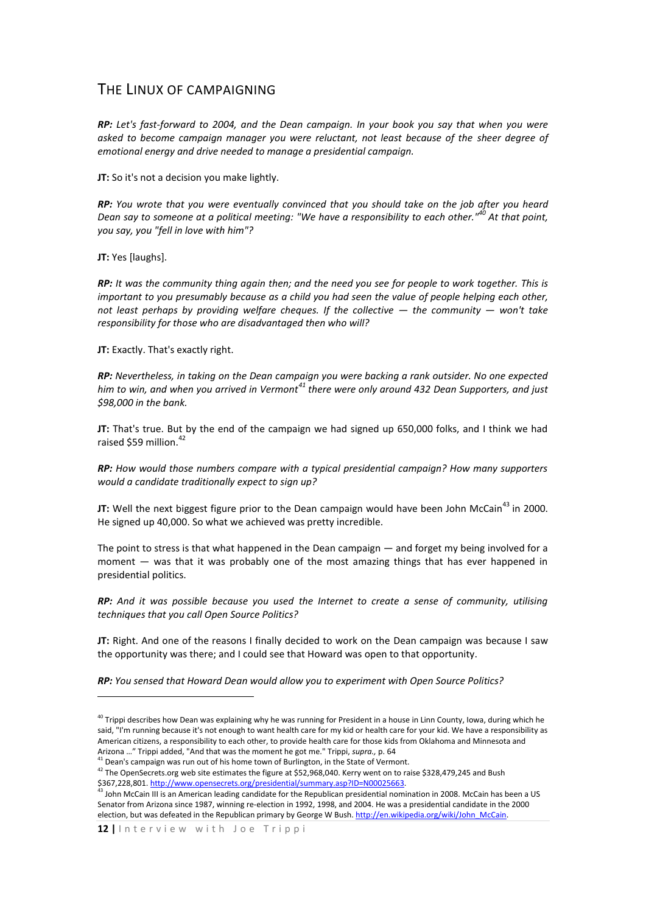## THE LINUX OF CAMPAIGNING

*RP: Let's fast-forward to 2004, and the Dean campaign. In your book you say that when you were asked to become campaign manager you were reluctant, not least because of the sheer degree of emotional energy and drive needed to manage a presidential campaign.*

**JT:** So it's not a decision you make lightly.

*RP: You wrote that you were eventually convinced that you should take on the job after you heard Dean say to someone at a political meeting: "We have a responsibility to each other."<sup>40</sup> At that point, you say, you "fell in love with him"?* 

**JT:** Yes [laughs].

1

*RP: It was the community thing again then; and the need you see for people to work together. This is important to you presumably because as a child you had seen the value of people helping each other, not least perhaps by providing welfare cheques. If the collective*  $-$  *the community*  $-$  *won't take responsibility for those who are disadvantaged then who will?*

**JT:** Exactly. That's exactly right.

*RP: Nevertheless, in taking on the Dean campaign you were backing a rank outsider. No one expected him to win, and when you arrived in Vermont<sup>41</sup> there were only around 432 Dean Supporters, and just \$98,000 in the bank.*

**JT:** That's true. But by the end of the campaign we had signed up 650,000 folks, and I think we had raised \$59 million. $42$ 

*RP: How would those numbers compare with a typical presidential campaign? How many supporters would a candidate traditionally expect to sign up?* 

JT: Well the next biggest figure prior to the Dean campaign would have been John McCain<sup>43</sup> in 2000. He signed up 40,000. So what we achieved was pretty incredible.

The point to stress is that what happened in the Dean campaign — and forget my being involved for a moment — was that it was probably one of the most amazing things that has ever happened in presidential politics.

*RP: And it was possible because you used the Internet to create a sense of community, utilising techniques that you call Open Source Politics?*

**JT:** Right. And one of the reasons I finally decided to work on the Dean campaign was because I saw the opportunity was there; and I could see that Howard was open to that opportunity.

*RP: You sensed that Howard Dean would allow you to experiment with Open Source Politics?*

<sup>&</sup>lt;sup>40</sup> Trippi describes how Dean was explaining why he was running for President in a house in Linn County, Iowa, during which he said, "I'm running because it's not enough to want health care for my kid or health care for your kid. We have a responsibility as American citizens, a responsibility to each other, to provide health care for those kids from Oklahoma and Minnesota and Arizona …" Trippi added, "And that was the moment he got me." Trippi, *supra.,* p. 64

 $41$  Dean's campaign was run out of his home town of Burlington, in the State of Vermont.

<sup>42</sup> The OpenSecrets.org web site estimates the figure at \$52,968,040. Kerry went on to raise \$328,479,245 and Bush \$367,228,801[. http://www.opensecrets.org/presidential/summary.asp?ID=N00025663.](http://www.opensecrets.org/presidential/summary.asp?ID=N00025663) 

 $^{43}$  John McCain III is an American leading candidate for the Republican presidential nomination in 2008. McCain has been a US Senator from Arizona since 1987, winning re-election in 1992, 1998, and 2004. He was a presidential candidate in the 2000 election, but was defeated in the Republican primary by George W Bush. http://en.wikipedia.org/wiki/John\_McCain.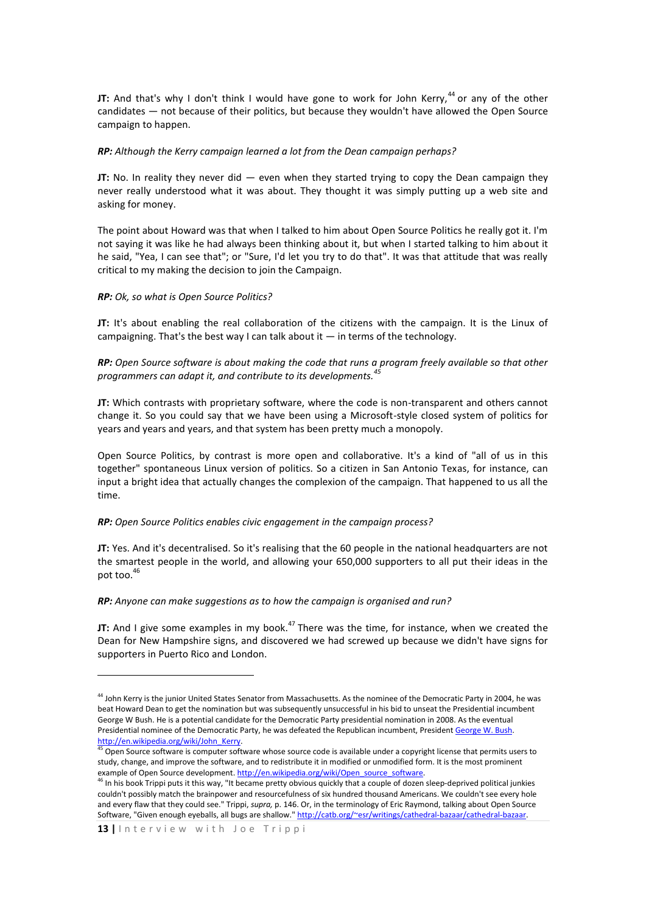**JT:** And that's why I don't think I would have gone to work for John Kerry,<sup>44</sup> or any of the other candidates — not because of their politics, but because they wouldn't have allowed the Open Source campaign to happen.

### *RP: Although the Kerry campaign learned a lot from the Dean campaign perhaps?*

**JT:** No. In reality they never did — even when they started trying to copy the Dean campaign they never really understood what it was about. They thought it was simply putting up a web site and asking for money.

The point about Howard was that when I talked to him about Open Source Politics he really got it. I'm not saying it was like he had always been thinking about it, but when I started talking to him about it he said, "Yea, I can see that"; or "Sure, I'd let you try to do that". It was that attitude that was really critical to my making the decision to join the Campaign.

## *RP: Ok, so what is Open Source Politics?*

**JT:** It's about enabling the real collaboration of the citizens with the campaign. It is the Linux of campaigning. That's the best way I can talk about it  $-$  in terms of the technology.

## *RP: Open Source software is about making the code that runs a program freely available so that other programmers can adapt it, and contribute to its developments.<sup>45</sup>*

**JT:** Which contrasts with proprietary software, where the code is non-transparent and others cannot change it. So you could say that we have been using a Microsoft-style closed system of politics for years and years and years, and that system has been pretty much a monopoly.

Open Source Politics, by contrast is more open and collaborative. It's a kind of "all of us in this together" spontaneous Linux version of politics. So a citizen in San Antonio Texas, for instance, can input a bright idea that actually changes the complexion of the campaign. That happened to us all the time.

## *RP: Open Source Politics enables civic engagement in the campaign process?*

**JT:** Yes. And it's decentralised. So it's realising that the 60 people in the national headquarters are not the smartest people in the world, and allowing your 650,000 supporters to all put their ideas in the pot too.<sup>46</sup>

## *RP: Anyone can make suggestions as to how the campaign is organised and run?*

**JT:** And I give some examples in my book.<sup>47</sup> There was the time, for instance, when we created the Dean for New Hampshire signs, and discovered we had screwed up because we didn't have signs for supporters in Puerto Rico and London.

**.** 

<sup>44</sup> John Kerry is the junior United States Senator from Massachusetts. As the nominee of the Democratic Party in 2004, he was beat Howard Dean to get the nomination but was subsequently unsuccessful in his bid to unseat the Presidential incumbent George W Bush. He is a potential candidate for the Democratic Party presidential nomination in 2008. As the eventual Presidential nominee of the Democratic Party, he was defeated the Republican incumbent, President [George W. Bush.](http://en.wikipedia.org/wiki/George_W._Bush) http://en.wikipedia.org/wiki/John\_Kerry.

<sup>&</sup>lt;sup>45</sup> Open Source software is computer software whose source code is available under a copyright license that permits users to study, change, and improve the software, and to redistribute it in modified or unmodified form. It is the most prominent example of Open Source development[. http://en.wikipedia.org/wiki/Open\\_source\\_software.](http://en.wikipedia.org/wiki/Open_source_software)

<sup>&</sup>lt;sup>46</sup> In his book Trippi puts it this way, "It became pretty obvious quickly that a couple of dozen sleep-deprived political junkies couldn't possibly match the brainpower and resourcefulness of six hundred thousand Americans. We couldn't see every hole and every flaw that they could see." Trippi, *supra,* p. 146. Or, in the terminology of Eric Raymond, talking about Open Source Software, "Given enough eyeballs, all bugs are shallow." http://catb.org/~esr/writings/cathedral-bazaar/cathedral-bazaar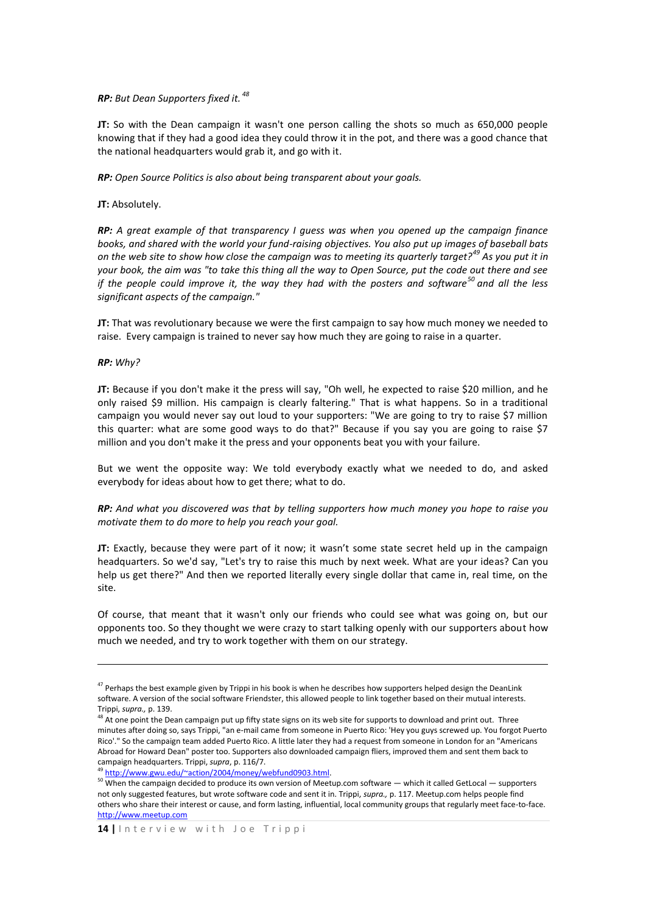## *RP: But Dean Supporters fixed it. 48*

**JT:** So with the Dean campaign it wasn't one person calling the shots so much as 650,000 people knowing that if they had a good idea they could throw it in the pot, and there was a good chance that the national headquarters would grab it, and go with it.

*RP: Open Source Politics is also about being transparent about your goals.* 

## **JT:** Absolutely.

*RP: A great example of that transparency I guess was when you opened up the campaign finance books, and shared with the world your fund-raising objectives. You also put up images of baseball bats on the web site to show how close the campaign was to meeting its quarterly target?<sup>49</sup> As you put it in your book, the aim was "to take this thing all the way to Open Source, put the code out there and see if the people could improve it, the way they had with the posters and software<sup>50</sup> and all the less significant aspects of the campaign."*

**JT:** That was revolutionary because we were the first campaign to say how much money we needed to raise. Every campaign is trained to never say how much they are going to raise in a quarter.

### *RP: Why?*

**.** 

**JT:** Because if you don't make it the press will say, "Oh well, he expected to raise \$20 million, and he only raised \$9 million. His campaign is clearly faltering." That is what happens. So in a traditional campaign you would never say out loud to your supporters: "We are going to try to raise \$7 million this quarter: what are some good ways to do that?" Because if you say you are going to raise \$7 million and you don't make it the press and your opponents beat you with your failure.

But we went the opposite way: We told everybody exactly what we needed to do, and asked everybody for ideas about how to get there; what to do.

*RP: And what you discovered was that by telling supporters how much money you hope to raise you motivate them to do more to help you reach your goal.*

**JT:** Exactly, because they were part of it now; it wasn't some state secret held up in the campaign headquarters. So we'd say, "Let's try to raise this much by next week. What are your ideas? Can you help us get there?" And then we reported literally every single dollar that came in, real time, on the site.

Of course, that meant that it wasn't only our friends who could see what was going on, but our opponents too. So they thought we were crazy to start talking openly with our supporters about how much we needed, and try to work together with them on our strategy.

http://www.gwu.edu/~action/2004/money/webfund0903.html.

<sup>&</sup>lt;sup>47</sup> Perhaps the best example given by Trippi in his book is when he describes how supporters helped design the DeanLink software. A version of the social software Friendster, this allowed people to link together based on their mutual interests. Trippi, *supra.,* p. 139.

 $48$  At one point the Dean campaign put up fifty state signs on its web site for supports to download and print out. Three minutes after doing so, says Trippi, "an e-mail came from someone in Puerto Rico: 'Hey you guys screwed up. You forgot Puerto Rico'." So the campaign team added Puerto Rico. A little later they had a request from someone in London for an "Americans Abroad for Howard Dean" poster too. Supporters also downloaded campaign fliers, improved them and sent them back to campaign headquarters. Trippi, *supra*, p. 116/7.

<sup>50</sup> When the campaign decided to produce its own version of Meetup.com software — which it called GetLocal — supporters not only suggested features, but wrote software code and sent it in. Trippi, *supra.,* p. 117. Meetup.com helps people find others who share their interest or cause, and form lasting, influential, local community groups that regularly meet face-to-face. [http://www.meetup.com](http://www.meetup.com/)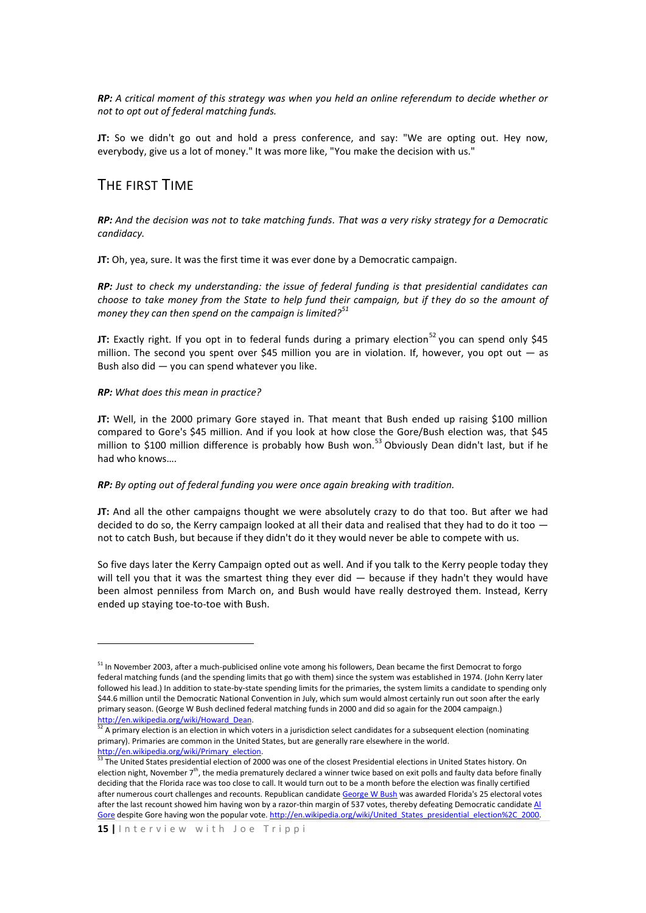*RP: A critical moment of this strategy was when you held an online referendum to decide whether or not to opt out of federal matching funds.*

**JT:** So we didn't go out and hold a press conference, and say: "We are opting out. Hey now, everybody, give us a lot of money." It was more like, "You make the decision with us."

## THE FIRST TIME

*RP: And the decision was not to take matching funds. That was a very risky strategy for a Democratic candidacy.*

**JT:** Oh, yea, sure. It was the first time it was ever done by a Democratic campaign.

*RP: Just to check my understanding: the issue of federal funding is that presidential candidates can choose to take money from the State to help fund their campaign, but if they do so the amount of money they can then spend on the campaign is limited?<sup>51</sup>*

**JT:** Exactly right. If you opt in to federal funds during a primary election<sup>52</sup> you can spend only \$45 million. The second you spent over \$45 million you are in violation. If, however, you opt out — as Bush also did — you can spend whatever you like.

#### *RP: What does this mean in practice?*

**.** 

**JT:** Well, in the 2000 primary Gore stayed in. That meant that Bush ended up raising \$100 million compared to Gore's \$45 million. And if you look at how close the Gore/Bush election was, that \$45 million to \$100 million difference is probably how Bush won.<sup>53</sup> Obviously Dean didn't last, but if he had who knows….

#### *RP: By opting out of federal funding you were once again breaking with tradition.*

**JT:** And all the other campaigns thought we were absolutely crazy to do that too. But after we had decided to do so, the Kerry campaign looked at all their data and realised that they had to do it too not to catch Bush, but because if they didn't do it they would never be able to compete with us.

So five days later the Kerry Campaign opted out as well. And if you talk to the Kerry people today they will tell you that it was the smartest thing they ever did — because if they hadn't they would have been almost penniless from March on, and Bush would have really destroyed them. Instead, Kerry ended up staying toe-to-toe with Bush.

<sup>&</sup>lt;sup>51</sup> In November 2003, after a much-publicised online vote among his followers, Dean became the first Democrat to forgo federal matching funds (and the spending limits that go with them) since the system was established in 1974. (John Kerry later followed his lead.) In addition to state-by-state spending limits for the primaries, the system limits a candidate to spending only \$44.6 million until the Democratic National Convention in July, which sum would almost certainly run out soon after the early primary season. (George W Bush declined federal matching funds in 2000 and did so again for the 2004 campaign.) [http://en.wikipedia.org/wiki/Howard\\_Dean.](http://en.wikipedia.org/wiki/Howard_Dean)

<sup>52</sup> A primary election is an election in which voters in a jurisdiction select candidates for a subsequent election (nominating primary). Primaries are common in the United States, but are generally rare elsewhere in the world. http://en.wikipedia.org/wiki/Primary\_election.

<sup>&</sup>lt;sup>53</sup> The United States presidential election of 2000 was one of the closest Presidential elections in United States history. On election night, November  $7<sup>th</sup>$ , the media prematurely declared a winner twice based on exit polls and faulty data before finally deciding that the Florida race was too close to call. It would turn out to be a month before the election was finally certified after numerous court challenges and recounts. Republican candidate [George W Bush](http://en.wikipedia.org/wiki/George_W._Bush) was awarded Florida's 25 electoral votes after the last recount showed him having won by a razor-thin margin of 537 votes, thereby defeating Democratic candidate Al [Gore](http://en.wikipedia.org/wiki/Al_Gore) despite Gore having won the popular vote. http://en.wikipedia.org/wiki/United States\_presidential\_election%2C\_2000.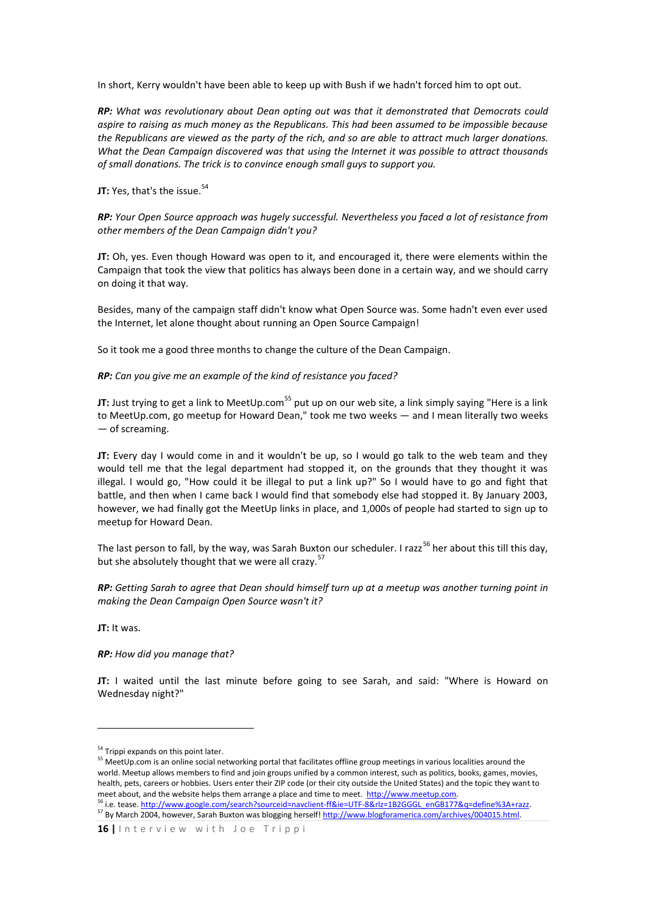In short, Kerry wouldn't have been able to keep up with Bush if we hadn't forced him to opt out.

*RP: What was revolutionary about Dean opting out was that it demonstrated that Democrats could aspire to raising as much money as the Republicans. This had been assumed to be impossible because the Republicans are viewed as the party of the rich, and so are able to attract much larger donations. What the Dean Campaign discovered was that using the Internet it was possible to attract thousands of small donations. The trick is to convince enough small guys to support you.* 

**JT:** Yes, that's the issue. 54

*RP: Your Open Source approach was hugely successful. Nevertheless you faced a lot of resistance from other members of the Dean Campaign didn't you?*

**JT:** Oh, yes. Even though Howard was open to it, and encouraged it, there were elements within the Campaign that took the view that politics has always been done in a certain way, and we should carry on doing it that way.

Besides, many of the campaign staff didn't know what Open Source was. Some hadn't even ever used the Internet, let alone thought about running an Open Source Campaign!

So it took me a good three months to change the culture of the Dean Campaign.

*RP: Can you give me an example of the kind of resistance you faced?*

**JT:** Just trying to get a link to MeetUp.com<sup>55</sup> put up on our web site, a link simply saying "Here is a link to MeetUp.com, go meetup for Howard Dean," took me two weeks — and I mean literally two weeks — of screaming.

**JT:** Every day I would come in and it wouldn't be up, so I would go talk to the web team and they would tell me that the legal department had stopped it, on the grounds that they thought it was illegal. I would go, "How could it be illegal to put a link up?" So I would have to go and fight that battle, and then when I came back I would find that somebody else had stopped it. By January 2003, however, we had finally got the MeetUp links in place, and 1,000s of people had started to sign up to meetup for Howard Dean.

The last person to fall, by the way, was Sarah Buxton our scheduler. I razz<sup>56</sup> her about this till this day, but she absolutely thought that we were all crazy.<sup>5</sup>

*RP: Getting Sarah to agree that Dean should himself turn up at a meetup was another turning point in making the Dean Campaign Open Source wasn't it?*

**JT:** It was.

1

*RP: How did you manage that?*

**JT:** I waited until the last minute before going to see Sarah, and said: "Where is Howard on Wednesday night?"

<sup>56</sup> i.e. tease[. http://www.google.com/search?sourceid=navclient-ff&ie=UTF-8&rlz=1B2GGGL\\_enGB177&q=define%3A+razz.](http://www.google.com/search?sourceid=navclient-ff&ie=UTF-8&rlz=1B2GGGL_enGB177&q=define%3A+razz)  <sup>57</sup> By March 2004, however, Sarah Buxton was blogging herself[! http://www.blogforamerica.com/archives/004015.html.](http://www.blogforamerica.com/archives/004015.html) 

<sup>&</sup>lt;sup>54</sup> Trippi expands on this point later.

<sup>&</sup>lt;sup>55</sup> MeetUp.com is an online social networking portal that facilitates offline group meetings in various localities around the world. Meetup allows members to find and join groups unified by a common interest, such as politics, books, games, movies, health, pets, careers or hobbies. Users enter their ZIP code (or their city outside the United States) and the topic they want to meet about, and the website helps them arrange a place and time to meet. http://www.meetup.com.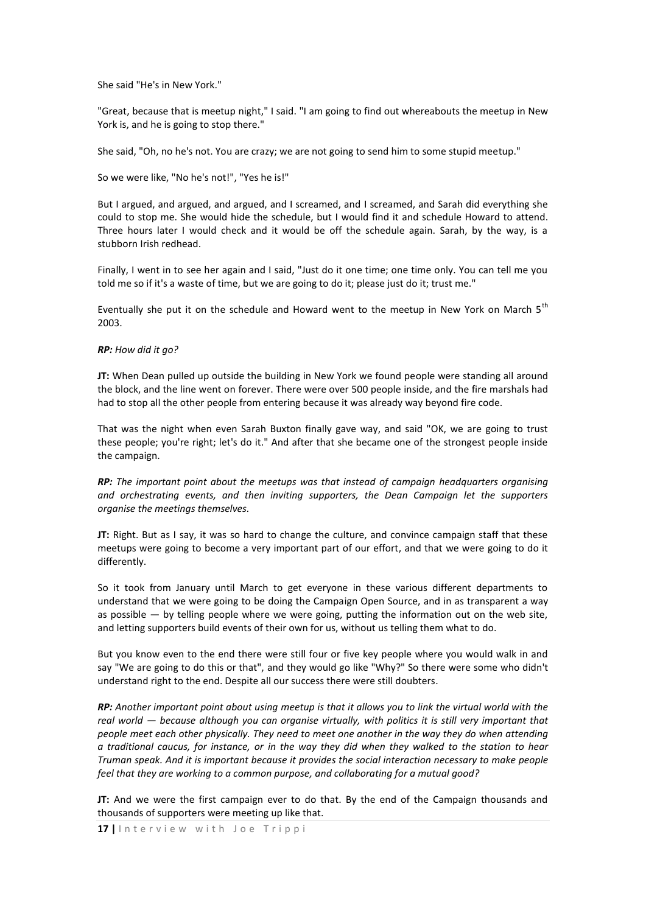She said "He's in New York."

"Great, because that is meetup night," I said. "I am going to find out whereabouts the meetup in New York is, and he is going to stop there."

She said, "Oh, no he's not. You are crazy; we are not going to send him to some stupid meetup."

So we were like, "No he's not!", "Yes he is!"

But I argued, and argued, and argued, and I screamed, and I screamed, and Sarah did everything she could to stop me. She would hide the schedule, but I would find it and schedule Howard to attend. Three hours later I would check and it would be off the schedule again. Sarah, by the way, is a stubborn Irish redhead.

Finally, I went in to see her again and I said, "Just do it one time; one time only. You can tell me you told me so if it's a waste of time, but we are going to do it; please just do it; trust me."

Eventually she put it on the schedule and Howard went to the meetup in New York on March  $5<sup>th</sup>$ 2003.

#### *RP: How did it go?*

**JT:** When Dean pulled up outside the building in New York we found people were standing all around the block, and the line went on forever. There were over 500 people inside, and the fire marshals had had to stop all the other people from entering because it was already way beyond fire code.

That was the night when even Sarah Buxton finally gave way, and said "OK, we are going to trust these people; you're right; let's do it." And after that she became one of the strongest people inside the campaign.

*RP: The important point about the meetups was that instead of campaign headquarters organising and orchestrating events, and then inviting supporters, the Dean Campaign let the supporters organise the meetings themselves.*

**JT:** Right. But as I say, it was so hard to change the culture, and convince campaign staff that these meetups were going to become a very important part of our effort, and that we were going to do it differently.

So it took from January until March to get everyone in these various different departments to understand that we were going to be doing the Campaign Open Source, and in as transparent a way as possible — by telling people where we were going, putting the information out on the web site, and letting supporters build events of their own for us, without us telling them what to do.

But you know even to the end there were still four or five key people where you would walk in and say "We are going to do this or that", and they would go like "Why?" So there were some who didn't understand right to the end. Despite all our success there were still doubters.

*RP: Another important point about using meetup is that it allows you to link the virtual world with the real world — because although you can organise virtually, with politics it is still very important that people meet each other physically. They need to meet one another in the way they do when attending a traditional caucus, for instance, or in the way they did when they walked to the station to hear Truman speak. And it is important because it provides the social interaction necessary to make people feel that they are working to a common purpose, and collaborating for a mutual good?*

**JT:** And we were the first campaign ever to do that. By the end of the Campaign thousands and thousands of supporters were meeting up like that.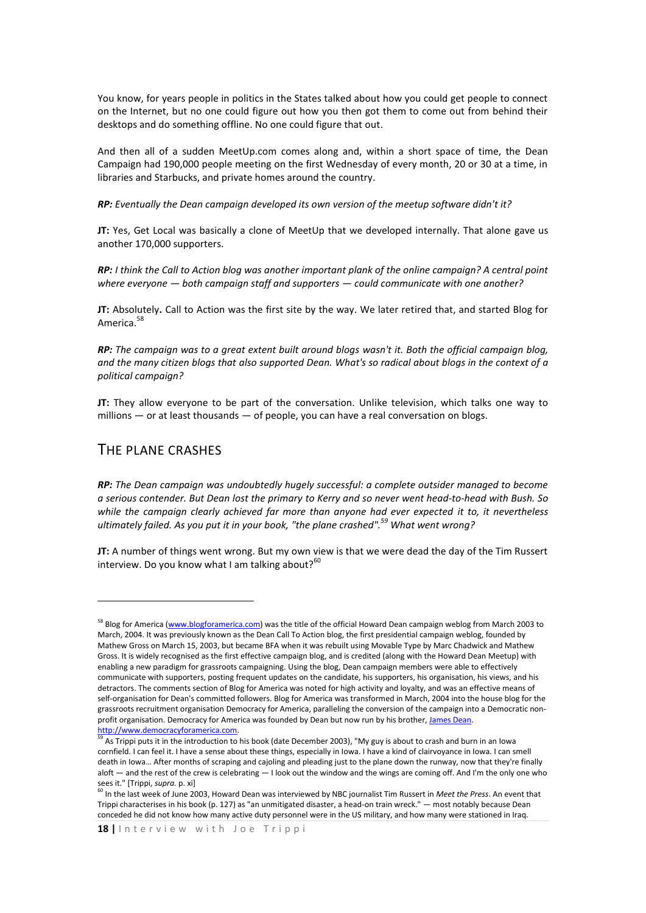You know, for years people in politics in the States talked about how you could get people to connect on the Internet, but no one could figure out how you then got them to come out from behind their desktops and do something offline. No one could figure that out.

And then all of a sudden MeetUp.com comes along and, within a short space of time, the Dean Campaign had 190,000 people meeting on the first Wednesday of every month, 20 or 30 at a time, in libraries and Starbucks, and private homes around the country.

*RP: Eventually the Dean campaign developed its own version of the meetup software didn't it?*

**JT:** Yes, Get Local was basically a clone of MeetUp that we developed internally. That alone gave us another 170,000 supporters.

*RP: I think the Call to Action blog was another important plank of the online campaign? A central point where everyone — both campaign staff and supporters — could communicate with one another?*

**JT:** Absolutely**.** Call to Action was the first site by the way. We later retired that, and started Blog for America.<sup>58</sup>

*RP: The campaign was to a great extent built around blogs wasn't it. Both the official campaign blog, and the many citizen blogs that also supported Dean. What's so radical about blogs in the context of a political campaign?*

**JT:** They allow everyone to be part of the conversation. Unlike television, which talks one way to millions — or at least thousands — of people, you can have a real conversation on blogs.

## THE PLANE CRASHES

<u>.</u>

*RP: The Dean campaign was undoubtedly hugely successful: a complete outsider managed to become a serious contender. But Dean lost the primary to Kerry and so never went head-to-head with Bush. So while the campaign clearly achieved far more than anyone had ever expected it to, it nevertheless ultimately failed. As you put it in your book, "the plane crashed". <sup>59</sup> What went wrong?*

**JT:** A number of things went wrong. But my own view is that we were dead the day of the Tim Russert interview. Do you know what I am talking about?<sup>60</sup>

<sup>&</sup>lt;sup>58</sup> Blog for America [\(www.blogforamerica.com\)](http://www.blogforamerica.com/) was the title of the official Howard Dean campaign weblog from March 2003 to March, 2004. It was previously known as the Dean Call To Action blog, the first presidential campaign weblog, founded by Mathew Gross on March 15, 2003, but became BFA when it was rebuilt using Movable Type by Marc Chadwick and Mathew Gross. It is widely recognised as the first effective campaign blog, and is credited (along with the Howard Dean Meetup) with enabling a new paradigm for grassroots campaigning. Using the blog, Dean campaign members were able to effectively communicate with supporters, posting frequent updates on the candidate, his supporters, his organisation, his views, and his detractors. The comments section of Blog for America was noted for high activity and loyalty, and was an effective means of self-organisation for Dean's committed followers. Blog for America was transformed in March, 2004 into the house blog for the grassroots recruitment organisation Democracy for America, paralleling the conversion of the campaign into a Democratic nonprofit organisation. Democracy for America was founded by Dean but now run by his brother, James Dean. [http://www.democracyforamerica.com.](http://www.democracyforamerica.com/) 

<sup>59</sup> As Trippi puts it in the introduction to his book (date December 2003), "My guy is about to crash and burn in an Iowa cornfield. I can feel it. I have a sense about these things, especially in Iowa. I have a kind of clairvoyance in Iowa. I can smell death in Iowa… After months of scraping and cajoling and pleading just to the plane down the runway, now that they're finally aloft — and the rest of the crew is celebrating — I look out the window and the wings are coming off. And I'm the only one who sees it." [Trippi, *supra.* p. xi]

<sup>60</sup> In the last week of June 2003, Howard Dean was interviewed by NBC journalist Tim Russert in *Meet the Press*. An event that Trippi characterises in his book (p. 127) as "an unmitigated disaster, a head-on train wreck." — most notably because Dean conceded he did not know how many active duty personnel were in the US military, and how many were stationed in Iraq.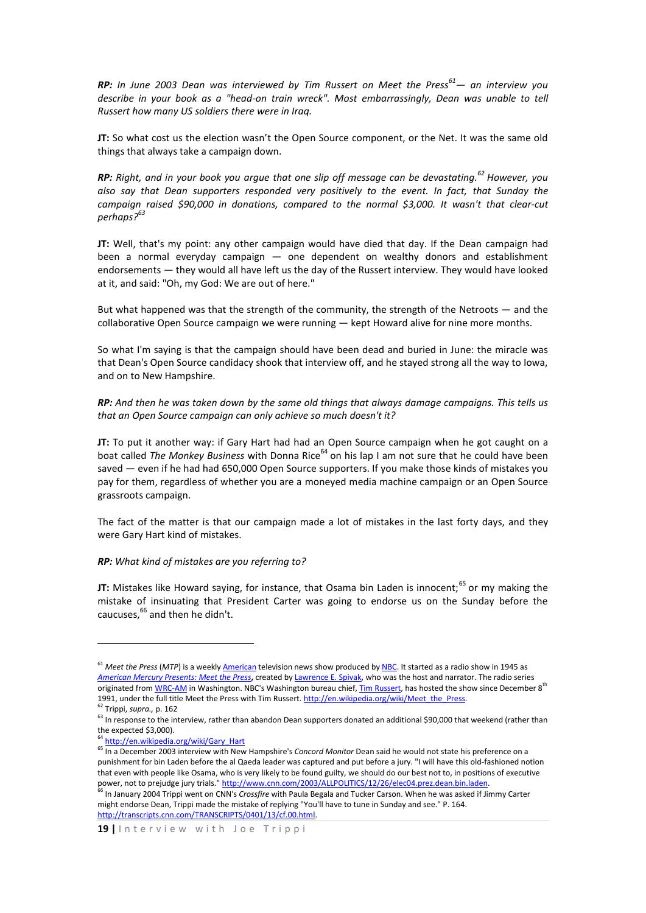*RP: In June 2003 Dean was interviewed by Tim Russert on Meet the Press<sup>61</sup>— an interview you describe in your book as a "head-on train wreck". Most embarrassingly, Dean was unable to tell Russert how many US soldiers there were in Iraq.* 

**JT:** So what cost us the election wasn't the Open Source component, or the Net. It was the same old things that always take a campaign down.

*RP: Right, and in your book you argue that one slip off message can be devastating.<sup>62</sup> However, you also say that Dean supporters responded very positively to the event. In fact, that Sunday the campaign raised \$90,000 in donations, compared to the normal \$3,000. It wasn't that clear-cut perhaps? 63*

**JT:** Well, that's my point: any other campaign would have died that day. If the Dean campaign had been a normal everyday campaign — one dependent on wealthy donors and establishment endorsements — they would all have left us the day of the Russert interview. They would have looked at it, and said: "Oh, my God: We are out of here."

But what happened was that the strength of the community, the strength of the Netroots — and the collaborative Open Source campaign we were running — kept Howard alive for nine more months.

So what I'm saying is that the campaign should have been dead and buried in June: the miracle was that Dean's Open Source candidacy shook that interview off, and he stayed strong all the way to Iowa, and on to New Hampshire.

*RP: And then he was taken down by the same old things that always damage campaigns. This tells us that an Open Source campaign can only achieve so much doesn't it?*

**JT:** To put it another way: if Gary Hart had had an Open Source campaign when he got caught on a boat called *The Monkey Business* with Donna Rice<sup>64</sup> on his lap I am not sure that he could have been saved — even if he had had 650,000 Open Source supporters. If you make those kinds of mistakes you pay for them, regardless of whether you are a moneyed media machine campaign or an Open Source grassroots campaign.

The fact of the matter is that our campaign made a lot of mistakes in the last forty days, and they were Gary Hart kind of mistakes.

#### *RP: What kind of mistakes are you referring to?*

**JT:** Mistakes like Howard saying, for instance, that Osama bin Laden is innocent;<sup>65</sup> or my making the mistake of insinuating that President Carter was going to endorse us on the Sunday before the caucuses, <sup>66</sup> and then he didn't.

**.** 

<sup>&</sup>lt;sup>61</sup> *Meet the Press* (MTP) is a weekl[y American](http://en.wikipedia.org/wiki/United_States) television news show produced b[y NBC.](http://en.wikipedia.org/wiki/NBC) It started as a radio show in 1945 as *[American Mercury Presents: Meet the Press](http://en.wikipedia.org/wiki/The_American_Mercury)***,** created b[y Lawrence E. Spivak,](http://en.wikipedia.org/wiki/Lawrence_E._Spivak) who was the host and narrator. The radio series originated from [WRC-AM](http://en.wikipedia.org/wiki/WWRC) in Washington. NBC's Washington bureau chief[, Tim Russert,](http://en.wikipedia.org/wiki/Tim_Russert) has hosted the show since December 8<sup>th</sup> 1991, under the full title Meet the Press with Tim Russert. http://en.wikipedia.org/wiki/Meet\_the\_Press.

<sup>62</sup> Trippi, *supra.,* p. 162

<sup>&</sup>lt;sup>63</sup> In response to the interview, rather than abandon Dean supporters donated an additional \$90,000 that weekend (rather than the expected \$3,000).

<sup>&</sup>lt;sup>64</sup> [http://en.wikipedia.org/wiki/Gary\\_Hart](http://en.wikipedia.org/wiki/Gary_Hart)

<sup>65</sup> In a December 2003 interview with New Hampshire's *Concord Monitor* Dean said he would not state his preference on a punishment for bin Laden before the al Qaeda leader was captured and put before a jury. "I will have this old-fashioned notion that even with people like Osama, who is very likely to be found guilty, we should do our best not to, in positions of executive power, not to prejudge jury trials.[" http://www.cnn.com/2003/ALLPOLITICS/12/26/elec04.prez.dean.bin.laden.](http://www.cnn.com/2003/ALLPOLITICS/12/26/elec04.prez.dean.bin.laden)

<sup>66</sup> In January 2004 Trippi went on CNN's *Crossfire* with Paula Begala and Tucker Carson. When he was asked if Jimmy Carter might endorse Dean, Trippi made the mistake of replying "You'll have to tune in Sunday and see." P. 164. [http://transcripts.cnn.com/TRANSCRIPTS/0401/13/cf.00.html.](http://transcripts.cnn.com/TRANSCRIPTS/0401/13/cf.00.html)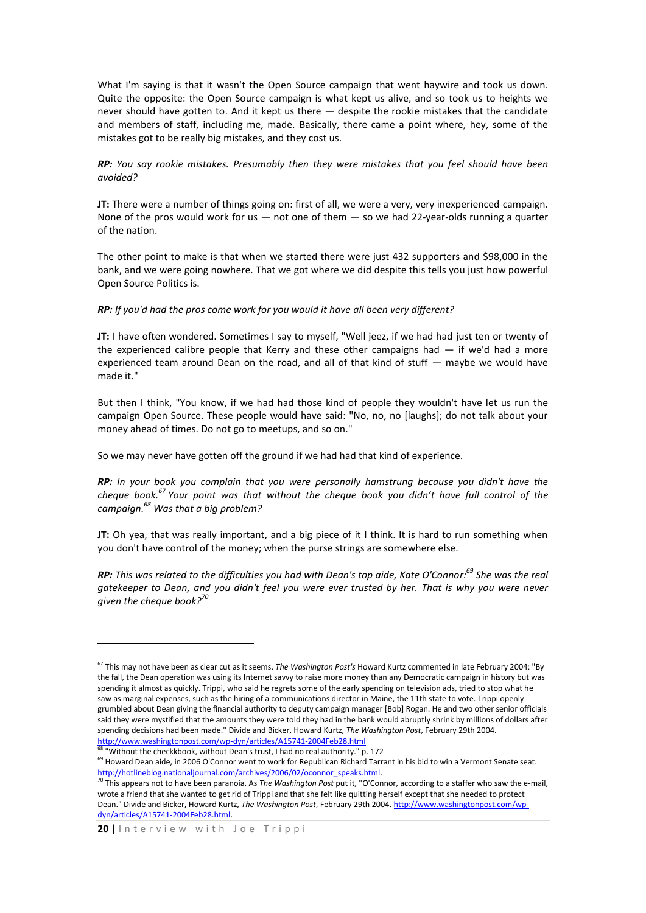What I'm saying is that it wasn't the Open Source campaign that went haywire and took us down. Quite the opposite: the Open Source campaign is what kept us alive, and so took us to heights we never should have gotten to. And it kept us there — despite the rookie mistakes that the candidate and members of staff, including me, made. Basically, there came a point where, hey, some of the mistakes got to be really big mistakes, and they cost us.

## *RP: You say rookie mistakes. Presumably then they were mistakes that you feel should have been avoided?*

**JT:** There were a number of things going on: first of all, we were a very, very inexperienced campaign. None of the pros would work for us  $-$  not one of them  $-$  so we had 22-year-olds running a quarter of the nation.

The other point to make is that when we started there were just 432 supporters and \$98,000 in the bank, and we were going nowhere. That we got where we did despite this tells you just how powerful Open Source Politics is.

## *RP: If you'd had the pros come work for you would it have all been very different?*

**JT:** I have often wondered. Sometimes I say to myself, "Well jeez, if we had had just ten or twenty of the experienced calibre people that Kerry and these other campaigns had  $-$  if we'd had a more experienced team around Dean on the road, and all of that kind of stuff — maybe we would have made it."

But then I think, "You know, if we had had those kind of people they wouldn't have let us run the campaign Open Source. These people would have said: "No, no, no [laughs]; do not talk about your money ahead of times. Do not go to meetups, and so on."

So we may never have gotten off the ground if we had had that kind of experience.

*RP: In your book you complain that you were personally hamstrung because you didn't have the cheque book.<sup>67</sup> Your point was that without the cheque book you didn't have full control of the campaign. <sup>68</sup> Was that a big problem?* 

**JT:** Oh yea, that was really important, and a big piece of it I think. It is hard to run something when you don't have control of the money; when the purse strings are somewhere else.

*RP: This was related to the difficulties you had with Dean's top aide, Kate O'Connor: <sup>69</sup> She was the real gatekeeper to Dean, and you didn't feel you were ever trusted by her. That is why you were never given the cheque book?<sup>70</sup>*

**.** 

<sup>67</sup> This may not have been as clear cut as it seems. *The Washington Post's* Howard Kurtz commented in late February 2004: "By the fall, the Dean operation was using its Internet savvy to raise more money than any Democratic campaign in history but was spending it almost as quickly. Trippi, who said he regrets some of the early spending on television ads, tried to stop what he saw as marginal expenses, such as the hiring of a communications director in Maine, the 11th state to vote. Trippi openly grumbled about Dean giving the financial authority to deputy campaign manager [Bob] Rogan. He and two other senior officials said they were mystified that the amounts they were told they had in the bank would abruptly shrink by millions of dollars after spending decisions had been made." Divide and Bicker, Howard Kurtz, *The Washington Post*, February 29th 2004. <http://www.washingtonpost.com/wp-dyn/articles/A15741-2004Feb28.html>

 $^{68}$  "Without the checkkbook, without Dean's trust, I had no real authority." p. 172

<sup>&</sup>lt;sup>69</sup> Howard Dean aide, in 2006 O'Connor went to work for Republican Richard Tarrant in his bid to win a Vermont Senate seat. http://hotlineblog.nationaljournal.com/archives/2006/02/oconnor\_speaks.html.

<sup>70</sup> This appears not to have been paranoia. As *The Washington Post* put it, "O'Connor, according to a staffer who saw the e-mail, wrote a friend that she wanted to get rid of Trippi and that she felt like quitting herself except that she needed to protect Dean." Divide and Bicker, Howard Kurtz, *The Washington Post*, February 29th 2004[. http://www.washingtonpost.com/wp](http://www.washingtonpost.com/wp-dyn/articles/A15741-2004Feb28.html)[dyn/articles/A15741-2004Feb28.html.](http://www.washingtonpost.com/wp-dyn/articles/A15741-2004Feb28.html)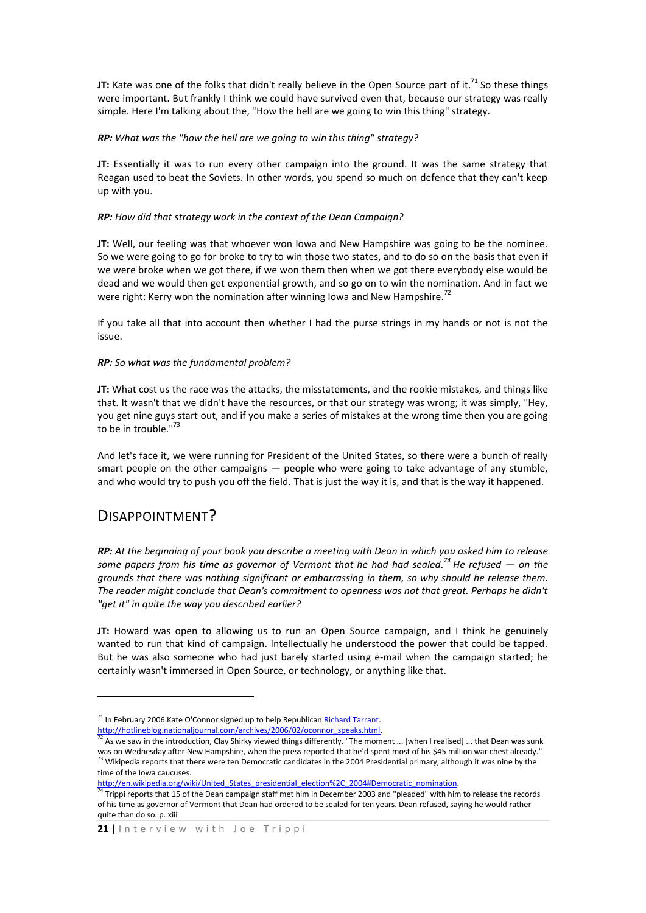**JT:** Kate was one of the folks that didn't really believe in the Open Source part of it.<sup>71</sup> So these things were important. But frankly I think we could have survived even that, because our strategy was really simple. Here I'm talking about the, "How the hell are we going to win this thing" strategy.

## *RP: What was the "how the hell are we going to win this thing" strategy?*

**JT:** Essentially it was to run every other campaign into the ground. It was the same strategy that Reagan used to beat the Soviets. In other words, you spend so much on defence that they can't keep up with you.

### *RP: How did that strategy work in the context of the Dean Campaign?*

**JT:** Well, our feeling was that whoever won Iowa and New Hampshire was going to be the nominee. So we were going to go for broke to try to win those two states, and to do so on the basis that even if we were broke when we got there, if we won them then when we got there everybody else would be dead and we would then get exponential growth, and so go on to win the nomination. And in fact we were right: Kerry won the nomination after winning Iowa and New Hampshire.<sup>72</sup>

If you take all that into account then whether I had the purse strings in my hands or not is not the issue.

## *RP: So what was the fundamental problem?*

**JT:** What cost us the race was the attacks, the misstatements, and the rookie mistakes, and things like that. It wasn't that we didn't have the resources, or that our strategy was wrong; it was simply, "Hey, you get nine guys start out, and if you make a series of mistakes at the wrong time then you are going to be in trouble." $^{73}$ 

And let's face it, we were running for President of the United States, so there were a bunch of really smart people on the other campaigns — people who were going to take advantage of any stumble, and who would try to push you off the field. That is just the way it is, and that is the way it happened.

## DISAPPOINTMENT?

1

*RP: At the beginning of your book you describe a meeting with Dean in which you asked him to release some papers from his time as governor of Vermont that he had had sealed. <sup>74</sup> He refused — on the grounds that there was nothing significant or embarrassing in them, so why should he release them. The reader might conclude that Dean's commitment to openness was not that great. Perhaps he didn't "get it" in quite the way you described earlier?*

**JT:** Howard was open to allowing us to run an Open Source campaign, and I think he genuinely wanted to run that kind of campaign. Intellectually he understood the power that could be tapped. But he was also someone who had just barely started using e-mail when the campaign started; he certainly wasn't immersed in Open Source, or technology, or anything like that.

http://en.wikipedia.org/wiki/United States presidential election%2C\_2004#Democratic\_nomination.

<sup>&</sup>lt;sup>71</sup> In February 2006 Kate O'Connor signed up to help Republican [Richard Tarrant.](http://www.tarrant06.com/) http://hotlineblog.nationaljournal.com/archives/2006/02/oconnor\_speaks.html.

<sup>&</sup>lt;sup>72</sup> As we saw in the introduction, Clay Shirky viewed things differently. "The moment ... [when I realised] ... that Dean was sunk was on Wednesday after New Hampshire, when the press reported that he'd spent most of his \$45 million war chest already."  $^{73}$  Wikipedia reports that there were ten Democratic candidates in the 2004 Presidential primary, although it was nine by the time of the Iowa caucuses.

<sup>&</sup>lt;sup>74</sup> Trippi reports that 15 of the Dean campaign staff met him in December 2003 and "pleaded" with him to release the records of his time as governor of Vermont that Dean had ordered to be sealed for ten years. Dean refused, saying he would rather quite than do so. p. xiii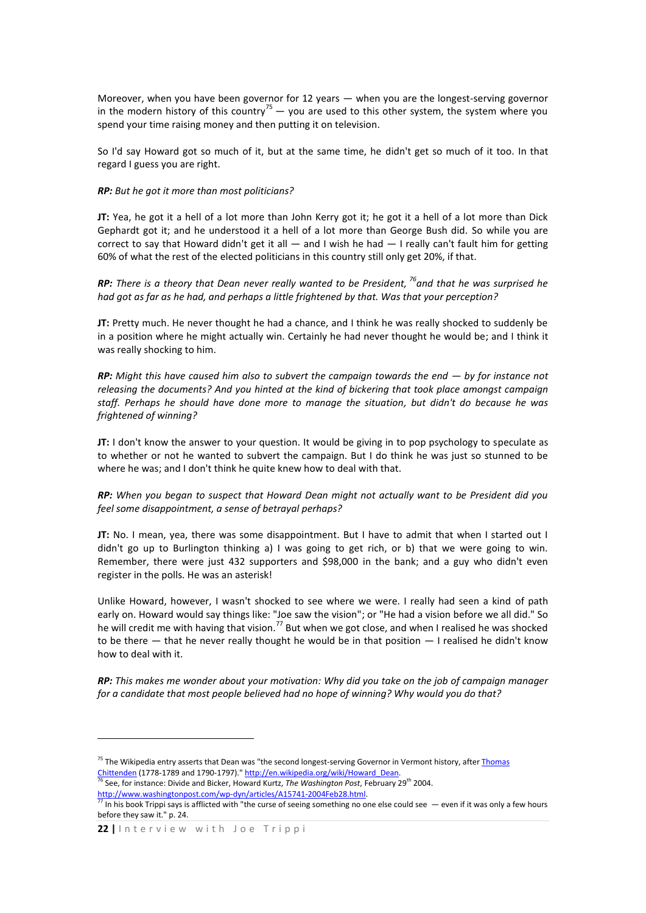Moreover, when you have been governor for 12 years — when you are the longest-serving governor in the modern history of this country<sup>75</sup> — you are used to this other system, the system where you spend your time raising money and then putting it on television.

So I'd say Howard got so much of it, but at the same time, he didn't get so much of it too. In that regard I guess you are right.

### *RP: But he got it more than most politicians?*

**JT:** Yea, he got it a hell of a lot more than John Kerry got it; he got it a hell of a lot more than Dick Gephardt got it; and he understood it a hell of a lot more than George Bush did. So while you are correct to say that Howard didn't get it all  $-$  and I wish he had  $-$  I really can't fault him for getting 60% of what the rest of the elected politicians in this country still only get 20%, if that.

*RP: There is a theory that Dean never really wanted to be President, <sup>76</sup>and that he was surprised he had got as far as he had, and perhaps a little frightened by that. Was that your perception?*

**JT:** Pretty much. He never thought he had a chance, and I think he was really shocked to suddenly be in a position where he might actually win. Certainly he had never thought he would be; and I think it was really shocking to him.

*RP: Might this have caused him also to subvert the campaign towards the end — by for instance not releasing the documents? And you hinted at the kind of bickering that took place amongst campaign staff. Perhaps he should have done more to manage the situation, but didn't do because he was frightened of winning?*

**JT:** I don't know the answer to your question. It would be giving in to pop psychology to speculate as to whether or not he wanted to subvert the campaign. But I do think he was just so stunned to be where he was; and I don't think he quite knew how to deal with that.

*RP: When you began to suspect that Howard Dean might not actually want to be President did you feel some disappointment, a sense of betrayal perhaps?*

**JT:** No. I mean, yea, there was some disappointment. But I have to admit that when I started out I didn't go up to Burlington thinking a) I was going to get rich, or b) that we were going to win. Remember, there were just 432 supporters and \$98,000 in the bank; and a guy who didn't even register in the polls. He was an asterisk!

Unlike Howard, however, I wasn't shocked to see where we were. I really had seen a kind of path early on. Howard would say things like: "Joe saw the vision"; or "He had a vision before we all did." So early ont howard would say dimes like. See carries that is the vision of the will credit me with having that vision.<sup>77</sup> But when we got close, and when I realised he was shocked to be there — that he never really thought he would be in that position — I realised he didn't know how to deal with it.

*RP: This makes me wonder about your motivation: Why did you take on the job of campaign manager for a candidate that most people believed had no hope of winning? Why would you do that?* 

1

<sup>&</sup>lt;sup>75</sup> The Wikipedia entry asserts that Dean was "the second longest-serving Governor in Vermont history, after Thomas [Chittenden](http://en.wikipedia.org/wiki/Thomas_Chittenden) (1778-1789 and 1790-1797)." http://en.wikipedia.org/wiki/Howard Dean. <sup>76</sup> See, for instance: Divide and Bicker, Howard Kurtz, *The Washington Post*, February 29<sup>th</sup> 2004.

[http://www.washingtonpost.com/wp-dyn/articles/A15741-2004Feb28.html.](http://www.washingtonpost.com/wp-dyn/articles/A15741-2004Feb28.html)

 $^{77}$  In his book Trippi says is afflicted with "the curse of seeing something no one else could see  $-$  even if it was only a few hours before they saw it." p. 24.

<sup>22 |</sup> Interview with Joe Trippi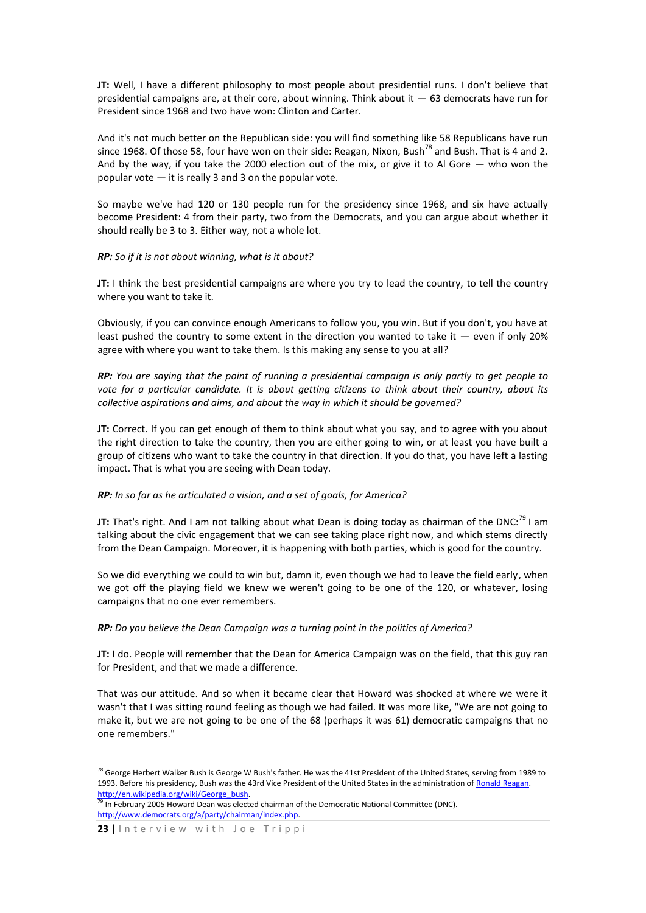**JT:** Well, I have a different philosophy to most people about presidential runs. I don't believe that presidential campaigns are, at their core, about winning. Think about it — 63 democrats have run for President since 1968 and two have won: Clinton and Carter.

And it's not much better on the Republican side: you will find something like 58 Republicans have run since 1968. Of those 58, four have won on their side: Reagan, Nixon, Bush<sup>78</sup> and Bush. That is 4 and 2. And by the way, if you take the 2000 election out of the mix, or give it to Al Gore — who won the popular vote — it is really 3 and 3 on the popular vote.

So maybe we've had 120 or 130 people run for the presidency since 1968, and six have actually become President: 4 from their party, two from the Democrats, and you can argue about whether it should really be 3 to 3. Either way, not a whole lot.

#### *RP: So if it is not about winning, what is it about?*

**JT:** I think the best presidential campaigns are where you try to lead the country, to tell the country where you want to take it.

Obviously, if you can convince enough Americans to follow you, you win. But if you don't, you have at least pushed the country to some extent in the direction you wanted to take it  $-$  even if only 20% agree with where you want to take them. Is this making any sense to you at all?

*RP: You are saying that the point of running a presidential campaign is only partly to get people to vote for a particular candidate. It is about getting citizens to think about their country, about its collective aspirations and aims, and about the way in which it should be governed?* 

**JT:** Correct. If you can get enough of them to think about what you say, and to agree with you about the right direction to take the country, then you are either going to win, or at least you have built a group of citizens who want to take the country in that direction. If you do that, you have left a lasting impact. That is what you are seeing with Dean today.

#### *RP: In so far as he articulated a vision, and a set of goals, for America?*

**JT:** That's right. And I am not talking about what Dean is doing today as chairman of the DNC:<sup>79</sup> I am talking about the civic engagement that we can see taking place right now, and which stems directly from the Dean Campaign. Moreover, it is happening with both parties, which is good for the country.

So we did everything we could to win but, damn it, even though we had to leave the field early, when we got off the playing field we knew we weren't going to be one of the 120, or whatever, losing campaigns that no one ever remembers.

#### *RP: Do you believe the Dean Campaign was a turning point in the politics of America?*

**JT:** I do. People will remember that the Dean for America Campaign was on the field, that this guy ran for President, and that we made a difference.

That was our attitude. And so when it became clear that Howard was shocked at where we were it wasn't that I was sitting round feeling as though we had failed. It was more like, "We are not going to make it, but we are not going to be one of the 68 (perhaps it was 61) democratic campaigns that no one remembers."

1

<sup>&</sup>lt;sup>78</sup> George Herbert Walker Bush is George W Bush's father. He was the 41st President of the United States, serving from 1989 to 1993. Before his presidency, Bush was the 43rd Vice President of the United States in the administration o[f Ronald Reagan.](http://en.wikipedia.org/wiki/Ronald_Reagan) http://en.wikipedia.org/wiki/George\_bush.

 $\frac{79}{79}$  In February 2005 Howard Dean was elected chairman of the Democratic National Committee (DNC). [http://www.democrats.org/a/party/chairman/index.php.](http://www.democrats.org/a/party/chairman/index.php)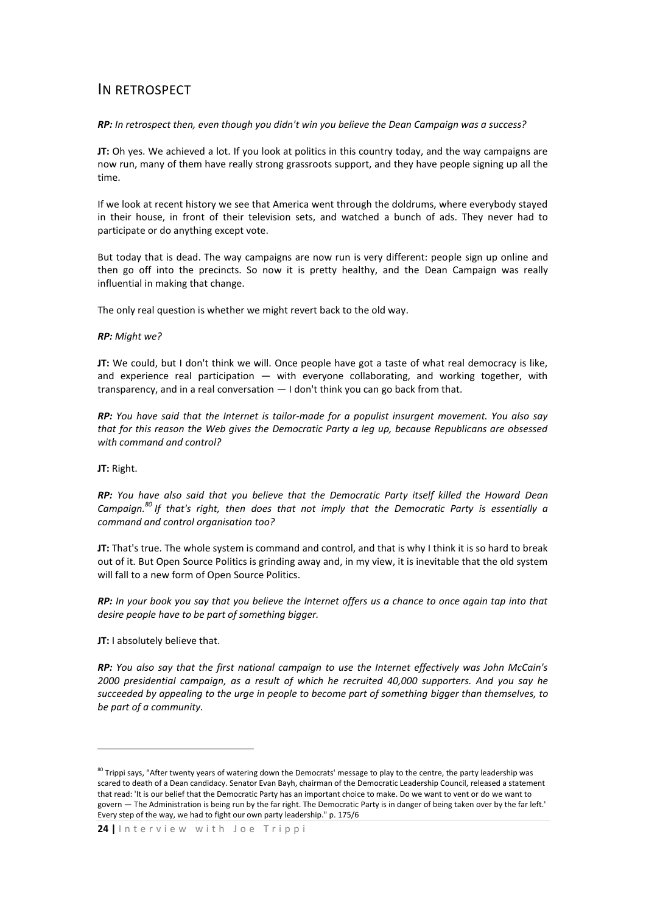## IN RETROSPECT

## *RP: In retrospect then, even though you didn't win you believe the Dean Campaign was a success?*

**JT:** Oh yes. We achieved a lot. If you look at politics in this country today, and the way campaigns are now run, many of them have really strong grassroots support, and they have people signing up all the time.

If we look at recent history we see that America went through the doldrums, where everybody stayed in their house, in front of their television sets, and watched a bunch of ads. They never had to participate or do anything except vote.

But today that is dead. The way campaigns are now run is very different: people sign up online and then go off into the precincts. So now it is pretty healthy, and the Dean Campaign was really influential in making that change.

The only real question is whether we might revert back to the old way.

## *RP: Might we?*

**JT:** We could, but I don't think we will. Once people have got a taste of what real democracy is like, and experience real participation  $-$  with everyone collaborating, and working together, with transparency, and in a real conversation — I don't think you can go back from that.

*RP: You have said that the Internet is tailor-made for a populist insurgent movement. You also say that for this reason the Web gives the Democratic Party a leg up, because Republicans are obsessed with command and control?* 

**JT:** Right.

1

*RP: You have also said that you believe that the Democratic Party itself killed the Howard Dean Campaign. <sup>80</sup> If that's right, then does that not imply that the Democratic Party is essentially a command and control organisation too?* 

**JT:** That's true. The whole system is command and control, and that is why I think it is so hard to break out of it. But Open Source Politics is grinding away and, in my view, it is inevitable that the old system will fall to a new form of Open Source Politics.

*RP: In your book you say that you believe the Internet offers us a chance to once again tap into that desire people have to be part of something bigger.* 

**JT:** I absolutely believe that.

*RP: You also say that the first national campaign to use the Internet effectively was John McCain's 2000 presidential campaign, as a result of which he recruited 40,000 supporters. And you say he succeeded by appealing to the urge in people to become part of something bigger than themselves, to be part of a community.*

<sup>&</sup>lt;sup>80</sup> Trippi says, "After twenty years of watering down the Democrats' message to play to the centre, the party leadership was scared to death of a Dean candidacy. Senator Evan Bayh, chairman of the Democratic Leadership Council, released a statement that read: 'It is our belief that the Democratic Party has an important choice to make. Do we want to vent or do we want to govern — The Administration is being run by the far right. The Democratic Party is in danger of being taken over by the far left.' Every step of the way, we had to fight our own party leadership." p. 175/6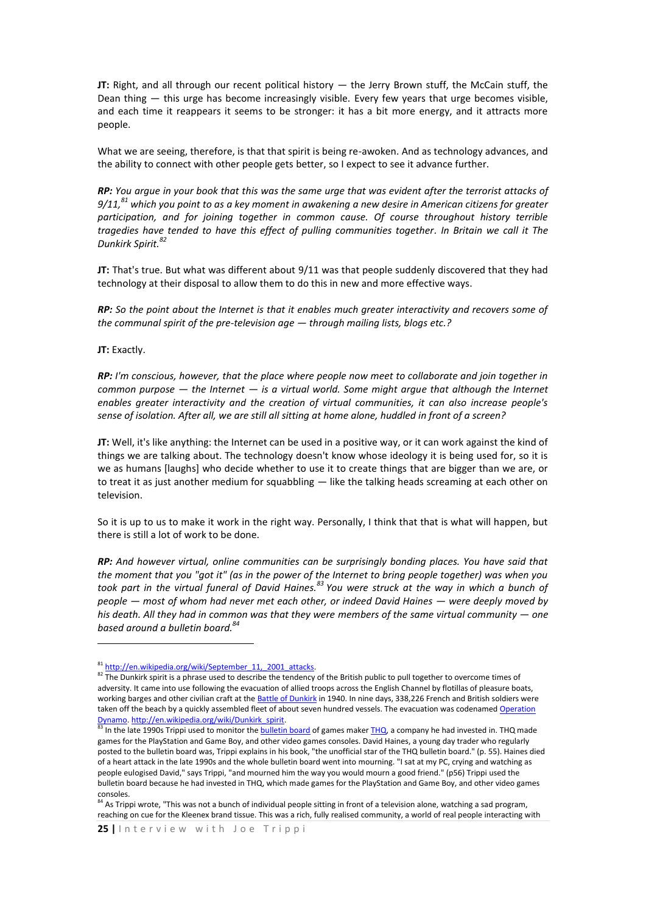**JT:** Right, and all through our recent political history — the Jerry Brown stuff, the McCain stuff, the Dean thing — this urge has become increasingly visible. Every few years that urge becomes visible, and each time it reappears it seems to be stronger: it has a bit more energy, and it attracts more people.

What we are seeing, therefore, is that that spirit is being re-awoken. And as technology advances, and the ability to connect with other people gets better, so I expect to see it advance further.

*RP: You argue in your book that this was the same urge that was evident after the terrorist attacks of 9/11,<sup>81</sup> which you point to as a key moment in awakening a new desire in American citizens for greater participation, and for joining together in common cause. Of course throughout history terrible tragedies have tended to have this effect of pulling communities together. In Britain we call it The Dunkirk Spirit.<sup>82</sup>*

**JT:** That's true. But what was different about 9/11 was that people suddenly discovered that they had technology at their disposal to allow them to do this in new and more effective ways.

*RP: So the point about the Internet is that it enables much greater interactivity and recovers some of the communal spirit of the pre-television age — through mailing lists, blogs etc.?*

**JT:** Exactly.

**.** 

*RP: I'm conscious, however, that the place where people now meet to collaborate and join together in common purpose — the Internet — is a virtual world. Some might argue that although the Internet enables greater interactivity and the creation of virtual communities, it can also increase people's sense of isolation. After all, we are still all sitting at home alone, huddled in front of a screen?* 

**JT:** Well, it's like anything: the Internet can be used in a positive way, or it can work against the kind of things we are talking about. The technology doesn't know whose ideology it is being used for, so it is we as humans [laughs] who decide whether to use it to create things that are bigger than we are, or to treat it as just another medium for squabbling — like the talking heads screaming at each other on television.

So it is up to us to make it work in the right way. Personally, I think that that is what will happen, but there is still a lot of work to be done.

*RP: And however virtual, online communities can be surprisingly bonding places. You have said that the moment that you "got it" (as in the power of the Internet to bring people together) was when you took part in the virtual funeral of David Haines.<sup>83</sup> You were struck at the way in which a bunch of people — most of whom had never met each other, or indeed David Haines — were deeply moved by his death. All they had in common was that they were members of the same virtual community — one based around a bulletin board.<sup>84</sup>*

<sup>81</sup> http://en.wikipedia.org/wiki/September\_11,\_2001\_attacks.

 $82$  The Dunkirk spirit is a phrase used to describe the tendency of the British public to pull together to overcome times of adversity. It came into use following the evacuation of allied troops across the English Channel by flotillas of pleasure boats, working barges and other civilian craft at th[e Battle of Dunkirk](http://en.wikipedia.org/wiki/Battle_of_Dunkirk) in 1940. In nine days, 338,226 French and British soldiers were taken off the beach by a quickly assembled fleet of about seven hundred vessels. The evacuation was codenamed Operation [Dynamo.](http://en.wikipedia.org/wiki/Operation_Dynamo) [http://en.wikipedia.org/wiki/Dunkirk\\_spirit.](http://en.wikipedia.org/wiki/Dunkirk_spirit)

In the late 1990s Trippi used to monitor the **bulletin board** of games make[r THQ,](http://en.wikipedia.org/wiki/Thq) a company he had invested in. THQ made games for the PlayStation and Game Boy, and other video games consoles. David Haines, a young day trader who regularly posted to the bulletin board was, Trippi explains in his book, "the unofficial star of the THQ bulletin board." (p. 55). Haines died of a heart attack in the late 1990s and the whole bulletin board went into mourning. "I sat at my PC, crying and watching as people eulogised David," says Trippi, "and mourned him the way you would mourn a good friend." (p56) Trippi used the bulletin board because he had invested in THQ, which made games for the PlayStation and Game Boy, and other video games consoles.

<sup>84</sup> As Trippi wrote, "This was not a bunch of individual people sitting in front of a television alone, watching a sad program, reaching on cue for the Kleenex brand tissue. This was a rich, fully realised community, a world of real people interacting with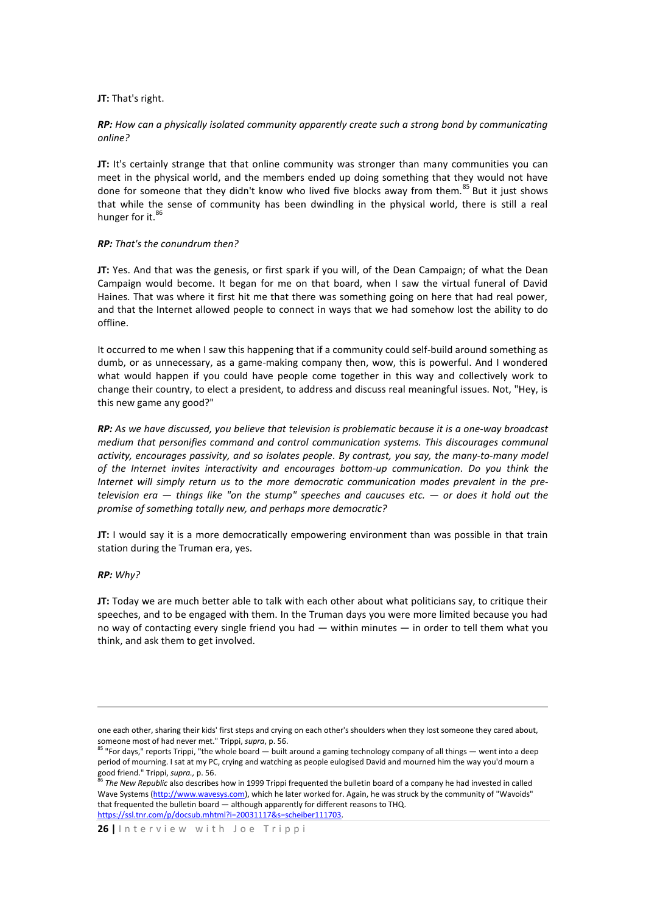#### **JT:** That's right.

## *RP: How can a physically isolated community apparently create such a strong bond by communicating online?*

**JT:** It's certainly strange that that online community was stronger than many communities you can meet in the physical world, and the members ended up doing something that they would not have done for someone that they didn't know who lived five blocks away from them.<sup>85</sup> But it just shows that while the sense of community has been dwindling in the physical world, there is still a real hunger for it.<sup>86</sup>

### *RP: That's the conundrum then?*

**JT:** Yes. And that was the genesis, or first spark if you will, of the Dean Campaign; of what the Dean Campaign would become. It began for me on that board, when I saw the virtual funeral of David Haines. That was where it first hit me that there was something going on here that had real power, and that the Internet allowed people to connect in ways that we had somehow lost the ability to do offline.

It occurred to me when I saw this happening that if a community could self-build around something as dumb, or as unnecessary, as a game-making company then, wow, this is powerful. And I wondered what would happen if you could have people come together in this way and collectively work to change their country, to elect a president, to address and discuss real meaningful issues. Not, "Hey, is this new game any good?"

*RP: As we have discussed, you believe that television is problematic because it is a one-way broadcast medium that personifies command and control communication systems. This discourages communal activity, encourages passivity, and so isolates people. By contrast, you say, the many-to-many model of the Internet invites interactivity and encourages bottom-up communication. Do you think the Internet will simply return us to the more democratic communication modes prevalent in the pretelevision era — things like "on the stump" speeches and caucuses etc. — or does it hold out the promise of something totally new, and perhaps more democratic?* 

**JT:** I would say it is a more democratically empowering environment than was possible in that train station during the Truman era, yes.

#### *RP: Why?*

1

**JT:** Today we are much better able to talk with each other about what politicians say, to critique their speeches, and to be engaged with them. In the Truman days you were more limited because you had no way of contacting every single friend you had — within minutes — in order to tell them what you think, and ask them to get involved.

one each other, sharing their kids' first steps and crying on each other's shoulders when they lost someone they cared about, someone most of had never met." Trippi, *supra*, p. 56.

 $85$  "For days," reports Trippi, "the whole board — built around a gaming technology company of all things — went into a deep period of mourning. I sat at my PC, crying and watching as people eulogised David and mourned him the way you'd mourn a good friend." Trippi, *supra.,* p. 56.

<sup>86</sup> *The New Republic* also describes how in 1999 Trippi frequented the bulletin board of a company he had invested in called Wave Systems [\(http://www.wavesys.com\)](http://www.wavesys.com/), which he later worked for. Again, he was struck by the community of "Wavoids" that frequented the bulletin board — although apparently for different reasons to THQ. https://ssl.tnr.com/p/docsub.mhtml?i=20031117&s=scheiber111703.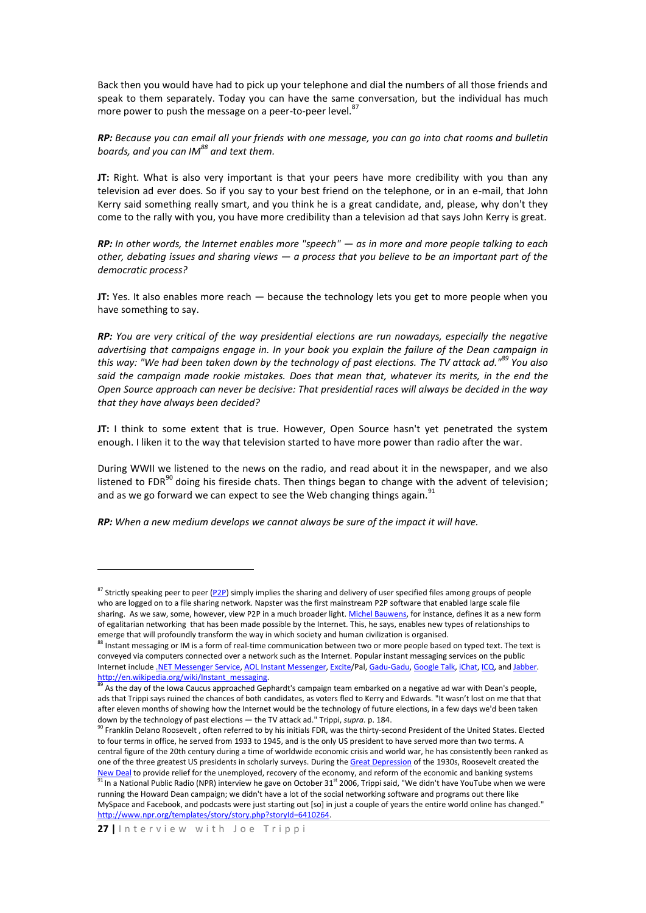Back then you would have had to pick up your telephone and dial the numbers of all those friends and speak to them separately. Today you can have the same conversation, but the individual has much more power to push the message on a peer-to-peer level.<sup>8</sup>

*RP: Because you can email all your friends with one message, you can go into chat rooms and bulletin boards, and you can IM<sup>88</sup> and text them.*

**JT:** Right. What is also very important is that your peers have more credibility with you than any television ad ever does. So if you say to your best friend on the telephone, or in an e-mail, that John Kerry said something really smart, and you think he is a great candidate, and, please, why don't they come to the rally with you, you have more credibility than a television ad that says John Kerry is great.

*RP: In other words, the Internet enables more "speech" — as in more and more people talking to each other, debating issues and sharing views — a process that you believe to be an important part of the democratic process?*

**JT:** Yes. It also enables more reach — because the technology lets you get to more people when you have something to say.

*RP: You are very critical of the way presidential elections are run nowadays, especially the negative advertising that campaigns engage in. In your book you explain the failure of the Dean campaign in this way: "We had been taken down by the technology of past elections. The TV attack ad."<sup>89</sup> You also said the campaign made rookie mistakes. Does that mean that, whatever its merits, in the end the Open Source approach can never be decisive: That presidential races will always be decided in the way that they have always been decided?* 

**JT:** I think to some extent that is true. However, Open Source hasn't yet penetrated the system enough. I liken it to the way that television started to have more power than radio after the war.

During WWII we listened to the news on the radio, and read about it in the newspaper, and we also listened to FDR $^{90}$  doing his fireside chats. Then things began to change with the advent of television; and as we go forward we can expect to see the Web changing things again.<sup>91</sup>

*RP: When a new medium develops we cannot always be sure of the impact it will have.*

1

<sup>&</sup>lt;sup>87</sup> Strictly speaking peer to peer [\(P2P\)](http://www.google.com/search?hl=en&rls=com.microsoft:*:IE-SearchBox&rlz=1I7GGIH&defl=en&q=define:Peer+to+Peer&sa=X&oi=glossary_definition&ct=title) simply implies the sharing and delivery of user specified files among groups of people who are logged on to a file sharing network. Napster was the first mainstream P2P software that enabled large scale file sharing. As we saw, some, however, view P2P in a much broader light[. Michel Bauwens,](http://en.wikipedia.org/wiki/Michel_Bauwens) for instance, defines it as a new form of egalitarian networking that has been made possible by the Internet. This, he says, enables new types of relationships to emerge that will profoundly transform the way in which society and human civilization is organised.

 $^3$  Instant messaging or IM is a form of real-time communication between two or more people based on typed text. The text is conveyed via computers connected over a network such as the Internet. Popular instant messaging services on the public Internet include [.NET Messenger Service,](http://en.wikipedia.org/wiki/.NET_Messenger_Service) [AOL Instant Messenger,](http://en.wikipedia.org/wiki/AOL_Instant_Messenger) [Excite/](http://en.wikipedia.org/wiki/Excite)Pal[, Gadu-Gadu,](http://en.wikipedia.org/wiki/Gadu-Gadu) [Google Talk,](http://en.wikipedia.org/wiki/Google_Talk) [iChat,](http://en.wikipedia.org/wiki/IChat) [ICQ,](http://en.wikipedia.org/wiki/ICQ) an[d Jabber.](http://en.wikipedia.org/wiki/Jabber)  [http://en.wikipedia.org/wiki/Instant\\_messaging.](http://en.wikipedia.org/wiki/Instant_messaging)

As the day of the Iowa Caucus approached Gephardt's campaign team embarked on a negative ad war with Dean's people, ads that Trippi says ruined the chances of both candidates, as voters fled to Kerry and Edwards. "It wasn't lost on me that that after eleven months of showing how the Internet would be the technology of future elections, in a few days we'd been taken down by the technology of past elections — the TV attack ad." Trippi, *supra.* p. 184.

<sup>90</sup> Franklin Delano Roosevelt , often referred to by his initials FDR, was the thirty-second President of the United States. Elected to four terms in office, he served from 1933 to 1945, and is the only US president to have served more than two terms. A central figure of the 20th century during a time of worldwide economic crisis and world war, he has consistently been ranked as one of the three greatest US presidents in scholarly surveys. During th[e Great Depression](http://en.wikipedia.org/wiki/Great_Depression_in_the_United_States) of the 1930s, Roosevelt created the [New Deal](http://en.wikipedia.org/wiki/New_Deal) to provide relief for the unemployed, recovery of the economy, and reform of the economic and banking systems

<sup>&</sup>lt;sup>91</sup> In a National Public Radio (NPR) interview he gave on October 31<sup>st</sup> 2006, Trippi said, "We didn't have YouTube when we were running the Howard Dean campaign; we didn't have a lot of the social networking software and programs out there like MySpace and Facebook, and podcasts were just starting out [so] in just a couple of years the entire world online has changed." http://www.npr.org/templates/story/story.php?storyId=6410264.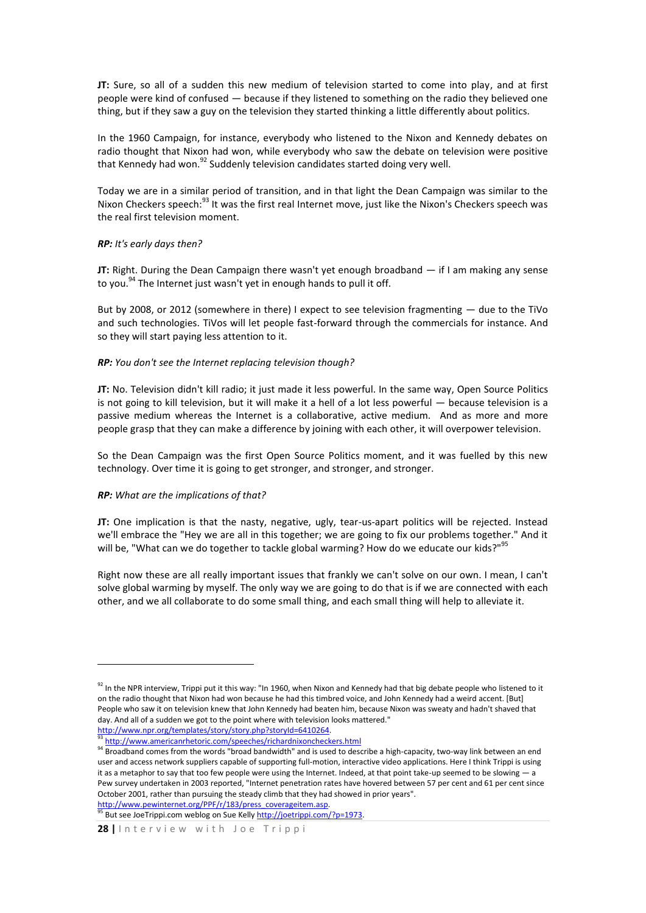**JT:** Sure, so all of a sudden this new medium of television started to come into play, and at first people were kind of confused — because if they listened to something on the radio they believed one thing, but if they saw a guy on the television they started thinking a little differently about politics.

In the 1960 Campaign, for instance, everybody who listened to the Nixon and Kennedy debates on radio thought that Nixon had won, while everybody who saw the debate on television were positive that Kennedy had won.<sup>92</sup> Suddenly television candidates started doing very well.

Today we are in a similar period of transition, and in that light the Dean Campaign was similar to the Nixon Checkers speech:<sup>93</sup> It was the first real Internet move, just like the Nixon's Checkers speech was the real first television moment.

## *RP: It's early days then?*

**JT:** Right. During the Dean Campaign there wasn't yet enough broadband — if I am making any sense to you.<sup>94</sup> The Internet just wasn't yet in enough hands to pull it off.

But by 2008, or 2012 (somewhere in there) I expect to see television fragmenting — due to the TiVo and such technologies. TiVos will let people fast-forward through the commercials for instance. And so they will start paying less attention to it.

## *RP: You don't see the Internet replacing television though?*

**JT:** No. Television didn't kill radio; it just made it less powerful. In the same way, Open Source Politics is not going to kill television, but it will make it a hell of a lot less powerful — because television is a passive medium whereas the Internet is a collaborative, active medium. And as more and more people grasp that they can make a difference by joining with each other, it will overpower television.

So the Dean Campaign was the first Open Source Politics moment, and it was fuelled by this new technology. Over time it is going to get stronger, and stronger, and stronger.

## *RP: What are the implications of that?*

**.** 

**JT:** One implication is that the nasty, negative, ugly, tear-us-apart politics will be rejected. Instead we'll embrace the "Hey we are all in this together; we are going to fix our problems together." And it will be, "What can we do together to tackle global warming? How do we educate our kids?"<sup>95</sup>

Right now these are all really important issues that frankly we can't solve on our own. I mean, I can't solve global warming by myself. The only way we are going to do that is if we are connected with each other, and we all collaborate to do some small thing, and each small thing will help to alleviate it.

http://www.pewinternet.org/PPF/r/183/press\_coverageitem.asp. <sup>95</sup> But see JoeTrippi.com weblog on Sue Kelly [http://joetrippi.com/?p=1973.](http://joetrippi.com/?p=1973)

<sup>&</sup>lt;sup>92</sup> In the NPR interview, Trippi put it this way: "In 1960, when Nixon and Kennedy had that big debate people who listened to it on the radio thought that Nixon had won because he had this timbred voice, and John Kennedy had a weird accent. [But] People who saw it on television knew that John Kennedy had beaten him, because Nixon was sweaty and hadn't shaved that day. And all of a sudden we got to the point where with television looks mattered." [http://www.npr.org/templates/story/story.php?storyId=6410264.](http://www.npr.org/templates/story/story.php?storyId=6410264) 

<sup>93</sup> <http://www.americanrhetoric.com/speeches/richardnixoncheckers.html>

<sup>94</sup> Broadband comes from the words "broad bandwidth" and is used to describe a high-capacity, two-way link between an end user and access network suppliers capable of supporting full-motion, interactive video applications. Here I think Trippi is using it as a metaphor to say that too few people were using the Internet. Indeed, at that point take-up seemed to be slowing — a Pew survey undertaken in 2003 reported, "Internet penetration rates have hovered between 57 per cent and 61 per cent since October 2001, rather than pursuing the steady climb that they had showed in prior years".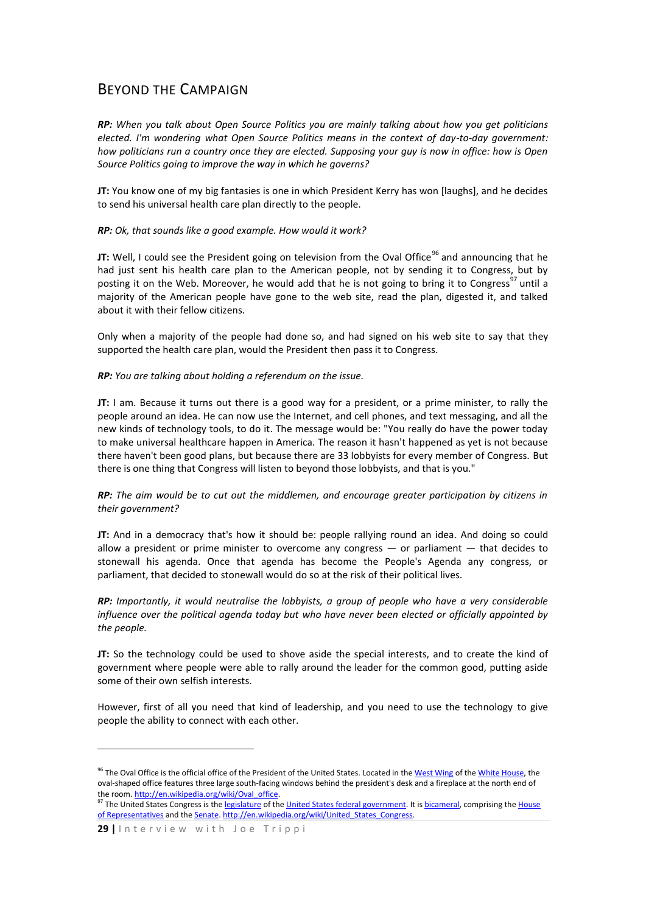## BEYOND THE CAMPAIGN

*RP: When you talk about Open Source Politics you are mainly talking about how you get politicians elected. I'm wondering what Open Source Politics means in the context of day-to-day government: how politicians run a country once they are elected. Supposing your guy is now in office: how is Open Source Politics going to improve the way in which he governs?*

**JT:** You know one of my big fantasies is one in which President Kerry has won [laughs], and he decides to send his universal health care plan directly to the people.

## *RP: Ok, that sounds like a good example. How would it work?*

**JT:** Well, I could see the President going on television from the Oval Office<sup>96</sup> and announcing that he had just sent his health care plan to the American people, not by sending it to Congress, but by posting it on the Web. Moreover, he would add that he is not going to bring it to Congress<sup>97</sup> until a majority of the American people have gone to the web site, read the plan, digested it, and talked about it with their fellow citizens.

Only when a majority of the people had done so, and had signed on his web site to say that they supported the health care plan, would the President then pass it to Congress.

## *RP: You are talking about holding a referendum on the issue.*

**JT:** I am. Because it turns out there is a good way for a president, or a prime minister, to rally the people around an idea. He can now use the Internet, and cell phones, and text messaging, and all the new kinds of technology tools, to do it. The message would be: "You really do have the power today to make universal healthcare happen in America. The reason it hasn't happened as yet is not because there haven't been good plans, but because there are 33 lobbyists for every member of Congress. But there is one thing that Congress will listen to beyond those lobbyists, and that is you."

## *RP: The aim would be to cut out the middlemen, and encourage greater participation by citizens in their government?*

**JT:** And in a democracy that's how it should be: people rallying round an idea. And doing so could allow a president or prime minister to overcome any congress — or parliament — that decides to stonewall his agenda. Once that agenda has become the People's Agenda any congress, or parliament, that decided to stonewall would do so at the risk of their political lives.

*RP: Importantly, it would neutralise the lobbyists, a group of people who have a very considerable influence over the political agenda today but who have never been elected or officially appointed by the people.*

**JT:** So the technology could be used to shove aside the special interests, and to create the kind of government where people were able to rally around the leader for the common good, putting aside some of their own selfish interests.

However, first of all you need that kind of leadership, and you need to use the technology to give people the ability to connect with each other.

1

<sup>&</sup>lt;sup>96</sup> The Oval Office is the official office of the President of the United States. Located in th[e West Wing](http://en.wikipedia.org/wiki/West_Wing) of the [White House,](http://en.wikipedia.org/wiki/White_House) the oval-shaped office features three large south-facing windows behind the president's desk and a fireplace at the north end of the room. http://en.wikipedia.org/wiki/Oval\_office.

<sup>&</sup>lt;sup>97</sup> The United States Congress is th[e legislature](http://en.wikipedia.org/wiki/Legislature) of th[e United States federal government.](http://en.wikipedia.org/wiki/United_States_federal_government) It i[s bicameral,](http://en.wikipedia.org/wiki/Bicameralism) comprising the House [of Representatives](http://en.wikipedia.org/wiki/United_States_House_of_Representatives) and th[e Senate.](http://en.wikipedia.org/wiki/United_States_Senate) http://en.wikipedia.org/wiki/United States Congress.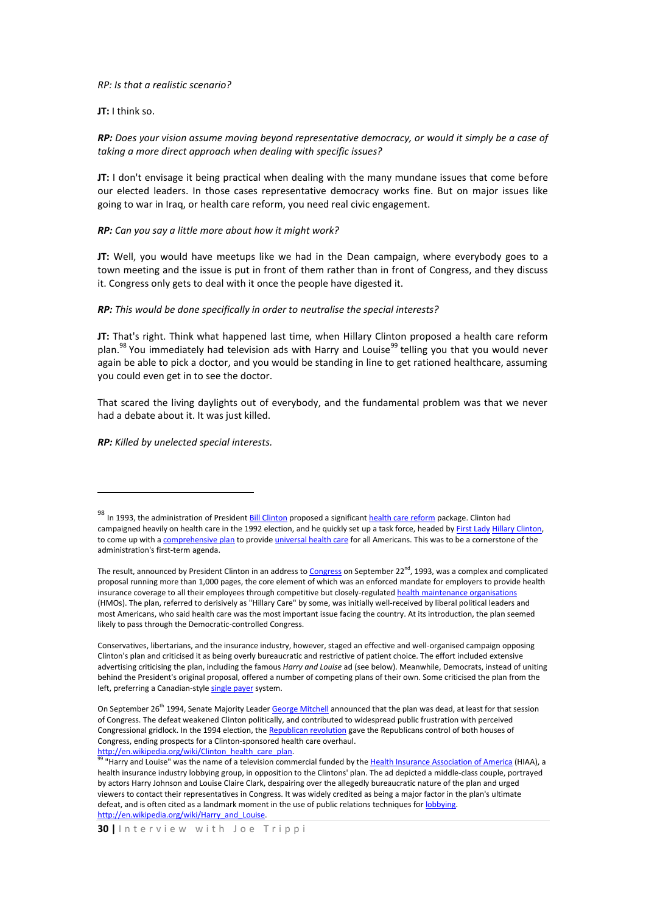*RP: Is that a realistic scenario?*

**JT:** I think so.

*RP: Does your vision assume moving beyond representative democracy, or would it simply be a case of taking a more direct approach when dealing with specific issues?* 

**JT:** I don't envisage it being practical when dealing with the many mundane issues that come before our elected leaders. In those cases representative democracy works fine. But on major issues like going to war in Iraq, or health care reform, you need real civic engagement.

#### *RP: Can you say a little more about how it might work?*

**JT:** Well, you would have meetups like we had in the Dean campaign, where everybody goes to a town meeting and the issue is put in front of them rather than in front of Congress, and they discuss it. Congress only gets to deal with it once the people have digested it.

#### *RP: This would be done specifically in order to neutralise the special interests?*

**JT:** That's right. Think what happened last time, when Hillary Clinton proposed a health care reform plan.<sup>98</sup> You immediately had television ads with Harry and Louise<sup>99</sup> telling you that you would never again be able to pick a doctor, and you would be standing in line to get rationed healthcare, assuming you could even get in to see the doctor.

That scared the living daylights out of everybody, and the fundamental problem was that we never had a debate about it. It was just killed.

*RP: Killed by unelected special interests.*

<u>.</u>

Conservatives, libertarians, and the insurance industry, however, staged an effective and well-organised campaign opposing Clinton's plan and criticised it as being overly bureaucratic and restrictive of patient choice. The effort included extensive advertising criticising the plan, including the famous *Harry and Louise* ad (see below). Meanwhile, Democrats, instead of uniting behind the President's original proposal, offered a number of competing plans of their own. Some criticised the plan from the left, preferring a Canadian-styl[e single payer](http://en.wikipedia.org/wiki/Single-payer_health_care) system.

<sup>98</sup> In 1993, the administration of President **Bill Clinton** proposed a significan[t health care reform](http://en.wikipedia.org/wiki/Healthcare_reform) package. Clinton had campaigned heavily on health care in the 1992 election, and he quickly set up a task force, headed by [First Lady](http://en.wikipedia.org/wiki/First_Lady_of_the_United_States) [Hillary Clinton,](http://en.wikipedia.org/wiki/Hillary_Rodham_Clinton)  to come up with [a comprehensive plan](http://en.wikipedia.org/w/index.php?title=United_States_health_reform_under_Clinton&action=edit) to provid[e universal health care](http://en.wikipedia.org/wiki/Universal_health_care) for all Americans. This was to be a cornerstone of the administration's first-term agenda.

The result, announced by President Clinton in an address t[o Congress](http://en.wikipedia.org/wiki/United_States_Congress) on September 22<sup>nd</sup>, 1993, was a complex and complicated proposal running more than 1,000 pages, the core element of which was an enforced mandate for employers to provide health insurance coverage to all their employees through competitive but closely-regulate[d health maintenance organisations](http://en.wikipedia.org/wiki/Health_maintenance_organization) (HMOs). The plan, referred to derisively as "Hillary Care" by some, was initially well-received by liberal political leaders and most Americans, who said health care was the most important issue facing the country. At its introduction, the plan seemed likely to pass through the Democratic-controlled Congress.

On September 26<sup>th</sup> 1994, Senate Majority Leade[r George Mitchell](http://en.wikipedia.org/wiki/George_J._Mitchell) announced that the plan was dead, at least for that session of Congress. The defeat weakened Clinton politically, and contributed to widespread public frustration with perceived Congressional gridlock. In the 1994 election, th[e Republican revolution](http://en.wikipedia.org/wiki/Republican_revolution) gave the Republicans control of both houses of Congress, ending prospects for a Clinton-sponsored health care overhaul. [http://en.wikipedia.org/wiki/Clinton\\_health\\_care\\_plan.](http://en.wikipedia.org/wiki/Clinton_health_care_plan)

<sup>&</sup>quot;Harry and Louise" was the name of a television commercial funded by th[e Health Insurance Association of America](http://en.wikipedia.org/w/index.php?title=Health_Insurance_Association_of_America&action=edit) (HIAA), a health insurance industry lobbying group, in opposition to the Clintons' plan. The ad depicted a middle-class couple, portrayed by actors Harry Johnson and Louise Claire Clark, despairing over the allegedly bureaucratic nature of the plan and urged viewers to contact their representatives in Congress. It was widely credited as being a major factor in the plan's ultimate defeat, and is often cited as a landmark moment in the use of public relations techniques fo[r lobbying.](http://en.wikipedia.org/wiki/Lobbying) http://en.wikipedia.org/wiki/Harry\_and\_Louise.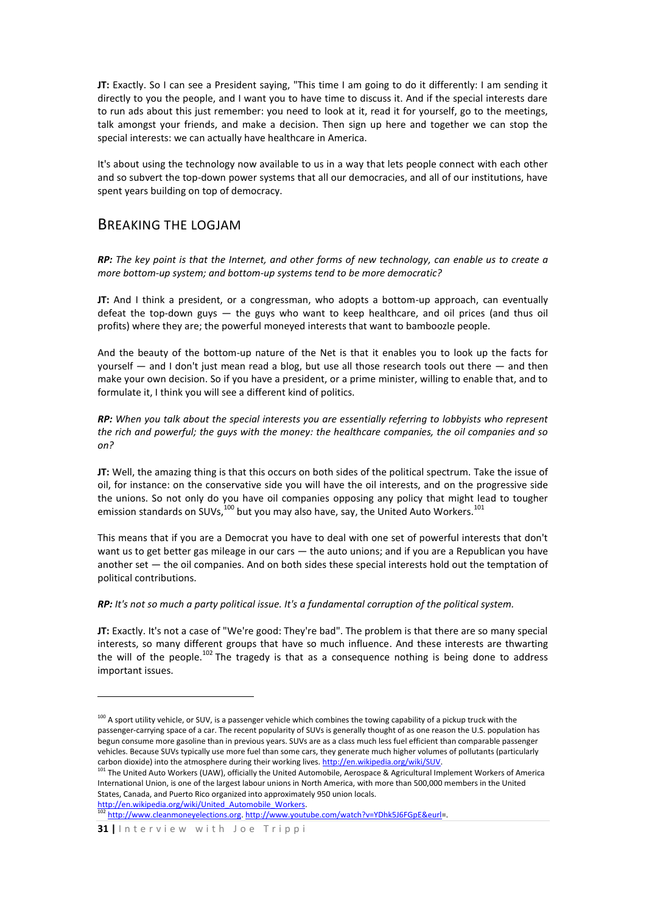**JT:** Exactly. So I can see a President saying, "This time I am going to do it differently: I am sending it directly to you the people, and I want you to have time to discuss it. And if the special interests dare to run ads about this just remember: you need to look at it, read it for yourself, go to the meetings, talk amongst your friends, and make a decision. Then sign up here and together we can stop the special interests: we can actually have healthcare in America.

It's about using the technology now available to us in a way that lets people connect with each other and so subvert the top-down power systems that all our democracies, and all of our institutions, have spent years building on top of democracy.

## BREAKING THE LOGJAM

*RP: The key point is that the Internet, and other forms of new technology, can enable us to create a more bottom-up system; and bottom-up systems tend to be more democratic?*

**JT:** And I think a president, or a congressman, who adopts a bottom-up approach, can eventually defeat the top-down guys — the guys who want to keep healthcare, and oil prices (and thus oil profits) where they are; the powerful moneyed interests that want to bamboozle people.

And the beauty of the bottom-up nature of the Net is that it enables you to look up the facts for yourself — and I don't just mean read a blog, but use all those research tools out there — and then make your own decision. So if you have a president, or a prime minister, willing to enable that, and to formulate it, I think you will see a different kind of politics.

*RP: When you talk about the special interests you are essentially referring to lobbyists who represent the rich and powerful; the guys with the money: the healthcare companies, the oil companies and so on?* 

**JT:** Well, the amazing thing is that this occurs on both sides of the political spectrum. Take the issue of oil, for instance: on the conservative side you will have the oil interests, and on the progressive side the unions. So not only do you have oil companies opposing any policy that might lead to tougher emission standards on SUVs,<sup>100</sup> but you may also have, say, the United Auto Workers.<sup>101</sup>

This means that if you are a Democrat you have to deal with one set of powerful interests that don't want us to get better gas mileage in our cars — the auto unions; and if you are a Republican you have another set — the oil companies. And on both sides these special interests hold out the temptation of political contributions.

*RP: It's not so much a party political issue. It's a fundamental corruption of the political system.*

**JT:** Exactly. It's not a case of "We're good: They're bad". The problem is that there are so many special interests, so many different groups that have so much influence. And these interests are thwarting the will of the people.<sup>102</sup> The tragedy is that as a consequence nothing is being done to address important issues.

http://en.wikipedia.org/wiki/United Automobile Workers. <sup>102</sup> [http://www.cleanmoneyelections.org.](http://www.cleanmoneyelections.org/) [http://www.youtube.com/watch?v=YDhk5J6FGpE&eurl=](http://www.youtube.com/watch?v=YDhk5J6FGpE&eurl).

1

<sup>&</sup>lt;sup>100</sup> A sport utility vehicle, or SUV, is a passenger vehicle which combines the towing capability of a pickup truck with the passenger-carrying space of a car. The recent popularity of SUVs is generally thought of as one reason the U.S. population has begun consume more gasoline than in previous years. SUVs are as a class much less fuel efficient than comparable passenger vehicles. Because SUVs typically use more fuel than some cars, they generate much higher volumes of pollutants (particularly carbon dioxide) into the atmosphere during their working lives[. http://en.wikipedia.org/wiki/SUV.](http://en.wikipedia.org/wiki/SUV)

<sup>&</sup>lt;sup>101</sup> The United Auto Workers (UAW), officially the United Automobile, Aerospace & Agricultural Implement Workers of America International Union, is one of the largest labour unions in North America, with more than 500,000 members in the United States, Canada, and Puerto Rico organized into approximately 950 union locals.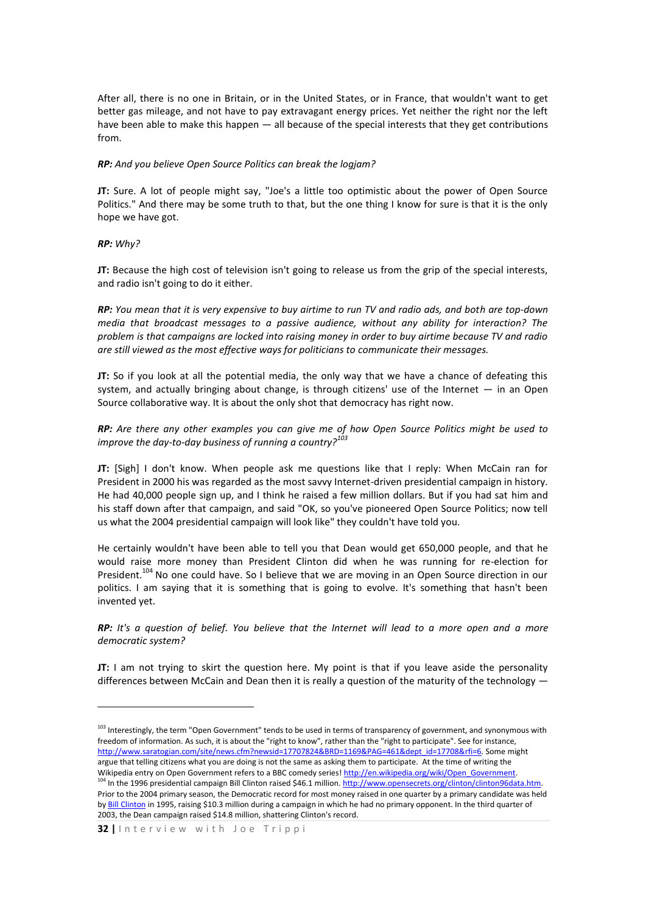After all, there is no one in Britain, or in the United States, or in France, that wouldn't want to get better gas mileage, and not have to pay extravagant energy prices. Yet neither the right nor the left have been able to make this happen — all because of the special interests that they get contributions from.

#### *RP: And you believe Open Source Politics can break the logjam?*

**JT:** Sure. A lot of people might say, "Joe's a little too optimistic about the power of Open Source Politics." And there may be some truth to that, but the one thing I know for sure is that it is the only hope we have got.

### *RP: Why?*

1

**JT:** Because the high cost of television isn't going to release us from the grip of the special interests, and radio isn't going to do it either.

*RP: You mean that it is very expensive to buy airtime to run TV and radio ads, and both are top-down media that broadcast messages to a passive audience, without any ability for interaction? The problem is that campaigns are locked into raising money in order to buy airtime because TV and radio are still viewed as the most effective ways for politicians to communicate their messages.*

**JT:** So if you look at all the potential media, the only way that we have a chance of defeating this system, and actually bringing about change, is through citizens' use of the Internet — in an Open Source collaborative way. It is about the only shot that democracy has right now.

*RP: Are there any other examples you can give me of how Open Source Politics might be used to improve the day-to-day business of running a country?<sup>103</sup>*

**JT:** [Sigh] I don't know. When people ask me questions like that I reply: When McCain ran for President in 2000 his was regarded as the most savvy Internet-driven presidential campaign in history. He had 40,000 people sign up, and I think he raised a few million dollars. But if you had sat him and his staff down after that campaign, and said "OK, so you've pioneered Open Source Politics; now tell us what the 2004 presidential campaign will look like" they couldn't have told you.

He certainly wouldn't have been able to tell you that Dean would get 650,000 people, and that he would raise more money than President Clinton did when he was running for re-election for President.<sup>104</sup> No one could have. So I believe that we are moving in an Open Source direction in our politics. I am saying that it is something that is going to evolve. It's something that hasn't been invented yet.

*RP: It's a question of belief. You believe that the Internet will lead to a more open and a more democratic system?*

**JT:** I am not trying to skirt the question here. My point is that if you leave aside the personality differences between McCain and Dean then it is really a question of the maturity of the technology

<sup>&</sup>lt;sup>103</sup> Interestingly, the term "Open Government" tends to be used in terms of transparency of government, and synonymous with freedom of information. As such, it is about the "right to know", rather than the "right to participate". See for instance, [http://www.saratogian.com/site/news.cfm?newsid=17707824&BRD=1169&PAG=461&dept\\_id=17708&rfi=6.](http://www.saratogian.com/site/news.cfm?newsid=17707824&BRD=1169&PAG=461&dept_id=17708&rfi=6) Some might argue that telling citizens what you are doing is not the same as asking them to participate. At the time of writing the Wikipedia entry on Open Government refers to a BBC comedy series[! http://en.wikipedia.org/wiki/Open\\_Government.](http://en.wikipedia.org/wiki/Open_Government) <sup>104</sup> In the 1996 presidential campaign Bill Clinton raised \$46.1 million. http://www.opensecrets.org/clinton/clinton96data.htm. Prior to the 2004 primary season, the Democratic record for most money raised in one quarter by a primary candidate was held b[y Bill Clinton](http://en.wikipedia.org/wiki/Bill_Clinton) in 1995, raising \$10.3 million during a campaign in which he had no primary opponent. In the third quarter of 2003, the Dean campaign raised \$14.8 million, shattering Clinton's record.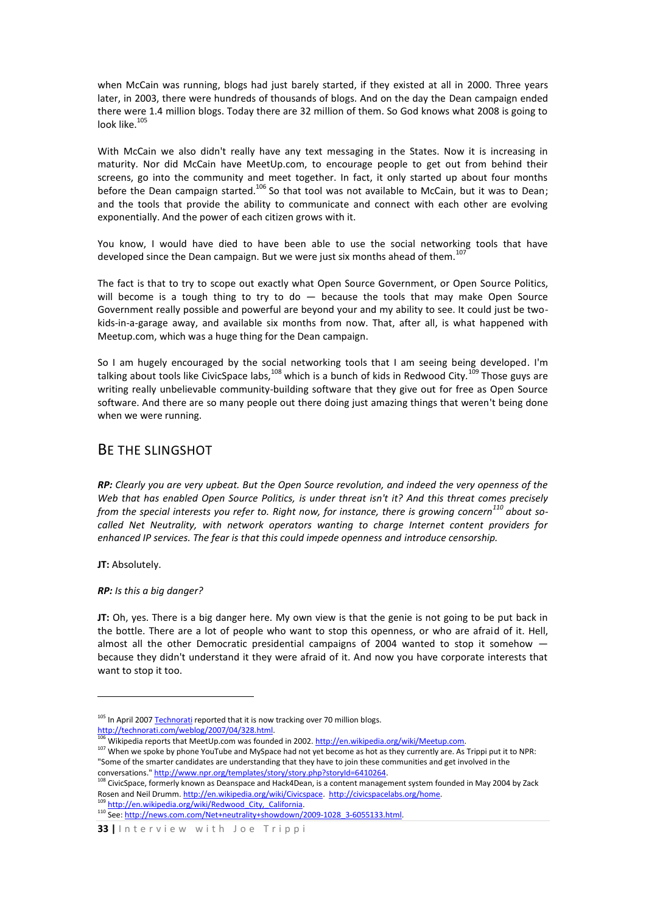when McCain was running, blogs had just barely started, if they existed at all in 2000. Three years later, in 2003, there were hundreds of thousands of blogs. And on the day the Dean campaign ended there were 1.4 million blogs. Today there are 32 million of them. So God knows what 2008 is going to look like. $105$ 

With McCain we also didn't really have any text messaging in the States. Now it is increasing in maturity. Nor did McCain have MeetUp.com, to encourage people to get out from behind their screens, go into the community and meet together. In fact, it only started up about four months before the Dean campaign started.<sup>106</sup> So that tool was not available to McCain, but it was to Dean; and the tools that provide the ability to communicate and connect with each other are evolving exponentially. And the power of each citizen grows with it.

You know, I would have died to have been able to use the social networking tools that have developed since the Dean campaign. But we were just six months ahead of them.<sup>107</sup>

The fact is that to try to scope out exactly what Open Source Government, or Open Source Politics, will become is a tough thing to try to do  $-$  because the tools that may make Open Source Government really possible and powerful are beyond your and my ability to see. It could just be twokids-in-a-garage away, and available six months from now. That, after all, is what happened with Meetup.com, which was a huge thing for the Dean campaign.

So I am hugely encouraged by the social networking tools that I am seeing being developed. I'm talking about tools like CivicSpace labs,<sup>108</sup> which is a bunch of kids in Redwood City.<sup>109</sup> Those guys are writing really unbelievable community-building software that they give out for free as Open Source software. And there are so many people out there doing just amazing things that weren't being done when we were running.

## BE THE SLINGSHOT

*RP: Clearly you are very upbeat. But the Open Source revolution, and indeed the very openness of the Web that has enabled Open Source Politics, is under threat isn't it? And this threat comes precisely from the special interests you refer to. Right now, for instance, there is growing concern<sup>110</sup> about socalled Net Neutrality, with network operators wanting to charge Internet content providers for enhanced IP services. The fear is that this could impede openness and introduce censorship.*

**JT:** Absolutely.

1

*RP: Is this a big danger?*

**JT:** Oh, yes. There is a big danger here. My own view is that the genie is not going to be put back in the bottle. There are a lot of people who want to stop this openness, or who are afraid of it. Hell, almost all the other Democratic presidential campaigns of 2004 wanted to stop it somehow because they didn't understand it they were afraid of it. And now you have corporate interests that want to stop it too.

- <sup>105</sup> In April 200[7 Technorati](http://technorati.com/) reported that it is now tracking over 70 million blogs. [http://technorati.com/weblog/2007/04/328.html.](http://technorati.com/weblog/2007/04/328.html)
- Wikipedia reports that MeetUp.com was founded in 2002. [http://en.wikipedia.org/wiki/Meetup.com.](http://en.wikipedia.org/wiki/Meetup.com) <sup>107</sup> When we spoke by phone YouTube and MySpace had not yet become as hot as they currently are. As Trippi put it to NPR: "Some of the smarter candidates are understanding that they have to join these communities and get involved in the

conversations.[" http://www.npr.org/templates/story/story.php?storyId=6410264.](http://www.npr.org/templates/story/story.php?storyId=6410264) <sup>108</sup> CivicSpace, formerly known a[s Deanspace](http://en.wikipedia.org/wiki/Deanspace) and Hack4Dean, is [a content management system](http://en.wikipedia.org/wiki/Content_management_system) founded in May 2004 by Zack Rosen and Neil Drumm. [http://en.wikipedia.org/wiki/Civicspace.](http://en.wikipedia.org/wiki/Civicspace) http://civicspacelabs.org/home.

http://en.wikipedia.org/wiki/Redwood City, California. 110 See[: http://news.com.com/Net+neutrality+showdown/2009-1028\\_3-6055133.html.](http://news.com.com/Net+neutrality+showdown/2009-1028_3-6055133.html)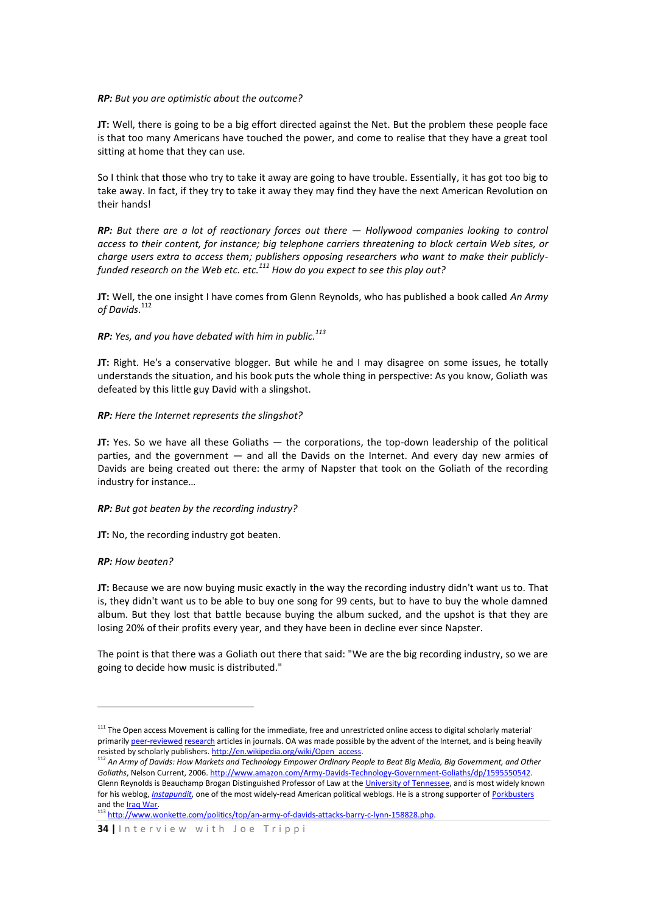## *RP: But you are optimistic about the outcome?*

**JT:** Well, there is going to be a big effort directed against the Net. But the problem these people face is that too many Americans have touched the power, and come to realise that they have a great tool sitting at home that they can use.

So I think that those who try to take it away are going to have trouble. Essentially, it has got too big to take away. In fact, if they try to take it away they may find they have the next American Revolution on their hands!

*RP: But there are a lot of reactionary forces out there — Hollywood companies looking to control access to their content, for instance; big telephone carriers threatening to block certain Web sites, or charge users extra to access them; publishers opposing researchers who want to make their publiclyfunded research on the Web etc. etc.<sup>111</sup> How do you expect to see this play out?*

**JT:** Well, the one insight I have comes from Glenn Reynolds, who has published a book called *An Army of Davids*. 112

## *RP: Yes, and you have debated with him in public. 113*

**JT:** Right. He's a conservative blogger. But while he and I may disagree on some issues, he totally understands the situation, and his book puts the whole thing in perspective: As you know, Goliath was defeated by this little guy David with a slingshot.

## *RP: Here the Internet represents the slingshot?*

**JT:** Yes. So we have all these Goliaths — the corporations, the top-down leadership of the political parties, and the government — and all the Davids on the Internet. And every day new armies of Davids are being created out there: the army of Napster that took on the Goliath of the recording industry for instance…

## *RP: But got beaten by the recording industry?*

**JT:** No, the recording industry got beaten.

#### *RP: How beaten?*

1

**JT:** Because we are now buying music exactly in the way the recording industry didn't want us to. That is, they didn't want us to be able to buy one song for 99 cents, but to have to buy the whole damned album. But they lost that battle because buying the album sucked, and the upshot is that they are losing 20% of their profits every year, and they have been in decline ever since Napster.

The point is that there was a Goliath out there that said: "We are the big recording industry, so we are going to decide how music is distributed."

 $111$  The Open access Movement is calling for the immediate, free and unrestricted online access to digital scholarly material' primaril[y peer-reviewed](http://en.wikipedia.org/wiki/Peer-review) [research](http://en.wikipedia.org/wiki/Research) articles in journals. OA was made possible by the advent of the Internet, and is being heavily resisted by scholarly publishers[. http://en.wikipedia.org/wiki/Open\\_access.](http://en.wikipedia.org/wiki/Open_access)

<sup>112</sup> *An Army of Davids: How Markets and Technology Empower Ordinary People to Beat Big Media, Big Government, and Other Goliaths*, Nelson Current, 2006[. http://www.amazon.com/Army-Davids-Technology-Government-Goliaths/dp/1595550542.](http://www.amazon.com/Army-Davids-Technology-Government-Goliaths/dp/1595550542) Glenn Reynolds is Beauchamp Brogan Distinguished Professor of Law at the [University of Tennessee,](http://en.wikipedia.org/wiki/University_of_Tennessee) and is most widely known for his weblog, *[Instapundit](http://en.wikipedia.org/wiki/Instapundit)*, one of the most widely-read American political weblogs. He is a strong supporter o[f Porkbusters](http://en.wikipedia.org/wiki/Porkbusters) and the **Iraq War**.

<sup>113</sup> http://www.wonkette.com/politics/top/an-army-of-davids-attacks-barry-c-lynn-158828.php.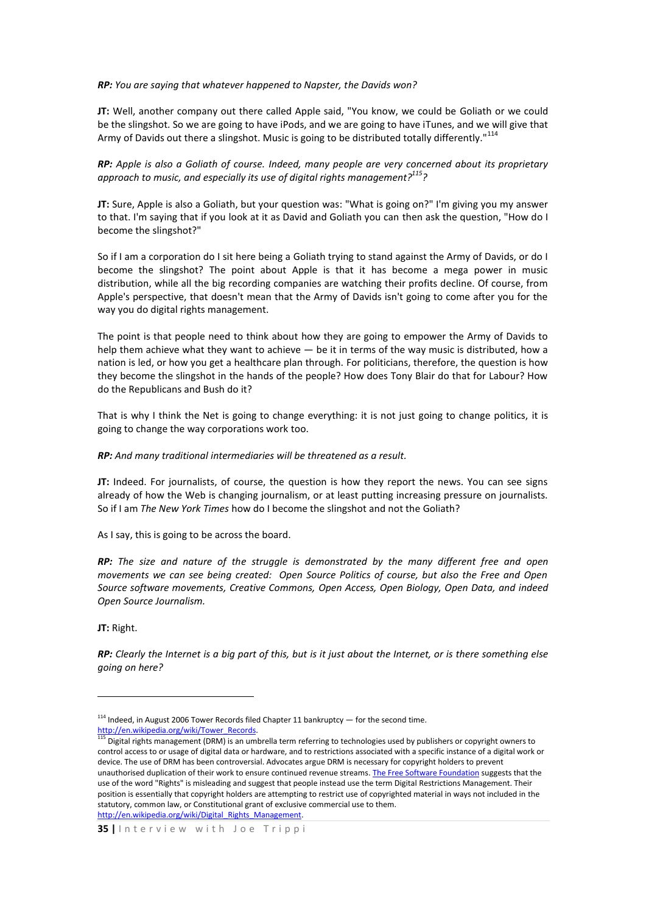#### *RP: You are saying that whatever happened to Napster, the Davids won?*

**JT:** Well, another company out there called Apple said, "You know, we could be Goliath or we could be the slingshot. So we are going to have iPods, and we are going to have iTunes, and we will give that Army of Davids out there a slingshot. Music is going to be distributed totally differently."<sup>114</sup>

*RP: Apple is also a Goliath of course. Indeed, many people are very concerned about its proprietary approach to music, and especially its use of digital rights management? <sup>115</sup>?*

**JT:** Sure, Apple is also a Goliath, but your question was: "What is going on?" I'm giving you my answer to that. I'm saying that if you look at it as David and Goliath you can then ask the question, "How do I become the slingshot?"

So if I am a corporation do I sit here being a Goliath trying to stand against the Army of Davids, or do I become the slingshot? The point about Apple is that it has become a mega power in music distribution, while all the big recording companies are watching their profits decline. Of course, from Apple's perspective, that doesn't mean that the Army of Davids isn't going to come after you for the way you do digital rights management.

The point is that people need to think about how they are going to empower the Army of Davids to help them achieve what they want to achieve — be it in terms of the way music is distributed, how a nation is led, or how you get a healthcare plan through. For politicians, therefore, the question is how they become the slingshot in the hands of the people? How does Tony Blair do that for Labour? How do the Republicans and Bush do it?

That is why I think the Net is going to change everything: it is not just going to change politics, it is going to change the way corporations work too.

#### *RP: And many traditional intermediaries will be threatened as a result.*

**JT:** Indeed. For journalists, of course, the question is how they report the news. You can see signs already of how the Web is changing journalism, or at least putting increasing pressure on journalists. So if I am *The New York Times* how do I become the slingshot and not the Goliath?

As I say, this is going to be across the board.

*RP: The size and nature of the struggle is demonstrated by the many different free and open movements we can see being created: Open Source Politics of course, but also the Free and Open Source software movements, Creative Commons, Open Access, Open Biology, Open Data, and indeed Open Source Journalism.*

**JT:** Right.

1

*RP: Clearly the Internet is a big part of this, but is it just about the Internet, or is there something else going on here?*

 $114$  Indeed, in August 2006 Tower Records filed Chapter 11 bankruptcy  $-$  for the second time. [http://en.wikipedia.org/wiki/Tower\\_Records.](http://en.wikipedia.org/wiki/Tower_Records)

<sup>115</sup> Digital rights management (DRM) is an umbrella term referring to technologies used by publishers or copyright owners to control access to or usage of digital data or hardware, and to restrictions associated with a specific instance of a digital work or device. The use of DRM has been controversial. Advocates argue DRM is necessary for copyright holders to prevent unauthorised duplication of their work to ensure continued revenue streams[. The Free Software Foundation](http://en.wikipedia.org/wiki/Free_Software_Foundation) suggests that the use of the word "Rights" is misleading and suggest that people instead use the term Digital Restrictions Management. Their position is essentially that copyright holders are attempting to restrict use of copyrighted material in ways not included in the statutory, common law, or Constitutional grant of exclusive commercial use to them. http://en.wikipedia.org/wiki/Digital\_Rights\_Management.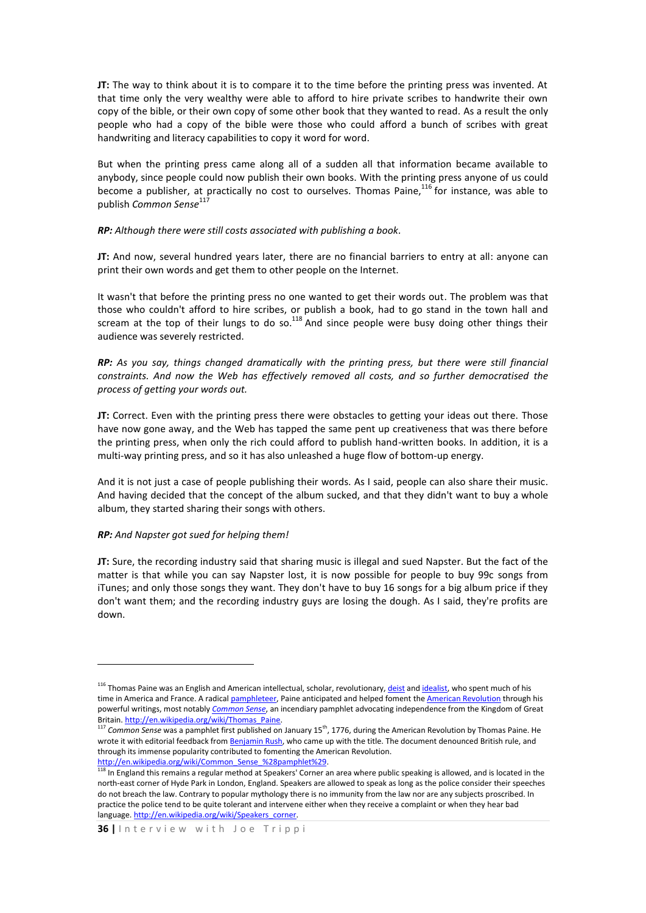**JT:** The way to think about it is to compare it to the time before the printing press was invented. At that time only the very wealthy were able to afford to hire private scribes to handwrite their own copy of the bible, or their own copy of some other book that they wanted to read. As a result the only people who had a copy of the bible were those who could afford a bunch of scribes with great handwriting and literacy capabilities to copy it word for word.

But when the printing press came along all of a sudden all that information became available to anybody, since people could now publish their own books. With the printing press anyone of us could become a publisher, at practically no cost to ourselves. Thomas Paine,<sup>116</sup> for instance, was able to publish *Common Sense*<sup>117</sup>

### *RP: Although there were still costs associated with publishing a book.*

**JT:** And now, several hundred years later, there are no financial barriers to entry at all: anyone can print their own words and get them to other people on the Internet.

It wasn't that before the printing press no one wanted to get their words out. The problem was that those who couldn't afford to hire scribes, or publish a book, had to go stand in the town hall and scream at the top of their lungs to do so.<sup>118</sup> And since people were busy doing other things their audience was severely restricted.

*RP: As you say, things changed dramatically with the printing press, but there were still financial constraints. And now the Web has effectively removed all costs, and so further democratised the process of getting your words out.*

**JT:** Correct. Even with the printing press there were obstacles to getting your ideas out there. Those have now gone away, and the Web has tapped the same pent up creativeness that was there before the printing press, when only the rich could afford to publish hand-written books. In addition, it is a multi-way printing press, and so it has also unleashed a huge flow of bottom-up energy.

And it is not just a case of people publishing their words. As I said, people can also share their music. And having decided that the concept of the album sucked, and that they didn't want to buy a whole album, they started sharing their songs with others.

## *RP: And Napster got sued for helping them!*

**.** 

**JT:** Sure, the recording industry said that sharing music is illegal and sued Napster. But the fact of the matter is that while you can say Napster lost, it is now possible for people to buy 99c songs from iTunes; and only those songs they want. They don't have to buy 16 songs for a big album price if they don't want them; and the recording industry guys are losing the dough. As I said, they're profits are down.

<sup>&</sup>lt;sup>116</sup> Thomas Paine was an English and American intellectual, scholar, revolutionary[, deist](http://en.wikipedia.org/wiki/Deist) an[d idealist,](http://en.wikipedia.org/wiki/Idealist) who spent much of his time in America and France. A radical [pamphleteer,](http://en.wikipedia.org/wiki/Pamphleteer) Paine anticipated and helped foment th[e American Revolution](http://en.wikipedia.org/wiki/American_Revolution) through his powerful writings, most notably *[Common Sense](http://en.wikipedia.org/wiki/Common_Sense_%28pamphlet%29)*, an incendiary pamphlet advocating independence from the Kingdom of Great Britain. http://en.wikipedia.org/wiki/Thomas\_Paine.

<sup>&</sup>lt;sup>117</sup> Common Sense was a pamphlet first published on January 15<sup>th</sup>, 1776, during the American Revolution by Thomas Paine. He wrote it with editorial feedback fro[m Benjamin Rush,](http://en.wikipedia.org/wiki/Benjamin_Rush) who came up with the title. The document denounced British rule, and through its immense popularity contributed to fomenting the American Revolution.

http://en.wikipedia.org/wiki/Common Sense %28pamphlet%29.

<sup>&</sup>lt;sup>118</sup> In England this remains a regular method at Speakers' Corner an area where public speaking is allowed, and is located in the north-east corner of Hyde Park in London, England. Speakers are allowed to speak as long as the police consider their speeches do not breach the law. Contrary to popular mythology there is no immunity from the law nor are any subjects proscribed. In practice the police tend to be quite tolerant and intervene either when they receive a complaint or when they hear bad language[. http://en.wikipedia.org/wiki/Speakers\\_corner.](http://en.wikipedia.org/wiki/Speakers_corner)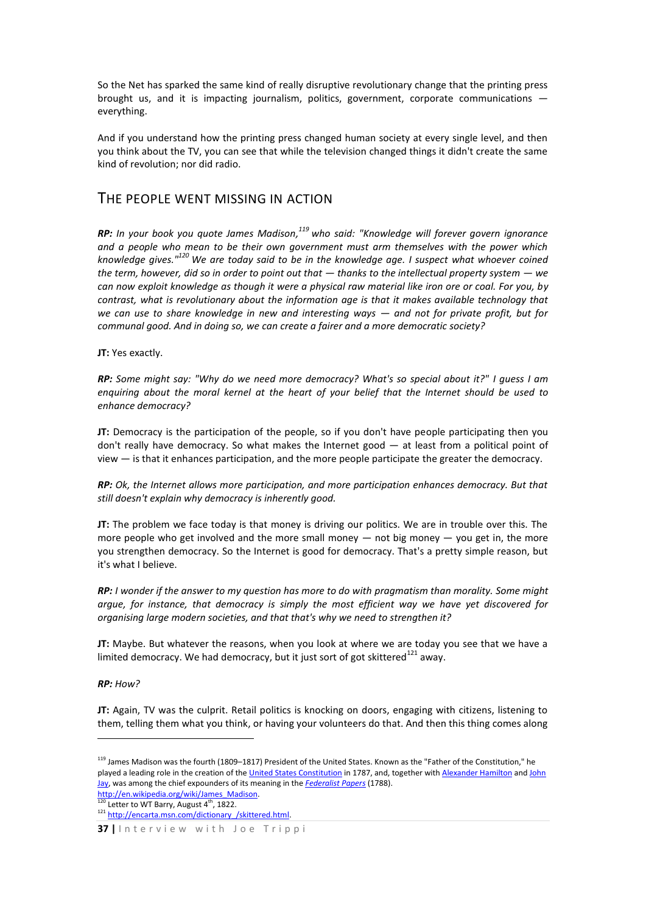So the Net has sparked the same kind of really disruptive revolutionary change that the printing press brought us, and it is impacting journalism, politics, government, corporate communications everything.

And if you understand how the printing press changed human society at every single level, and then you think about the TV, you can see that while the television changed things it didn't create the same kind of revolution; nor did radio.

## THE PEOPLE WENT MISSING IN ACTION

*RP: In your book you quote James Madison, <sup>119</sup> who said: "Knowledge will forever govern ignorance and a people who mean to be their own government must arm themselves with the power which knowledge gives."<sup>120</sup> We are today said to be in the knowledge age. I suspect what whoever coined the term, however, did so in order to point out that — thanks to the intellectual property system — we can now exploit knowledge as though it were a physical raw material like iron ore or coal. For you, by contrast, what is revolutionary about the information age is that it makes available technology that we can use to share knowledge in new and interesting ways — and not for private profit, but for communal good. And in doing so, we can create a fairer and a more democratic society?* 

**JT:** Yes exactly.

*RP: Some might say: "Why do we need more democracy? What's so special about it?" I guess I am enquiring about the moral kernel at the heart of your belief that the Internet should be used to enhance democracy?* 

**JT:** Democracy is the participation of the people, so if you don't have people participating then you don't really have democracy. So what makes the Internet good — at least from a political point of view — is that it enhances participation, and the more people participate the greater the democracy.

*RP: Ok, the Internet allows more participation, and more participation enhances democracy. But that still doesn't explain why democracy is inherently good.*

**JT:** The problem we face today is that money is driving our politics. We are in trouble over this. The more people who get involved and the more small money  $-$  not big money  $-$  you get in, the more you strengthen democracy. So the Internet is good for democracy. That's a pretty simple reason, but it's what I believe.

*RP: I wonder if the answer to my question has more to do with pragmatism than morality. Some might argue, for instance, that democracy is simply the most efficient way we have yet discovered for organising large modern societies, and that that's why we need to strengthen it?* 

**JT:** Maybe. But whatever the reasons, when you look at where we are today you see that we have a limited democracy. We had democracy, but it just sort of got skittered $^{121}$  away.

*RP: How?*

1

**JT:** Again, TV was the culprit. Retail politics is knocking on doors, engaging with citizens, listening to them, telling them what you think, or having your volunteers do that. And then this thing comes along

<sup>&</sup>lt;sup>119</sup> James Madison was the fourth (1809–1817) President of the United States. Known as the "Father of the Constitution," he played a leading role in the creation of th[e United States Constitution](http://en.wikipedia.org/wiki/United_States_Constitution) in 1787, and, together wit[h Alexander Hamilton](http://en.wikipedia.org/wiki/Alexander_Hamilton) and John [Jay,](http://en.wikipedia.org/wiki/John_Jay) was among the chief expounders of its meaning in the *[Federalist Papers](http://en.wikipedia.org/wiki/Federalist_Papers)* (1788).

http://en.wikipedia.org/wiki/James\_Madison. Letter to WT Barry, August  $4^{th}$ , 1822.

<sup>121</sup> http://encarta.msn.com/dictionary /skittered.html.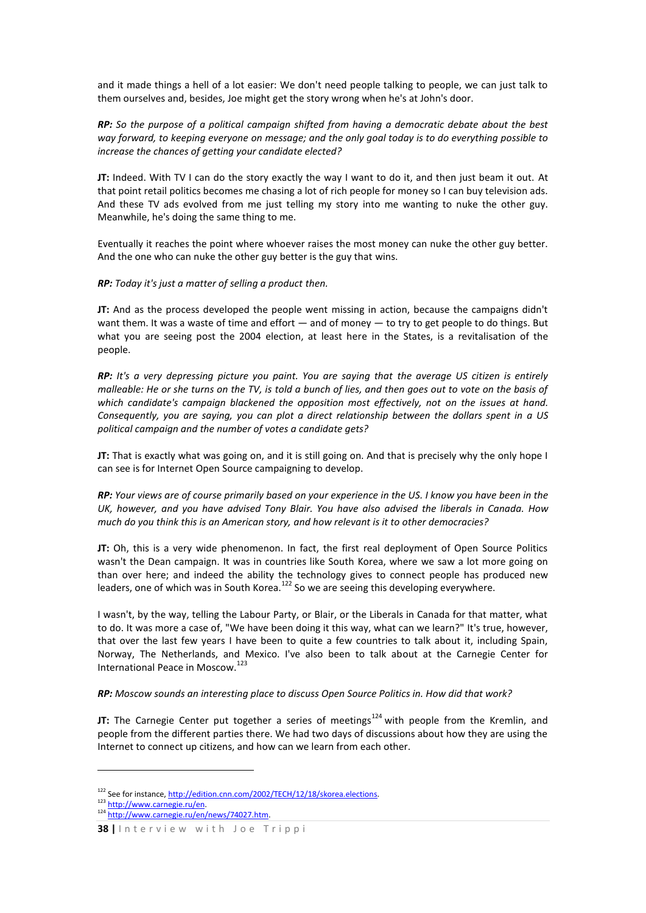and it made things a hell of a lot easier: We don't need people talking to people, we can just talk to them ourselves and, besides, Joe might get the story wrong when he's at John's door.

*RP: So the purpose of a political campaign shifted from having a democratic debate about the best way forward, to keeping everyone on message; and the only goal today is to do everything possible to increase the chances of getting your candidate elected?*

**JT:** Indeed. With TV I can do the story exactly the way I want to do it, and then just beam it out. At that point retail politics becomes me chasing a lot of rich people for money so I can buy television ads. And these TV ads evolved from me just telling my story into me wanting to nuke the other guy. Meanwhile, he's doing the same thing to me.

Eventually it reaches the point where whoever raises the most money can nuke the other guy better. And the one who can nuke the other guy better is the guy that wins.

*RP: Today it's just a matter of selling a product then.*

**JT:** And as the process developed the people went missing in action, because the campaigns didn't want them. It was a waste of time and effort — and of money — to try to get people to do things. But what you are seeing post the 2004 election, at least here in the States, is a revitalisation of the people.

*RP: It's a very depressing picture you paint. You are saying that the average US citizen is entirely malleable: He or she turns on the TV, is told a bunch of lies, and then goes out to vote on the basis of which candidate's campaign blackened the opposition most effectively, not on the issues at hand. Consequently, you are saying, you can plot a direct relationship between the dollars spent in a US political campaign and the number of votes a candidate gets?*

**JT:** That is exactly what was going on, and it is still going on. And that is precisely why the only hope I can see is for Internet Open Source campaigning to develop.

*RP: Your views are of course primarily based on your experience in the US. I know you have been in the UK, however, and you have advised Tony Blair. You have also advised the liberals in Canada. How much do you think this is an American story, and how relevant is it to other democracies?*

**JT:** Oh, this is a very wide phenomenon. In fact, the first real deployment of Open Source Politics wasn't the Dean campaign. It was in countries like South Korea, where we saw a lot more going on than over here; and indeed the ability the technology gives to connect people has produced new leaders, one of which was in South Korea.<sup>122</sup> So we are seeing this developing everywhere.

I wasn't, by the way, telling the Labour Party, or Blair, or the Liberals in Canada for that matter, what to do. It was more a case of, "We have been doing it this way, what can we learn?" It's true, however, that over the last few years I have been to quite a few countries to talk about it, including Spain, Norway, The Netherlands, and Mexico. I've also been to talk about at the Carnegie Center for International Peace in Moscow.<sup>123</sup>

## *RP: Moscow sounds an interesting place to discuss Open Source Politics in. How did that work?*

**JT:** The Carnegie Center put together a series of meetings<sup>124</sup> with people from the Kremlin, and people from the different parties there. We had two days of discussions about how they are using the Internet to connect up citizens, and how can we learn from each other.

1

<sup>&</sup>lt;sup>122</sup> See for instance, http://edition.cnn.com/2002/TECH/12/18/skorea.elections. 123 http://www.carnegie.ru/en.

<sup>124</sup> [http://www.carnegie.ru/en/news/74027.htm.](http://www.carnegie.ru/en/news/74027.htm) 

**<sup>38</sup>** *|* Interview with Joe Trippi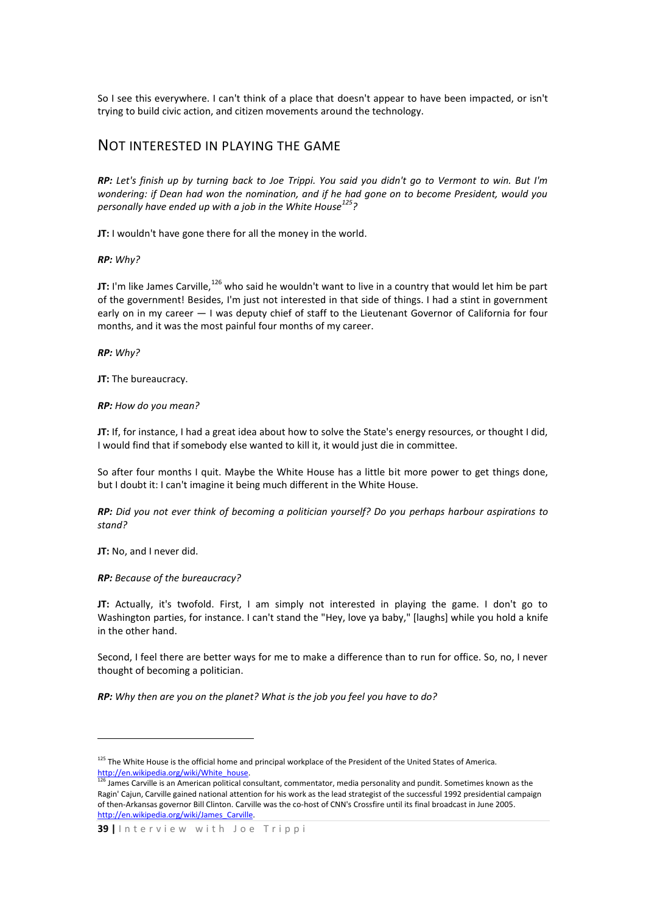So I see this everywhere. I can't think of a place that doesn't appear to have been impacted, or isn't trying to build civic action, and citizen movements around the technology.

## NOT INTERESTED IN PLAYING THE GAME

*RP: Let's finish up by turning back to Joe Trippi. You said you didn't go to Vermont to win. But I'm wondering: if Dean had won the nomination, and if he had gone on to become President, would you personally have ended up with a job in the White House<sup>125</sup>?* 

**JT:** I wouldn't have gone there for all the money in the world.

*RP: Why?*

**JT:** I'm like James Carville,<sup>126</sup> who said he wouldn't want to live in a country that would let him be part of the government! Besides, I'm just not interested in that side of things. I had a stint in government early on in my career  $-1$  was deputy chief of staff to the Lieutenant Governor of California for four months, and it was the most painful four months of my career.

*RP: Why?*

**JT:** The bureaucracy.

*RP: How do you mean?*

**JT:** If, for instance, I had a great idea about how to solve the State's energy resources, or thought I did, I would find that if somebody else wanted to kill it, it would just die in committee.

So after four months I quit. Maybe the White House has a little bit more power to get things done, but I doubt it: I can't imagine it being much different in the White House.

*RP: Did you not ever think of becoming a politician yourself? Do you perhaps harbour aspirations to stand?* 

**JT:** No, and I never did.

1

*RP: Because of the bureaucracy?* 

**JT:** Actually, it's twofold. First, I am simply not interested in playing the game. I don't go to Washington parties, for instance. I can't stand the "Hey, love ya baby," [laughs] while you hold a knife in the other hand.

Second, I feel there are better ways for me to make a difference than to run for office. So, no, I never thought of becoming a politician.

*RP: Why then are you on the planet? What is the job you feel you have to do?*

<sup>&</sup>lt;sup>125</sup> The White House is the official home and principal workplace of the President of the United States of America. http://en.wikipedia.org/wiki/White\_house.

 $^{126}$  James Carville is an American political consultant, commentator, media personality and pundit. Sometimes known as the Ragin' Cajun, Carville gained national attention for his work as the lead strategist of the successful 1992 presidential campaign of then-Arkansas governor Bill Clinton. Carville was the co-host of CNN's Crossfire until its final broadcast in June 2005. [http://en.wikipedia.org/wiki/James\\_Carville.](http://en.wikipedia.org/wiki/James_Carville)

**<sup>39</sup> |** I n t e r v i e w w i t h J o e T r i p p i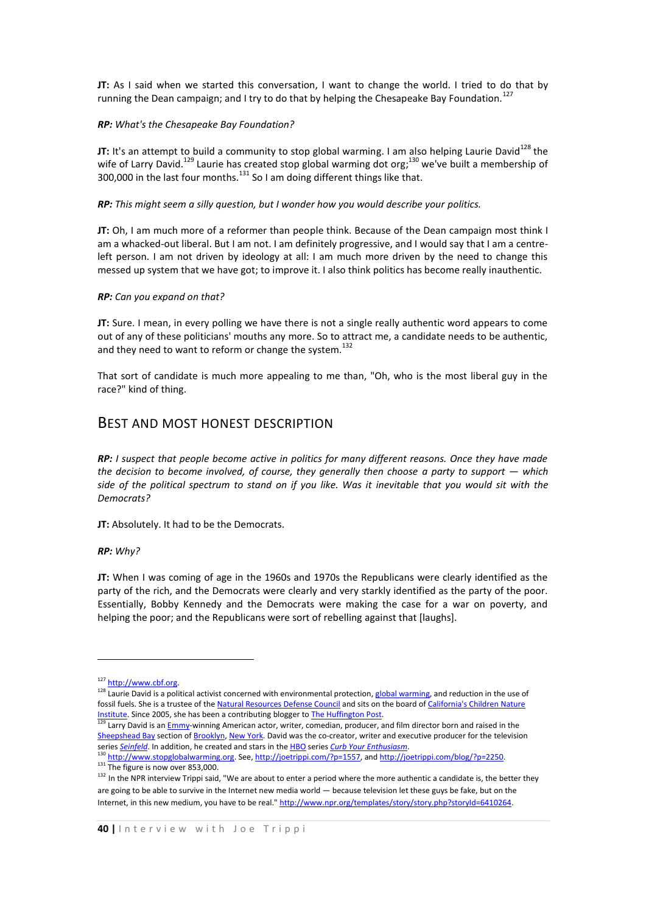**JT:** As I said when we started this conversation, I want to change the world. I tried to do that by running the Dean campaign; and I try to do that by helping the Chesapeake Bay Foundation.<sup>12</sup>

## *RP: What's the Chesapeake Bay Foundation?*

**JT:** It's an attempt to build a community to stop global warming. I am also helping Laurie David<sup>128</sup> the wife of Larry David.<sup>129</sup> Laurie has created stop global warming dot org;<sup>130</sup> we've built a membership of 300,000 in the last four months.<sup>131</sup> So I am doing different things like that.

*RP: This might seem a silly question, but I wonder how you would describe your politics.*

**JT:** Oh, I am much more of a reformer than people think. Because of the Dean campaign most think I am a whacked-out liberal. But I am not. I am definitely progressive, and I would say that I am a centreleft person. I am not driven by ideology at all: I am much more driven by the need to change this messed up system that we have got; to improve it. I also think politics has become really inauthentic.

#### *RP: Can you expand on that?*

**JT:** Sure. I mean, in every polling we have there is not a single really authentic word appears to come out of any of these politicians' mouths any more. So to attract me, a candidate needs to be authentic, and they need to want to reform or change the system. $^{132}$ 

That sort of candidate is much more appealing to me than, "Oh, who is the most liberal guy in the race?" kind of thing.

## BEST AND MOST HONEST DESCRIPTION

*RP: I suspect that people become active in politics for many different reasons. Once they have made the decision to become involved, of course, they generally then choose a party to support — which side of the political spectrum to stand on if you like. Was it inevitable that you would sit with the Democrats?* 

**JT:** Absolutely. It had to be the Democrats.

#### *RP: Why?*

**.** 

**JT:** When I was coming of age in the 1960s and 1970s the Republicans were clearly identified as the party of the rich, and the Democrats were clearly and very starkly identified as the party of the poor. Essentially, Bobby Kennedy and the Democrats were making the case for a war on poverty, and helping the poor; and the Republicans were sort of rebelling against that [laughs].

<sup>127</sup> http://www.cbf.org.

<sup>128</sup> Laurie David is a political activist concerned with environmental protection[, global warming,](http://en.wikipedia.org/wiki/Global_warming) and reduction in the use of fossil fuels. She is a trustee of th[e Natural Resources Defense Council](http://en.wikipedia.org/wiki/Natural_Resources_Defense_Council) and sits on the board of California's Children Nature [Institute.](http://en.wikipedia.org/w/index.php?title=California%27s_Children_Nature_Institute&action=edit) Since 2005, she has been a contributing blogger t[o The Huffington Post.](http://en.wikipedia.org/wiki/The_Huffington_Post)

Larry David is a[n Emmy-](http://en.wikipedia.org/wiki/Emmy)winning American actor, writer, comedian, producer, and film director born and raised in the [Sheepshead Bay](http://en.wikipedia.org/wiki/Sheepshead_Bay) section o[f Brooklyn,](http://en.wikipedia.org/wiki/Brooklyn%2C_New_York) [New York.](http://en.wikipedia.org/wiki/New_York_City) David was the co-creator, writer and executive producer for the television series *[Seinfeld](http://en.wikipedia.org/wiki/Seinfeld)*. In addition, he created and stars in th[e HBO](http://en.wikipedia.org/wiki/HBO) series *[Curb Your Enthusiasm](http://en.wikipedia.org/wiki/Curb_Your_Enthusiasm)*.

<sup>130</sup> [http://www.stopglobalwarming.org.](http://www.stopglobalwarming.org/) See[, http://joetrippi.com/?p=1557,](http://joetrippi.com/?p=1557) an[d http://joetrippi.com/blog/?p=2250.](http://joetrippi.com/blog/?p=2250)  $\frac{131}{h}$  The figure is now over 853,000.

<sup>&</sup>lt;sup>132</sup> In the NPR interview Trippi said, "We are about to enter a period where the more authentic a candidate is, the better they are going to be able to survive in the Internet new media world — because television let these guys be fake, but on the Internet, in this new medium, you have to be real." [http://www.npr.org/templates/story/story.php?storyId=6410264.](http://www.npr.org/templates/story/story.php?storyId=6410264)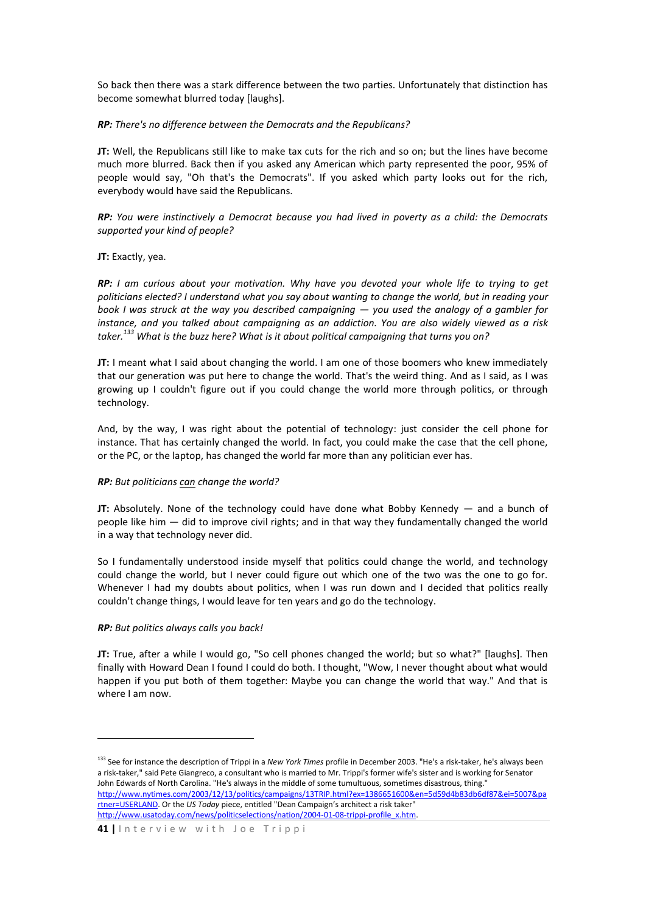So back then there was a stark difference between the two parties. Unfortunately that distinction has become somewhat blurred today [laughs].

## *RP: There's no difference between the Democrats and the Republicans?*

**JT:** Well, the Republicans still like to make tax cuts for the rich and so on; but the lines have become much more blurred. Back then if you asked any American which party represented the poor, 95% of people would say, "Oh that's the Democrats". If you asked which party looks out for the rich, everybody would have said the Republicans.

*RP: You were instinctively a Democrat because you had lived in poverty as a child: the Democrats supported your kind of people?* 

## **JT:** Exactly, yea.

*RP: I am curious about your motivation. Why have you devoted your whole life to trying to get politicians elected? I understand what you say about wanting to change the world, but in reading your book I was struck at the way you described campaigning — you used the analogy of a gambler for instance, and you talked about campaigning as an addiction. You are also widely viewed as a risk taker.<sup>133</sup> What is the buzz here? What is it about political campaigning that turns you on?* 

**JT:** I meant what I said about changing the world. I am one of those boomers who knew immediately that our generation was put here to change the world. That's the weird thing. And as I said, as I was growing up I couldn't figure out if you could change the world more through politics, or through technology.

And, by the way, I was right about the potential of technology: just consider the cell phone for instance. That has certainly changed the world. In fact, you could make the case that the cell phone, or the PC, or the laptop, has changed the world far more than any politician ever has.

### *RP: But politicians can change the world?*

**JT:** Absolutely. None of the technology could have done what Bobby Kennedy — and a bunch of people like him — did to improve civil rights; and in that way they fundamentally changed the world in a way that technology never did.

So I fundamentally understood inside myself that politics could change the world, and technology could change the world, but I never could figure out which one of the two was the one to go for. Whenever I had my doubts about politics, when I was run down and I decided that politics really couldn't change things, I would leave for ten years and go do the technology.

#### *RP: But politics always calls you back!*

1

**JT:** True, after a while I would go, "So cell phones changed the world; but so what?" [laughs]. Then finally with Howard Dean I found I could do both. I thought, "Wow, I never thought about what would happen if you put both of them together: Maybe you can change the world that way." And that is where I am now.

<sup>133</sup> See for instance the description of Trippi in a *New York Times* profile in December 2003. "He's a risk-taker, he's always been a risk-taker," said Pete Giangreco, a consultant who is married to Mr. Trippi's former wife's sister and is working for Senator John Edwards of North Carolina. "He's always in the middle of some tumultuous, sometimes disastrous, thing." [http://www.nytimes.com/2003/12/13/politics/campaigns/13TRIP.html?ex=1386651600&en=5d59d4b83db6df87&ei=5007&pa](http://www.nytimes.com/2003/12/13/politics/campaigns/13TRIP.html?ex=1386651600&en=5d59d4b83db6df87&ei=5007&partner=USERLAND) [rtner=USERLAND.](http://www.nytimes.com/2003/12/13/politics/campaigns/13TRIP.html?ex=1386651600&en=5d59d4b83db6df87&ei=5007&partner=USERLAND) Or the *US Today* piece, entitled "Dean Campaign's architect a risk taker" http://www.usatoday.com/news/politicselections/nation/2004-01-08-trippi-profile\_x.htm.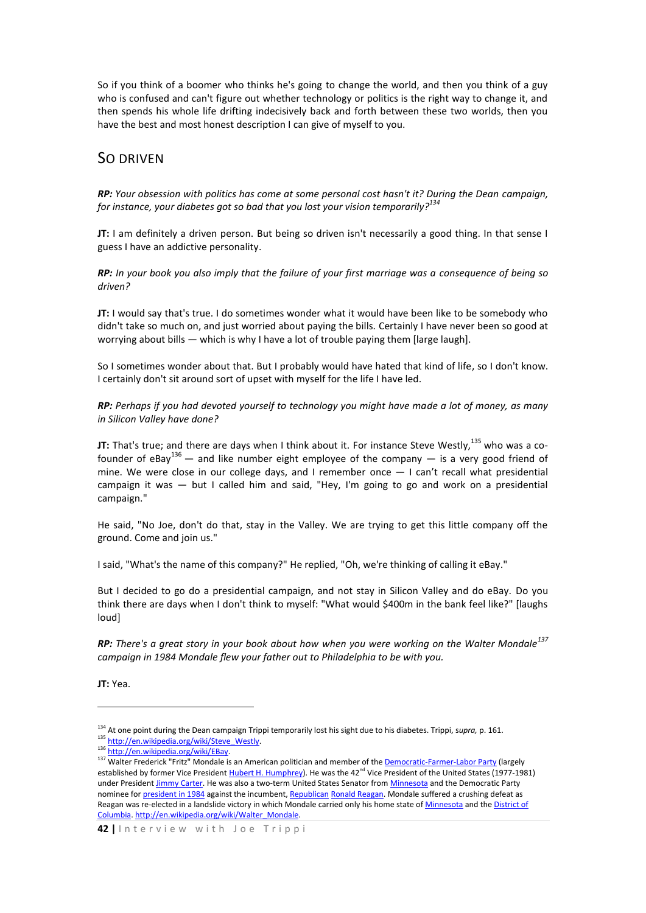So if you think of a boomer who thinks he's going to change the world, and then you think of a guy who is confused and can't figure out whether technology or politics is the right way to change it, and then spends his whole life drifting indecisively back and forth between these two worlds, then you have the best and most honest description I can give of myself to you.

## SO DRIVEN

*RP: Your obsession with politics has come at some personal cost hasn't it? During the Dean campaign, for instance, your diabetes got so bad that you lost your vision temporarily? 134*

**JT:** I am definitely a driven person. But being so driven isn't necessarily a good thing. In that sense I guess I have an addictive personality.

*RP: In your book you also imply that the failure of your first marriage was a consequence of being so driven?*

**JT:** I would say that's true. I do sometimes wonder what it would have been like to be somebody who didn't take so much on, and just worried about paying the bills. Certainly I have never been so good at worrying about bills — which is why I have a lot of trouble paying them [large laugh].

So I sometimes wonder about that. But I probably would have hated that kind of life, so I don't know. I certainly don't sit around sort of upset with myself for the life I have led.

*RP: Perhaps if you had devoted yourself to technology you might have made a lot of money, as many in Silicon Valley have done?*

**JT:** That's true; and there are days when I think about it. For instance Steve Westly, <sup>135</sup> who was a cofounder of eBay<sup>136</sup> — and like number eight employee of the company — is a very good friend of mine. We were close in our college days, and I remember once — I can't recall what presidential campaign it was — but I called him and said, "Hey, I'm going to go and work on a presidential campaign."

He said, "No Joe, don't do that, stay in the Valley. We are trying to get this little company off the ground. Come and join us."

I said, "What's the name of this company?" He replied, "Oh, we're thinking of calling it eBay."

But I decided to go do a presidential campaign, and not stay in Silicon Valley and do eBay. Do you think there are days when I don't think to myself: "What would \$400m in the bank feel like?" [laughs loud]

*RP: There's a great story in your book about how when you were working on the Walter Mondale<sup>137</sup> campaign in 1984 Mondale flew your father out to Philadelphia to be with you.*

**JT:** Yea.

1

<sup>134</sup> At one point during the Dean campaign Trippi temporarily lost his sight due to his diabetes. Trippi, s*upra,* p. 161. 135 [http://en.wikipedia.org/wiki/Steve\\_Westly.](http://en.wikipedia.org/wiki/Steve_Westly)

<sup>136</sup> http://en.wikipedia.org/wiki/EBay.

<sup>&</sup>lt;sup>137</sup> Walter Frederick "Fritz" Mondale is an American politician and member of the <u>Democratic-Farmer-Labor Party</u> (largely established by former Vice Presiden[t Hubert H. Humphrey\)](http://en.wikipedia.org/wiki/Hubert_H._Humphrey). He was the 42<sup>nd</sup> Vice President of the United States (1977-1981) under President [Jimmy Carter.](http://en.wikipedia.org/wiki/Jimmy_Carter) He was also a two-term United States Senator fro[m Minnesota](http://en.wikipedia.org/wiki/Minnesota) and the Democratic Party nominee fo[r president in 1984](http://en.wikipedia.org/wiki/U.S._presidential_election%2C_1984) against the incumbent[, Republican](http://en.wikipedia.org/wiki/Republican_Party_%28United_States%29) [Ronald Reagan.](http://en.wikipedia.org/wiki/Ronald_Reagan) Mondale suffered a crushing defeat as Reagan was re-elected in a landslide victory in which Mondale carried only his home state o[f Minnesota](http://en.wikipedia.org/wiki/Minnesota) and the District of [Columbia.](http://en.wikipedia.org/wiki/District_of_Columbia) [http://en.wikipedia.org/wiki/Walter\\_Mondale.](http://en.wikipedia.org/wiki/Walter_Mondale)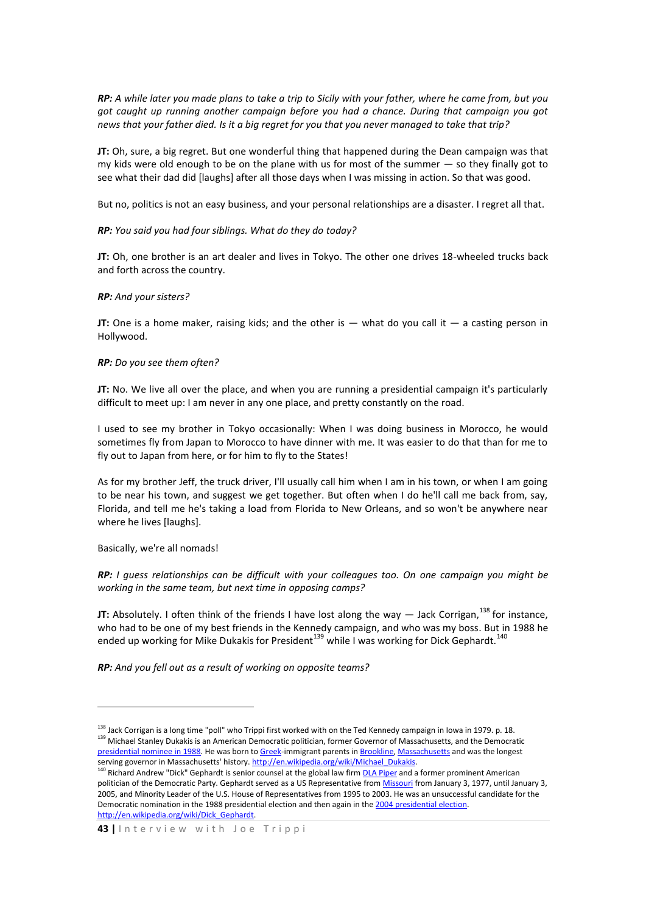*RP: A while later you made plans to take a trip to Sicily with your father, where he came from, but you got caught up running another campaign before you had a chance. During that campaign you got news that your father died. Is it a big regret for you that you never managed to take that trip?* 

**JT:** Oh, sure, a big regret. But one wonderful thing that happened during the Dean campaign was that my kids were old enough to be on the plane with us for most of the summer — so they finally got to see what their dad did [laughs] after all those days when I was missing in action. So that was good.

But no, politics is not an easy business, and your personal relationships are a disaster. I regret all that.

#### *RP: You said you had four siblings. What do they do today?*

**JT:** Oh, one brother is an art dealer and lives in Tokyo. The other one drives 18-wheeled trucks back and forth across the country.

#### *RP: And your sisters?*

**JT:** One is a home maker, raising kids; and the other is — what do you call it — a casting person in Hollywood.

#### *RP: Do you see them often?*

**JT:** No. We live all over the place, and when you are running a presidential campaign it's particularly difficult to meet up: I am never in any one place, and pretty constantly on the road.

I used to see my brother in Tokyo occasionally: When I was doing business in Morocco, he would sometimes fly from Japan to Morocco to have dinner with me. It was easier to do that than for me to fly out to Japan from here, or for him to fly to the States!

As for my brother Jeff, the truck driver, I'll usually call him when I am in his town, or when I am going to be near his town, and suggest we get together. But often when I do he'll call me back from, say, Florida, and tell me he's taking a load from Florida to New Orleans, and so won't be anywhere near where he lives [laughs].

Basically, we're all nomads!

1

*RP: I guess relationships can be difficult with your colleagues too. On one campaign you might be working in the same team, but next time in opposing camps?*

**JT:** Absolutely. I often think of the friends I have lost along the way  $-$  Jack Corrigan,<sup>138</sup> for instance, who had to be one of my best friends in the Kennedy campaign, and who was my boss. But in 1988 he ended up working for Mike Dukakis for President<sup>139</sup> while I was working for Dick Gephardt.<sup>140</sup>

*RP: And you fell out as a result of working on opposite teams?*

 $138$  Jack Corrigan is a long time "poll" who Trippi first worked with on the Ted Kennedy campaign in Iowa in 1979. p. 18. 139 Michael Stanley Dukakis is an American Democratic politician, former Governor of Massachusetts, and the Democratic [presidential nominee in 1988.](http://en.wikipedia.org/wiki/U.S._presidential_election%2C_1988) He was born t[o Greek-i](http://en.wikipedia.org/wiki/Greece)mmigrant parents i[n Brookline,](http://en.wikipedia.org/wiki/Brookline%2C_Massachusetts) [Massachusetts](http://en.wikipedia.org/wiki/Massachusetts) and was the longest serving governor in Massachusetts' history. http://en.wikipedia.org/wiki/Michael\_Dukakis.

<sup>&</sup>lt;sup>140</sup> Richard Andrew "Dick" Gephardt is senior counsel at the global law firm <u>DLA Piper</u> and a former prominent American politician of the Democratic Party. Gephardt served as a US Representative fro[m Missouri](http://en.wikipedia.org/wiki/Missouri) from January 3, 1977, until January 3, 2005, and Minority Leader of the U.S. House of Representatives from 1995 to 2003. He was an unsuccessful candidate for the Democratic nomination in the 1988 presidential election and then again in th[e 2004 presidential election.](http://en.wikipedia.org/wiki/U.S._presidential_election%2C_2004)  [http://en.wikipedia.org/wiki/Dick\\_Gephardt.](http://en.wikipedia.org/wiki/Dick_Gephardt)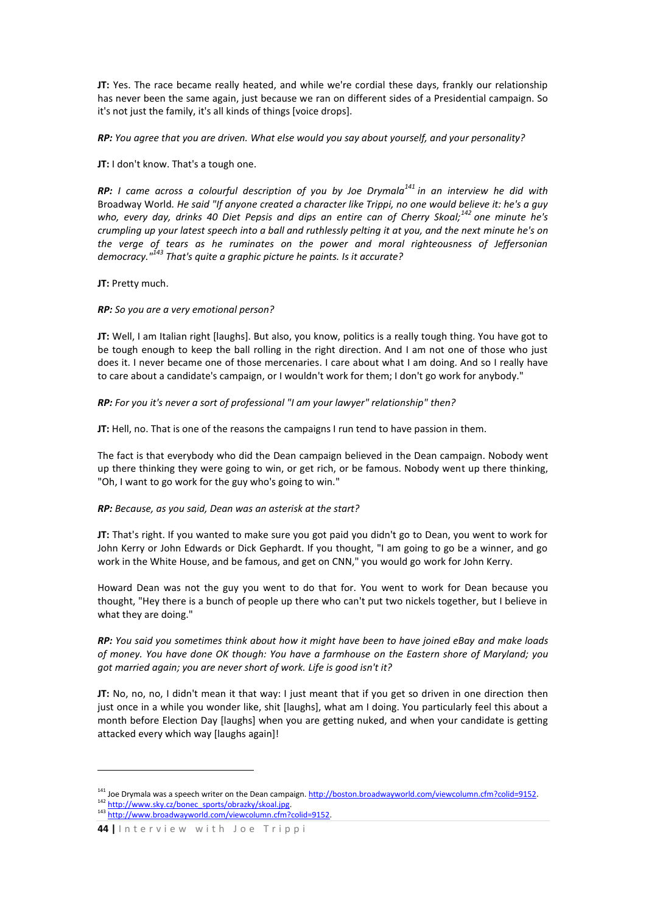**JT:** Yes. The race became really heated, and while we're cordial these days, frankly our relationship has never been the same again, just because we ran on different sides of a Presidential campaign. So it's not just the family, it's all kinds of things [voice drops].

*RP: You agree that you are driven. What else would you say about yourself, and your personality?* 

**JT:** I don't know. That's a tough one.

*RP: I came across a colourful description of you by Joe Drymala<sup>141</sup> in an interview he did with*  Broadway World*. He said "If anyone created a character like Trippi, no one would believe it: he's a guy who, every day, drinks 40 Diet Pepsis and dips an entire can of Cherry Skoal;<sup>142</sup> one minute he's crumpling up your latest speech into a ball and ruthlessly pelting it at you, and the next minute he's on the verge of tears as he ruminates on the power and moral righteousness of Jeffersonian democracy."<sup>143</sup> That's quite a graphic picture he paints. Is it accurate?*

**JT:** Pretty much.

## *RP: So you are a very emotional person?*

**JT:** Well, I am Italian right [laughs]. But also, you know, politics is a really tough thing. You have got to be tough enough to keep the ball rolling in the right direction. And I am not one of those who just does it. I never became one of those mercenaries. I care about what I am doing. And so I really have to care about a candidate's campaign, or I wouldn't work for them; I don't go work for anybody."

*RP: For you it's never a sort of professional "I am your lawyer" relationship" then?*

**JT:** Hell, no. That is one of the reasons the campaigns I run tend to have passion in them.

The fact is that everybody who did the Dean campaign believed in the Dean campaign. Nobody went up there thinking they were going to win, or get rich, or be famous. Nobody went up there thinking, "Oh, I want to go work for the guy who's going to win."

## *RP: Because, as you said, Dean was an asterisk at the start?*

**JT:** That's right. If you wanted to make sure you got paid you didn't go to Dean, you went to work for John Kerry or John Edwards or Dick Gephardt. If you thought, "I am going to go be a winner, and go work in the White House, and be famous, and get on CNN," you would go work for John Kerry.

Howard Dean was not the guy you went to do that for. You went to work for Dean because you thought, "Hey there is a bunch of people up there who can't put two nickels together, but I believe in what they are doing."

*RP: You said you sometimes think about how it might have been to have joined eBay and make loads of money. You have done OK though: You have a farmhouse on the Eastern shore of Maryland; you got married again; you are never short of work. Life is good isn't it?*

**JT:** No, no, no, I didn't mean it that way: I just meant that if you get so driven in one direction then just once in a while you wonder like, shit [laughs], what am I doing. You particularly feel this about a month before Election Day [laughs] when you are getting nuked, and when your candidate is getting attacked every which way [laughs again]!

1

<sup>&</sup>lt;sup>141</sup> Joe Drymala was a speech writer on the Dean campaign. http://boston.broadwayworld.com/viewcolumn.cfm?colid=9152. 142 [http://www.sky.cz/bonec\\_sports/obrazky/skoal.jpg.](http://www.sky.cz/bonec_sports/obrazky/skoal.jpg) 143 [http://www.broadwayworld.com/viewcolumn.cfm?colid=9152.](http://www.broadwayworld.com/viewcolumn.cfm?colid=9152)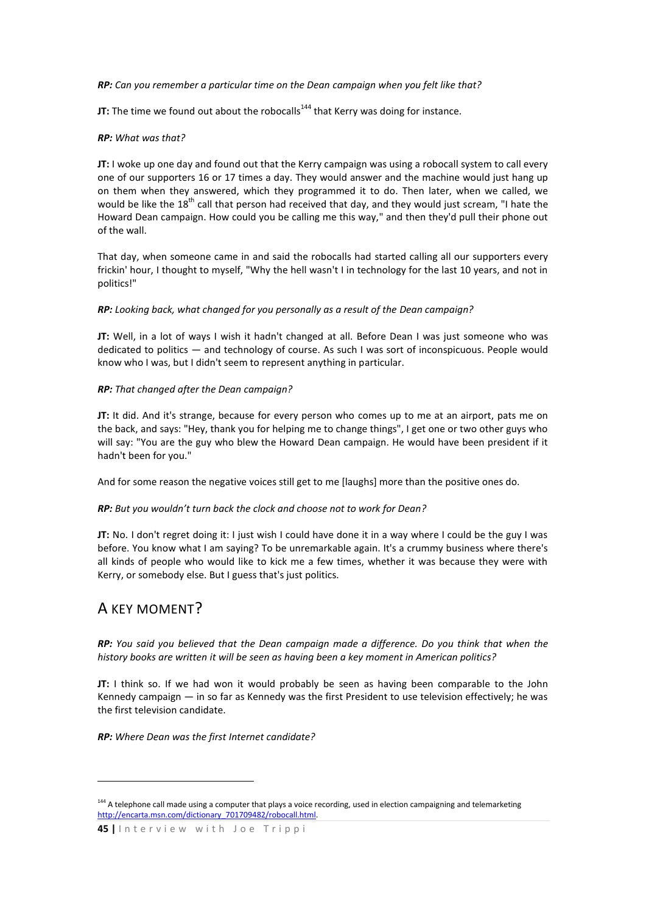*RP: Can you remember a particular time on the Dean campaign when you felt like that?*

**JT:** The time we found out about the robocalls<sup>144</sup> that Kerry was doing for instance.

### *RP: What was that?*

**JT:** I woke up one day and found out that the Kerry campaign was using a robocall system to call every one of our supporters 16 or 17 times a day. They would answer and the machine would just hang up on them when they answered, which they programmed it to do. Then later, when we called, we would be like the  $18<sup>th</sup>$  call that person had received that day, and they would just scream, "I hate the Howard Dean campaign. How could you be calling me this way," and then they'd pull their phone out of the wall.

That day, when someone came in and said the robocalls had started calling all our supporters every frickin' hour, I thought to myself, "Why the hell wasn't I in technology for the last 10 years, and not in politics!"

*RP: Looking back, what changed for you personally as a result of the Dean campaign?* 

**JT:** Well, in a lot of ways I wish it hadn't changed at all. Before Dean I was just someone who was dedicated to politics — and technology of course. As such I was sort of inconspicuous. People would know who I was, but I didn't seem to represent anything in particular.

## *RP: That changed after the Dean campaign?*

**JT:** It did. And it's strange, because for every person who comes up to me at an airport, pats me on the back, and says: "Hey, thank you for helping me to change things", I get one or two other guys who will say: "You are the guy who blew the Howard Dean campaign. He would have been president if it hadn't been for you."

And for some reason the negative voices still get to me [laughs] more than the positive ones do.

#### *RP: But you wouldn't turn back the clock and choose not to work for Dean?*

**JT:** No. I don't regret doing it: I just wish I could have done it in a way where I could be the guy I was before. You know what I am saying? To be unremarkable again. It's a crummy business where there's all kinds of people who would like to kick me a few times, whether it was because they were with Kerry, or somebody else. But I guess that's just politics.

## A KEY MOMENT?

<u>.</u>

*RP: You said you believed that the Dean campaign made a difference. Do you think that when the history books are written it will be seen as having been a key moment in American politics?* 

**JT:** I think so. If we had won it would probably be seen as having been comparable to the John Kennedy campaign — in so far as Kennedy was the first President to use television effectively; he was the first television candidate.

*RP: Where Dean was the first Internet candidate?*

<sup>&</sup>lt;sup>144</sup> A telephone call made using a computer that plays a voice recording, used in election campaigning and telemarketing [http://encarta.msn.com/dictionary\\_701709482/robocall.html.](http://encarta.msn.com/dictionary_701709482/robocall.html)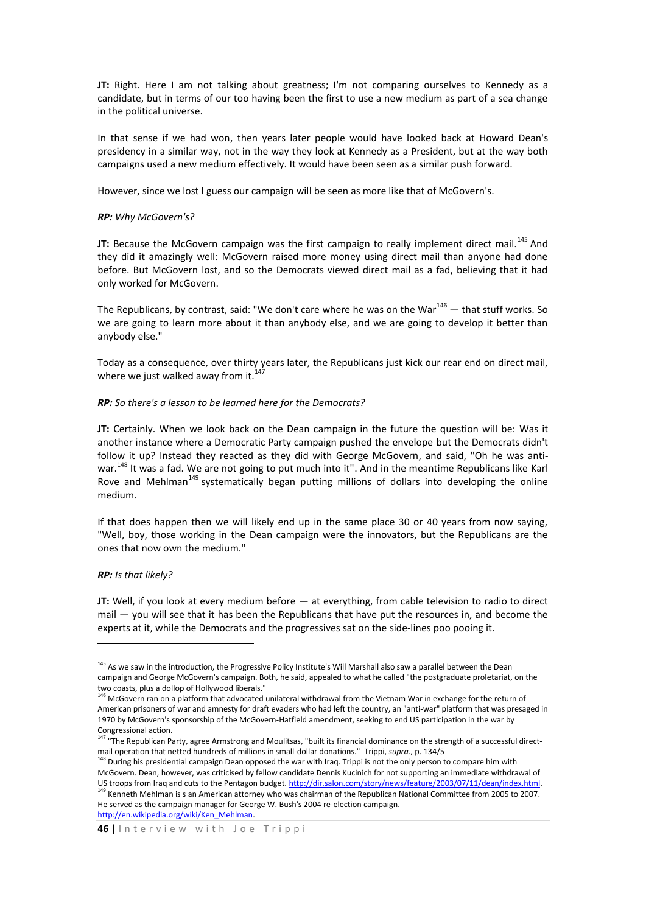**JT:** Right. Here I am not talking about greatness; I'm not comparing ourselves to Kennedy as a candidate, but in terms of our too having been the first to use a new medium as part of a sea change in the political universe.

In that sense if we had won, then years later people would have looked back at Howard Dean's presidency in a similar way, not in the way they look at Kennedy as a President, but at the way both campaigns used a new medium effectively. It would have been seen as a similar push forward.

However, since we lost I guess our campaign will be seen as more like that of McGovern's.

## *RP: Why McGovern's?*

**JT:** Because the McGovern campaign was the first campaign to really implement direct mail.<sup>145</sup> And they did it amazingly well: McGovern raised more money using direct mail than anyone had done before. But McGovern lost, and so the Democrats viewed direct mail as a fad, believing that it had only worked for McGovern.

The Republicans, by contrast, said: "We don't care where he was on the War $146$  – that stuff works. So we are going to learn more about it than anybody else, and we are going to develop it better than anybody else."

Today as a consequence, over thirty years later, the Republicans just kick our rear end on direct mail, where we just walked away from it.

#### *RP: So there's a lesson to be learned here for the Democrats?*

**JT:** Certainly. When we look back on the Dean campaign in the future the question will be: Was it another instance where a Democratic Party campaign pushed the envelope but the Democrats didn't follow it up? Instead they reacted as they did with George McGovern, and said, "Oh he was antiwar.<sup>148</sup> It was a fad. We are not going to put much into it". And in the meantime Republicans like Karl Rove and Mehlman<sup>149</sup> systematically began putting millions of dollars into developing the online medium.

If that does happen then we will likely end up in the same place 30 or 40 years from now saying, "Well, boy, those working in the Dean campaign were the innovators, but the Republicans are the ones that now own the medium."

#### *RP: Is that likely?*

**.** 

**JT:** Well, if you look at every medium before — at everything, from cable television to radio to direct mail — you will see that it has been the Republicans that have put the resources in, and become the experts at it, while the Democrats and the progressives sat on the side-lines poo pooing it.

[http://en.wikipedia.org/wiki/Ken\\_Mehlman.](http://en.wikipedia.org/wiki/Ken_Mehlman)

<sup>&</sup>lt;sup>145</sup> As we saw in the introduction, the Progressive Policy Institute's Will Marshall also saw a parallel between the Dean campaign and George McGovern's campaign. Both, he said, appealed to what he called "the postgraduate proletariat, on the two coasts, plus a dollop of Hollywood liberals."

<sup>&</sup>lt;sup>146</sup> McGovern ran on a platform that advocated unilateral withdrawal from the Vietnam War in exchange for the return of American prisoners of war and amnesty for draft evaders who had left the country, an "anti-war" platform that was presaged in 1970 by McGovern's sponsorship of the McGovern-Hatfield amendment, seeking to end US participation in the war by Congressional action.

<sup>147 &</sup>quot;The Republican Party, agree Armstrong and Moulitsas, "built its financial dominance on the strength of a successful directmail operation that netted hundreds of millions in small-dollar donations." Trippi, *supra.*, p. 134/5

<sup>&</sup>lt;sup>148</sup> During his presidential campaign Dean opposed the war with Iraq. Trippi is not the only person to compare him with McGovern. Dean, however, was criticised by fellow candidate Dennis Kucinich for not supporting an immediate withdrawal of US troops from Iraq and cuts to the Pentagon budget[. http://dir.salon.com/story/news/feature/2003/07/11/dean/index.html.](http://dir.salon.com/story/news/feature/2003/07/11/dean/index.html) <sup>149</sup> Kenneth Mehlman is s an American attorney who was chairman of the Republican National Committee from 2005 to 2007. He served as the campaign manager for George W. Bush's 2004 re-election campaign.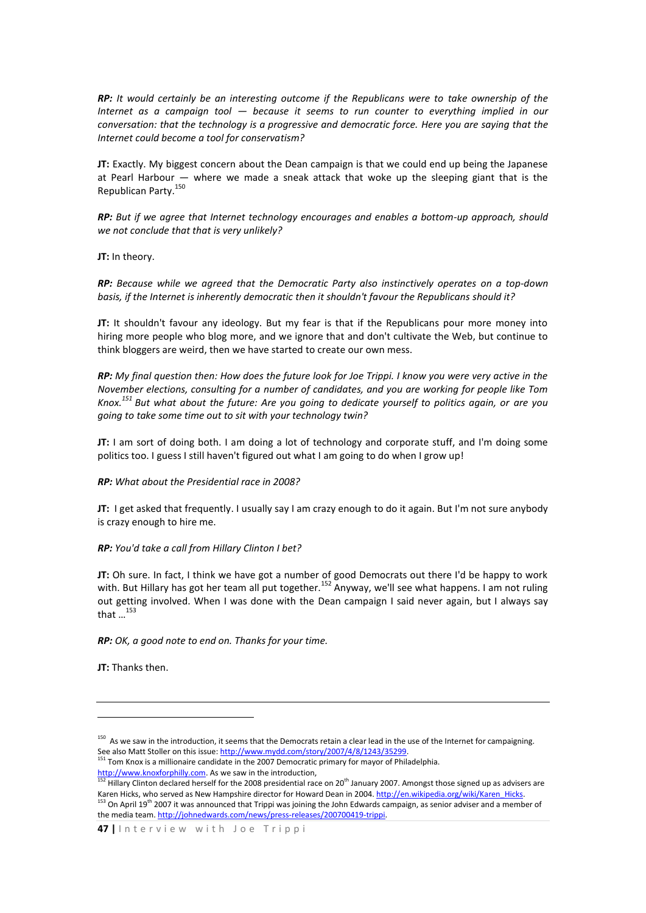*RP: It would certainly be an interesting outcome if the Republicans were to take ownership of the Internet as a campaign tool — because it seems to run counter to everything implied in our conversation: that the technology is a progressive and democratic force. Here you are saying that the Internet could become a tool for conservatism?* 

**JT:** Exactly. My biggest concern about the Dean campaign is that we could end up being the Japanese at Pearl Harbour — where we made a sneak attack that woke up the sleeping giant that is the Republican Party.<sup>150</sup>

*RP: But if we agree that Internet technology encourages and enables a bottom-up approach, should we not conclude that that is very unlikely?* 

**JT:** In theory.

*RP: Because while we agreed that the Democratic Party also instinctively operates on a top-down basis, if the Internet is inherently democratic then it shouldn't favour the Republicans should it?*

**JT:** It shouldn't favour any ideology. But my fear is that if the Republicans pour more money into hiring more people who blog more, and we ignore that and don't cultivate the Web, but continue to think bloggers are weird, then we have started to create our own mess.

*RP: My final question then: How does the future look for Joe Trippi. I know you were very active in the November elections, consulting for a number of candidates, and you are working for people like Tom Knox.<sup>151</sup> But what about the future: Are you going to dedicate yourself to politics again, or are you going to take some time out to sit with your technology twin?*

**JT:** I am sort of doing both. I am doing a lot of technology and corporate stuff, and I'm doing some politics too. I guess I still haven't figured out what I am going to do when I grow up!

*RP: What about the Presidential race in 2008?* 

**JT:** I get asked that frequently. I usually say I am crazy enough to do it again. But I'm not sure anybody is crazy enough to hire me.

#### *RP: You'd take a call from Hillary Clinton I bet?*

**JT:** Oh sure. In fact, I think we have got a number of good Democrats out there I'd be happy to work with. But Hillary has got her team all put together.<sup>152</sup> Anyway, we'll see what happens. I am not ruling out getting involved. When I was done with the Dean campaign I said never again, but I always say that  $\ldots$ <sup>153</sup>

*RP: OK, a good note to end on. Thanks for your time.*

**JT:** Thanks then.

**.** 

<sup>&</sup>lt;sup>150</sup> As we saw in the introduction, it seems that the Democrats retain a clear lead in the use of the Internet for campaigning. See also Matt Stoller on this issue: http://www.mydd.com/story/2007/4/8/1243/35299.

<sup>&</sup>lt;sup>151</sup> Tom Knox is a millionaire candidate in the 2007 Democratic primary for mayor of Philadelphia. [http://www.knoxforphilly.com.](http://www.knoxforphilly.com/) As we saw in the introduction,

 $152$  Hillary Clinton declared herself for the 2008 presidential race on 20<sup>th</sup> January 2007. Amongst those signed up as advisers are Karen Hicks, who served as New Hampshire director for Howard Dean in 2004[. http://en.wikipedia.org/wiki/Karen\\_Hicks.](http://en.wikipedia.org/wiki/Karen_Hicks) <sup>153</sup> On April 19<sup>th</sup> 2007 it was announced that Trippi was joining the John Edwards campaign, as senior adviser and a member of the media team[. http://johnedwards.com/news/press-releases/200700419-trippi.](http://johnedwards.com/news/press-releases/200700419-trippi)